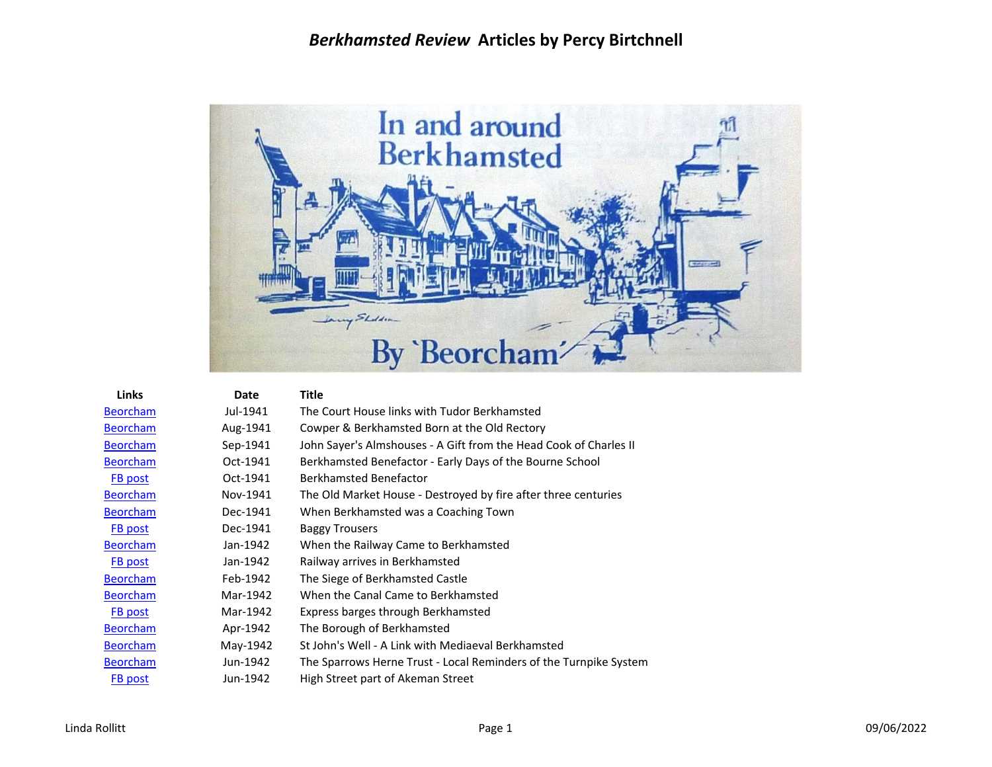

| Links           | Date     | Title                                                             |
|-----------------|----------|-------------------------------------------------------------------|
| <b>Beorcham</b> | Jul-1941 | The Court House links with Tudor Berkhamsted                      |
| <b>Beorcham</b> | Aug-1941 | Cowper & Berkhamsted Born at the Old Rectory                      |
| <b>Beorcham</b> | Sep-1941 | John Sayer's Almshouses - A Gift from the Head Cook of Charles II |
| <b>Beorcham</b> | Oct-1941 | Berkhamsted Benefactor - Early Days of the Bourne School          |
| FB post         | Oct-1941 | Berkhamsted Benefactor                                            |
| <b>Beorcham</b> | Nov-1941 | The Old Market House - Destroyed by fire after three centuries    |
| <b>Beorcham</b> | Dec-1941 | When Berkhamsted was a Coaching Town                              |
| FB post         | Dec-1941 | <b>Baggy Trousers</b>                                             |
| <b>Beorcham</b> | Jan-1942 | When the Railway Came to Berkhamsted                              |
| FB post         | Jan-1942 | Railway arrives in Berkhamsted                                    |
| <b>Beorcham</b> | Feb-1942 | The Siege of Berkhamsted Castle                                   |
| <b>Beorcham</b> | Mar-1942 | When the Canal Came to Berkhamsted                                |
| <b>FB</b> post  | Mar-1942 | Express barges through Berkhamsted                                |
| <b>Beorcham</b> | Apr-1942 | The Borough of Berkhamsted                                        |
| <b>Beorcham</b> | May-1942 | St John's Well - A Link with Mediaeval Berkhamsted                |
| <b>Beorcham</b> | Jun-1942 | The Sparrows Herne Trust - Local Reminders of the Turnpike System |
| FB post         | Jun-1942 | High Street part of Akeman Street                                 |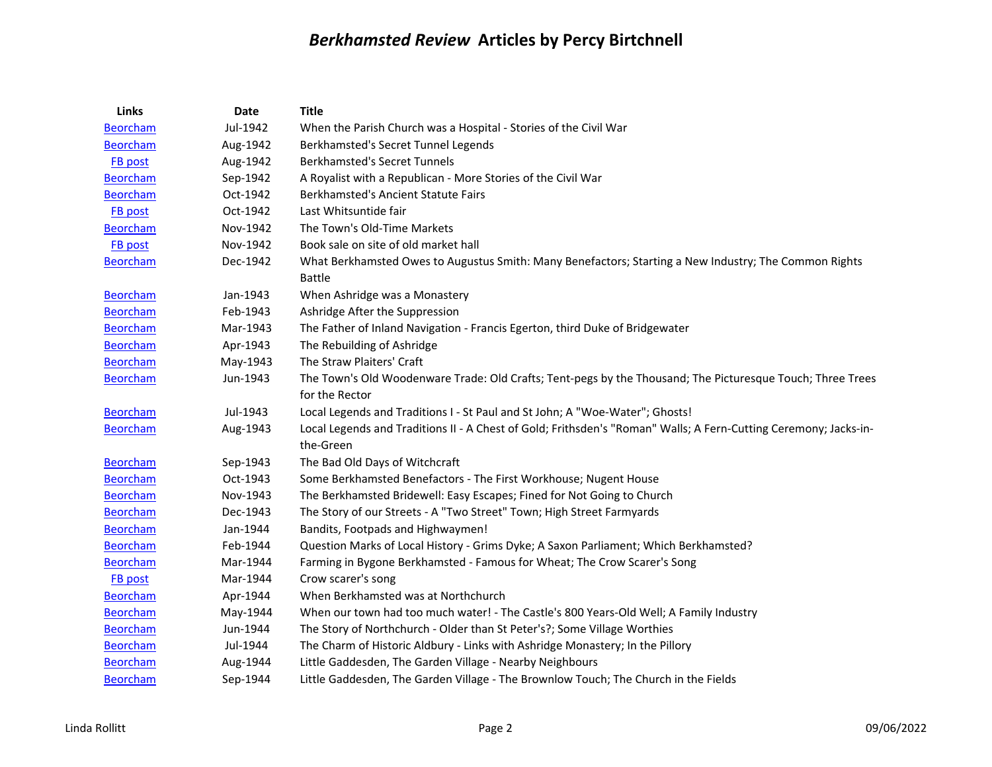| Links           | Date     | <b>Title</b>                                                                                                           |
|-----------------|----------|------------------------------------------------------------------------------------------------------------------------|
| <b>Beorcham</b> | Jul-1942 | When the Parish Church was a Hospital - Stories of the Civil War                                                       |
| <b>Beorcham</b> | Aug-1942 | Berkhamsted's Secret Tunnel Legends                                                                                    |
| FB post         | Aug-1942 | <b>Berkhamsted's Secret Tunnels</b>                                                                                    |
| <b>Beorcham</b> | Sep-1942 | A Royalist with a Republican - More Stories of the Civil War                                                           |
| <b>Beorcham</b> | Oct-1942 | Berkhamsted's Ancient Statute Fairs                                                                                    |
| FB post         | Oct-1942 | Last Whitsuntide fair                                                                                                  |
| <b>Beorcham</b> | Nov-1942 | The Town's Old-Time Markets                                                                                            |
| FB post         | Nov-1942 | Book sale on site of old market hall                                                                                   |
| <b>Beorcham</b> | Dec-1942 | What Berkhamsted Owes to Augustus Smith: Many Benefactors; Starting a New Industry; The Common Rights<br><b>Battle</b> |
| <b>Beorcham</b> | Jan-1943 | When Ashridge was a Monastery                                                                                          |
| <b>Beorcham</b> | Feb-1943 | Ashridge After the Suppression                                                                                         |
| <b>Beorcham</b> | Mar-1943 | The Father of Inland Navigation - Francis Egerton, third Duke of Bridgewater                                           |
| <b>Beorcham</b> | Apr-1943 | The Rebuilding of Ashridge                                                                                             |
| <b>Beorcham</b> | May-1943 | The Straw Plaiters' Craft                                                                                              |
| <b>Beorcham</b> | Jun-1943 | The Town's Old Woodenware Trade: Old Crafts; Tent-pegs by the Thousand; The Picturesque Touch; Three Trees             |
|                 |          | for the Rector                                                                                                         |
| <b>Beorcham</b> | Jul-1943 | Local Legends and Traditions I - St Paul and St John; A "Woe-Water"; Ghosts!                                           |
| <b>Beorcham</b> | Aug-1943 | Local Legends and Traditions II - A Chest of Gold; Frithsden's "Roman" Walls; A Fern-Cutting Ceremony; Jacks-in-       |
|                 |          | the-Green                                                                                                              |
| <b>Beorcham</b> | Sep-1943 | The Bad Old Days of Witchcraft                                                                                         |
| <b>Beorcham</b> | Oct-1943 | Some Berkhamsted Benefactors - The First Workhouse; Nugent House                                                       |
| <b>Beorcham</b> | Nov-1943 | The Berkhamsted Bridewell: Easy Escapes; Fined for Not Going to Church                                                 |
| <b>Beorcham</b> | Dec-1943 | The Story of our Streets - A "Two Street" Town; High Street Farmyards                                                  |
| <b>Beorcham</b> | Jan-1944 | Bandits, Footpads and Highwaymen!                                                                                      |
| <b>Beorcham</b> | Feb-1944 | Question Marks of Local History - Grims Dyke; A Saxon Parliament; Which Berkhamsted?                                   |
| <b>Beorcham</b> | Mar-1944 | Farming in Bygone Berkhamsted - Famous for Wheat; The Crow Scarer's Song                                               |
| FB post         | Mar-1944 | Crow scarer's song                                                                                                     |
| <b>Beorcham</b> | Apr-1944 | When Berkhamsted was at Northchurch                                                                                    |
| <b>Beorcham</b> | May-1944 | When our town had too much water! - The Castle's 800 Years-Old Well; A Family Industry                                 |
| <b>Beorcham</b> | Jun-1944 | The Story of Northchurch - Older than St Peter's?; Some Village Worthies                                               |
| <b>Beorcham</b> | Jul-1944 | The Charm of Historic Aldbury - Links with Ashridge Monastery; In the Pillory                                          |
| <b>Beorcham</b> | Aug-1944 | Little Gaddesden, The Garden Village - Nearby Neighbours                                                               |
| <b>Beorcham</b> | Sep-1944 | Little Gaddesden, The Garden Village - The Brownlow Touch; The Church in the Fields                                    |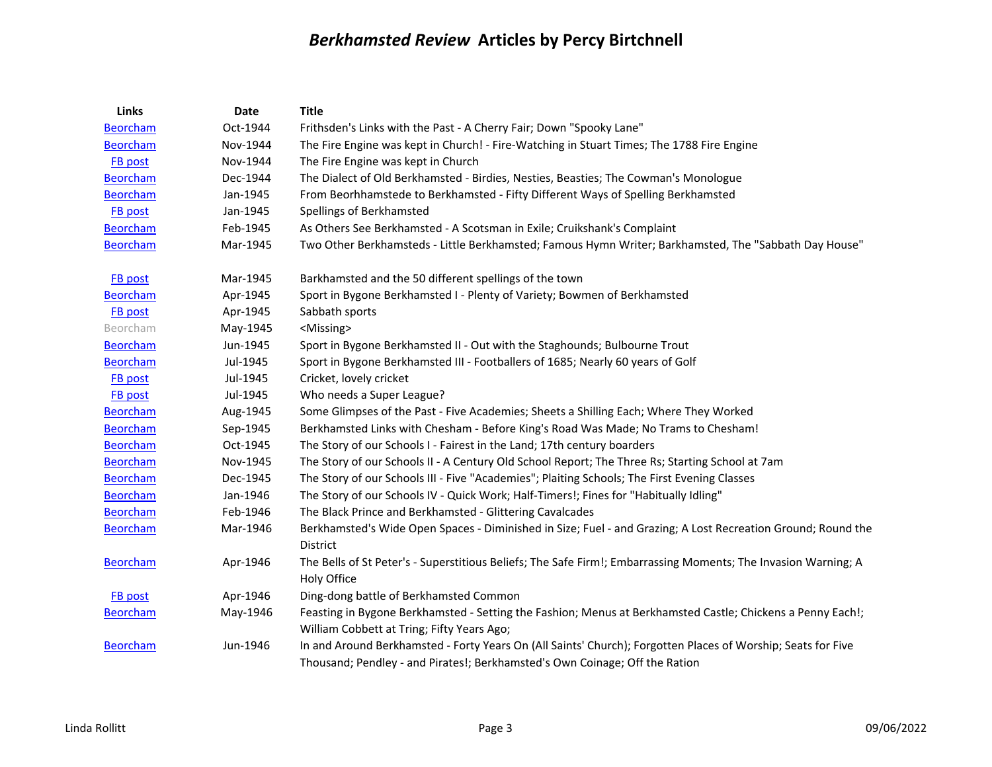| Links           | <b>Date</b> | <b>Title</b>                                                                                                   |
|-----------------|-------------|----------------------------------------------------------------------------------------------------------------|
| <b>Beorcham</b> | Oct-1944    | Frithsden's Links with the Past - A Cherry Fair; Down "Spooky Lane"                                            |
| <b>Beorcham</b> | Nov-1944    | The Fire Engine was kept in Church! - Fire-Watching in Stuart Times; The 1788 Fire Engine                      |
| <b>FB</b> post  | Nov-1944    | The Fire Engine was kept in Church                                                                             |
| <b>Beorcham</b> | Dec-1944    | The Dialect of Old Berkhamsted - Birdies, Nesties, Beasties; The Cowman's Monologue                            |
| <b>Beorcham</b> | Jan-1945    | From Beorhhamstede to Berkhamsted - Fifty Different Ways of Spelling Berkhamsted                               |
| FB post         | Jan-1945    | Spellings of Berkhamsted                                                                                       |
| <b>Beorcham</b> | Feb-1945    | As Others See Berkhamsted - A Scotsman in Exile; Cruikshank's Complaint                                        |
| <b>Beorcham</b> | Mar-1945    | Two Other Berkhamsteds - Little Berkhamsted; Famous Hymn Writer; Barkhamsted, The "Sabbath Day House"          |
| <b>FB</b> post  | Mar-1945    | Barkhamsted and the 50 different spellings of the town                                                         |
| <b>Beorcham</b> | Apr-1945    | Sport in Bygone Berkhamsted I - Plenty of Variety; Bowmen of Berkhamsted                                       |
| FB post         | Apr-1945    | Sabbath sports                                                                                                 |
| Beorcham        | May-1945    | <missing></missing>                                                                                            |
| <b>Beorcham</b> | Jun-1945    | Sport in Bygone Berkhamsted II - Out with the Staghounds; Bulbourne Trout                                      |
| <b>Beorcham</b> | Jul-1945    | Sport in Bygone Berkhamsted III - Footballers of 1685; Nearly 60 years of Golf                                 |
| FB post         | Jul-1945    | Cricket, lovely cricket                                                                                        |
| <b>FB</b> post  | Jul-1945    | Who needs a Super League?                                                                                      |
| <b>Beorcham</b> | Aug-1945    | Some Glimpses of the Past - Five Academies; Sheets a Shilling Each; Where They Worked                          |
| <b>Beorcham</b> | Sep-1945    | Berkhamsted Links with Chesham - Before King's Road Was Made; No Trams to Chesham!                             |
| <b>Beorcham</b> | Oct-1945    | The Story of our Schools I - Fairest in the Land; 17th century boarders                                        |
| <b>Beorcham</b> | Nov-1945    | The Story of our Schools II - A Century Old School Report; The Three Rs; Starting School at 7am                |
| <b>Beorcham</b> | Dec-1945    | The Story of our Schools III - Five "Academies"; Plaiting Schools; The First Evening Classes                   |
| <b>Beorcham</b> | Jan-1946    | The Story of our Schools IV - Quick Work; Half-Timers!; Fines for "Habitually Idling"                          |
| <b>Beorcham</b> | Feb-1946    | The Black Prince and Berkhamsted - Glittering Cavalcades                                                       |
| <b>Beorcham</b> | Mar-1946    | Berkhamsted's Wide Open Spaces - Diminished in Size; Fuel - and Grazing; A Lost Recreation Ground; Round the   |
|                 |             | District                                                                                                       |
| <b>Beorcham</b> | Apr-1946    | The Bells of St Peter's - Superstitious Beliefs; The Safe Firm!; Embarrassing Moments; The Invasion Warning; A |
|                 |             | Holy Office                                                                                                    |
| FB post         | Apr-1946    | Ding-dong battle of Berkhamsted Common                                                                         |
| <b>Beorcham</b> | May-1946    | Feasting in Bygone Berkhamsted - Setting the Fashion; Menus at Berkhamsted Castle; Chickens a Penny Each!;     |
|                 |             | William Cobbett at Tring; Fifty Years Ago;                                                                     |
| <b>Beorcham</b> | Jun-1946    | In and Around Berkhamsted - Forty Years On (All Saints' Church); Forgotten Places of Worship; Seats for Five   |
|                 |             | Thousand; Pendley - and Pirates!; Berkhamsted's Own Coinage; Off the Ration                                    |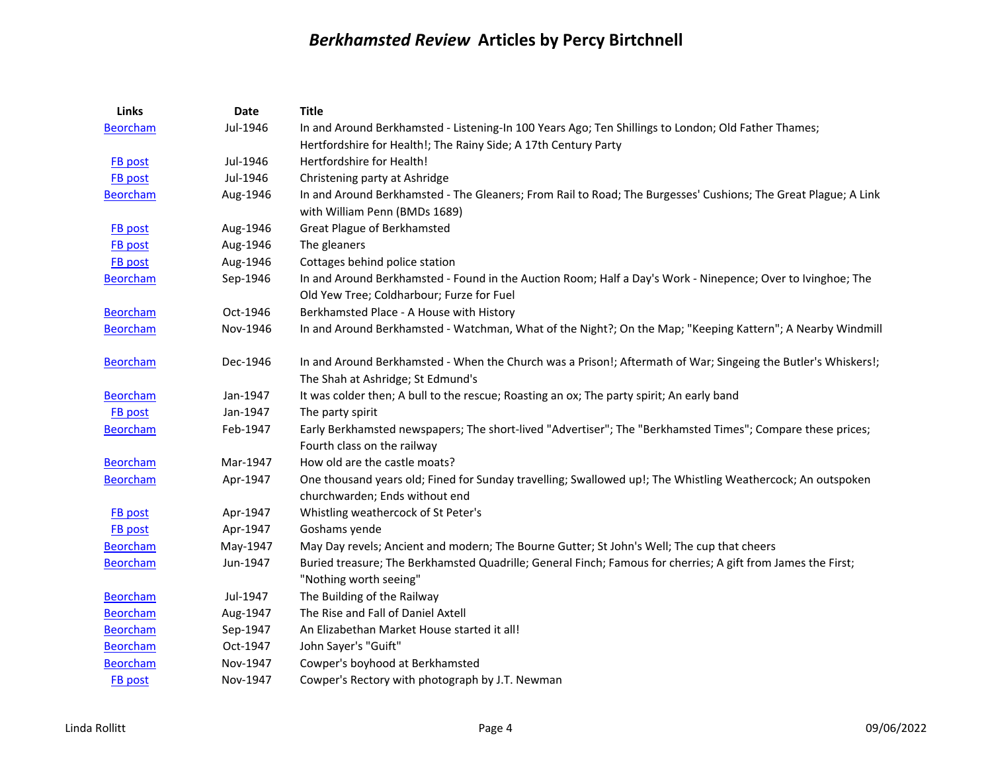| <b>Links</b>    | <b>Date</b> | <b>Title</b>                                                                                                                                             |
|-----------------|-------------|----------------------------------------------------------------------------------------------------------------------------------------------------------|
| <b>Beorcham</b> | Jul-1946    | In and Around Berkhamsted - Listening-In 100 Years Ago; Ten Shillings to London; Old Father Thames;                                                      |
|                 |             | Hertfordshire for Health!; The Rainy Side; A 17th Century Party                                                                                          |
| <b>FB</b> post  | Jul-1946    | Hertfordshire for Health!                                                                                                                                |
| FB post         | Jul-1946    | Christening party at Ashridge                                                                                                                            |
| <b>Beorcham</b> | Aug-1946    | In and Around Berkhamsted - The Gleaners; From Rail to Road; The Burgesses' Cushions; The Great Plague; A Link<br>with William Penn (BMDs 1689)          |
| <b>FB</b> post  | Aug-1946    | <b>Great Plague of Berkhamsted</b>                                                                                                                       |
| FB post         | Aug-1946    | The gleaners                                                                                                                                             |
| <b>FB</b> post  | Aug-1946    | Cottages behind police station                                                                                                                           |
| <b>Beorcham</b> | Sep-1946    | In and Around Berkhamsted - Found in the Auction Room; Half a Day's Work - Ninepence; Over to Ivinghoe; The<br>Old Yew Tree; Coldharbour; Furze for Fuel |
| <b>Beorcham</b> | Oct-1946    | Berkhamsted Place - A House with History                                                                                                                 |
| <b>Beorcham</b> | Nov-1946    | In and Around Berkhamsted - Watchman, What of the Night?; On the Map; "Keeping Kattern"; A Nearby Windmill                                               |
| <b>Beorcham</b> | Dec-1946    | In and Around Berkhamsted - When the Church was a Prison!; Aftermath of War; Singeing the Butler's Whiskers!;<br>The Shah at Ashridge; St Edmund's       |
| <b>Beorcham</b> | Jan-1947    | It was colder then; A bull to the rescue; Roasting an ox; The party spirit; An early band                                                                |
| <b>FB post</b>  | Jan-1947    | The party spirit                                                                                                                                         |
| <b>Beorcham</b> | Feb-1947    | Early Berkhamsted newspapers; The short-lived "Advertiser"; The "Berkhamsted Times"; Compare these prices;                                               |
|                 |             | Fourth class on the railway                                                                                                                              |
| <b>Beorcham</b> | Mar-1947    | How old are the castle moats?                                                                                                                            |
| <b>Beorcham</b> | Apr-1947    | One thousand years old; Fined for Sunday travelling; Swallowed up!; The Whistling Weathercock; An outspoken<br>churchwarden; Ends without end            |
| <b>FB</b> post  | Apr-1947    | Whistling weathercock of St Peter's                                                                                                                      |
| <b>FB</b> post  | Apr-1947    | Goshams yende                                                                                                                                            |
| <b>Beorcham</b> | May-1947    | May Day revels; Ancient and modern; The Bourne Gutter; St John's Well; The cup that cheers                                                               |
| <b>Beorcham</b> | Jun-1947    | Buried treasure; The Berkhamsted Quadrille; General Finch; Famous for cherries; A gift from James the First;<br>"Nothing worth seeing"                   |
| <b>Beorcham</b> | Jul-1947    | The Building of the Railway                                                                                                                              |
| <b>Beorcham</b> | Aug-1947    | The Rise and Fall of Daniel Axtell                                                                                                                       |
| <b>Beorcham</b> | Sep-1947    | An Elizabethan Market House started it all!                                                                                                              |
| <b>Beorcham</b> | Oct-1947    | John Sayer's "Guift"                                                                                                                                     |
| <b>Beorcham</b> | Nov-1947    | Cowper's boyhood at Berkhamsted                                                                                                                          |
| FB post         | Nov-1947    | Cowper's Rectory with photograph by J.T. Newman                                                                                                          |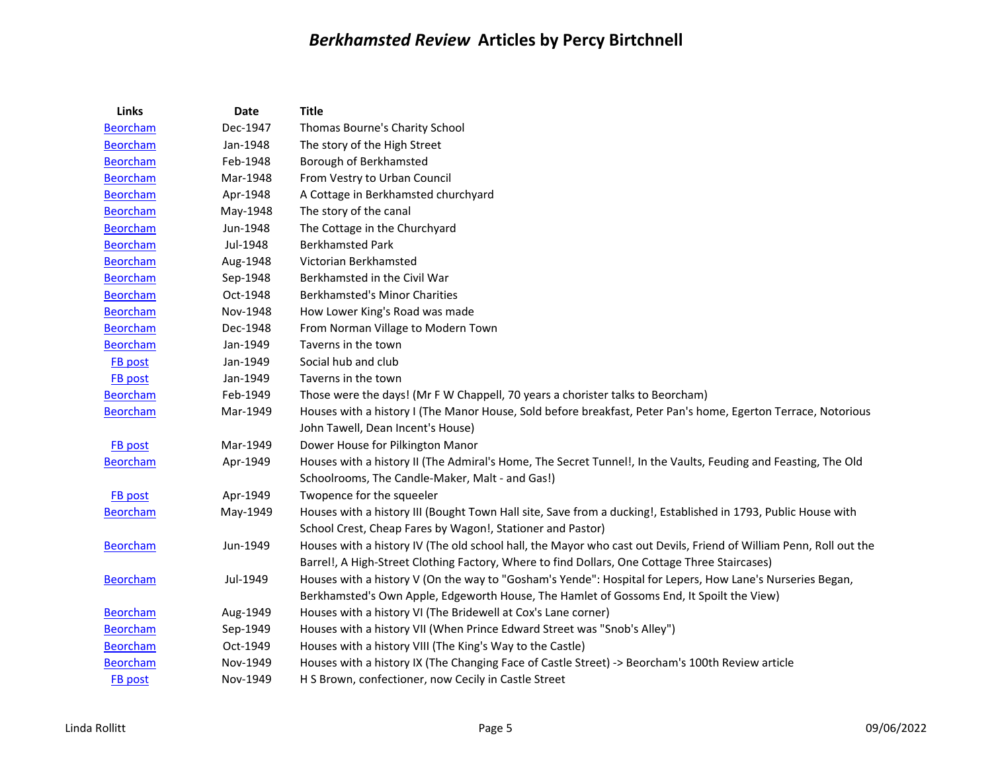| Links           | Date     | <b>Title</b>                                                                                                       |
|-----------------|----------|--------------------------------------------------------------------------------------------------------------------|
| <b>Beorcham</b> | Dec-1947 | Thomas Bourne's Charity School                                                                                     |
| <b>Beorcham</b> | Jan-1948 | The story of the High Street                                                                                       |
| <b>Beorcham</b> | Feb-1948 | Borough of Berkhamsted                                                                                             |
| <b>Beorcham</b> | Mar-1948 | From Vestry to Urban Council                                                                                       |
| <b>Beorcham</b> | Apr-1948 | A Cottage in Berkhamsted churchyard                                                                                |
| <b>Beorcham</b> | May-1948 | The story of the canal                                                                                             |
| <b>Beorcham</b> | Jun-1948 | The Cottage in the Churchyard                                                                                      |
| <b>Beorcham</b> | Jul-1948 | <b>Berkhamsted Park</b>                                                                                            |
| <b>Beorcham</b> | Aug-1948 | Victorian Berkhamsted                                                                                              |
| <b>Beorcham</b> | Sep-1948 | Berkhamsted in the Civil War                                                                                       |
| <b>Beorcham</b> | Oct-1948 | <b>Berkhamsted's Minor Charities</b>                                                                               |
| <b>Beorcham</b> | Nov-1948 | How Lower King's Road was made                                                                                     |
| <b>Beorcham</b> | Dec-1948 | From Norman Village to Modern Town                                                                                 |
| <b>Beorcham</b> | Jan-1949 | Taverns in the town                                                                                                |
| FB post         | Jan-1949 | Social hub and club                                                                                                |
| FB post         | Jan-1949 | Taverns in the town                                                                                                |
| <b>Beorcham</b> | Feb-1949 | Those were the days! (Mr F W Chappell, 70 years a chorister talks to Beorcham)                                     |
| <b>Beorcham</b> | Mar-1949 | Houses with a history I (The Manor House, Sold before breakfast, Peter Pan's home, Egerton Terrace, Notorious      |
|                 |          | John Tawell, Dean Incent's House)                                                                                  |
| <b>FB</b> post  | Mar-1949 | Dower House for Pilkington Manor                                                                                   |
| <b>Beorcham</b> | Apr-1949 | Houses with a history II (The Admiral's Home, The Secret Tunnel!, In the Vaults, Feuding and Feasting, The Old     |
|                 |          | Schoolrooms, The Candle-Maker, Malt - and Gas!)                                                                    |
| <b>FB</b> post  | Apr-1949 | Twopence for the squeeler                                                                                          |
| <b>Beorcham</b> | May-1949 | Houses with a history III (Bought Town Hall site, Save from a ducking!, Established in 1793, Public House with     |
|                 |          | School Crest, Cheap Fares by Wagon!, Stationer and Pastor)                                                         |
| <b>Beorcham</b> | Jun-1949 | Houses with a history IV (The old school hall, the Mayor who cast out Devils, Friend of William Penn, Roll out the |
|                 |          | Barrel!, A High-Street Clothing Factory, Where to find Dollars, One Cottage Three Staircases)                      |
| <b>Beorcham</b> | Jul-1949 | Houses with a history V (On the way to "Gosham's Yende": Hospital for Lepers, How Lane's Nurseries Began,          |
|                 |          | Berkhamsted's Own Apple, Edgeworth House, The Hamlet of Gossoms End, It Spoilt the View)                           |
| <b>Beorcham</b> | Aug-1949 | Houses with a history VI (The Bridewell at Cox's Lane corner)                                                      |
| <b>Beorcham</b> | Sep-1949 | Houses with a history VII (When Prince Edward Street was "Snob's Alley")                                           |
| <b>Beorcham</b> | Oct-1949 | Houses with a history VIII (The King's Way to the Castle)                                                          |
| <b>Beorcham</b> | Nov-1949 | Houses with a history IX (The Changing Face of Castle Street) -> Beorcham's 100th Review article                   |
| FB post         | Nov-1949 | H S Brown, confectioner, now Cecily in Castle Street                                                               |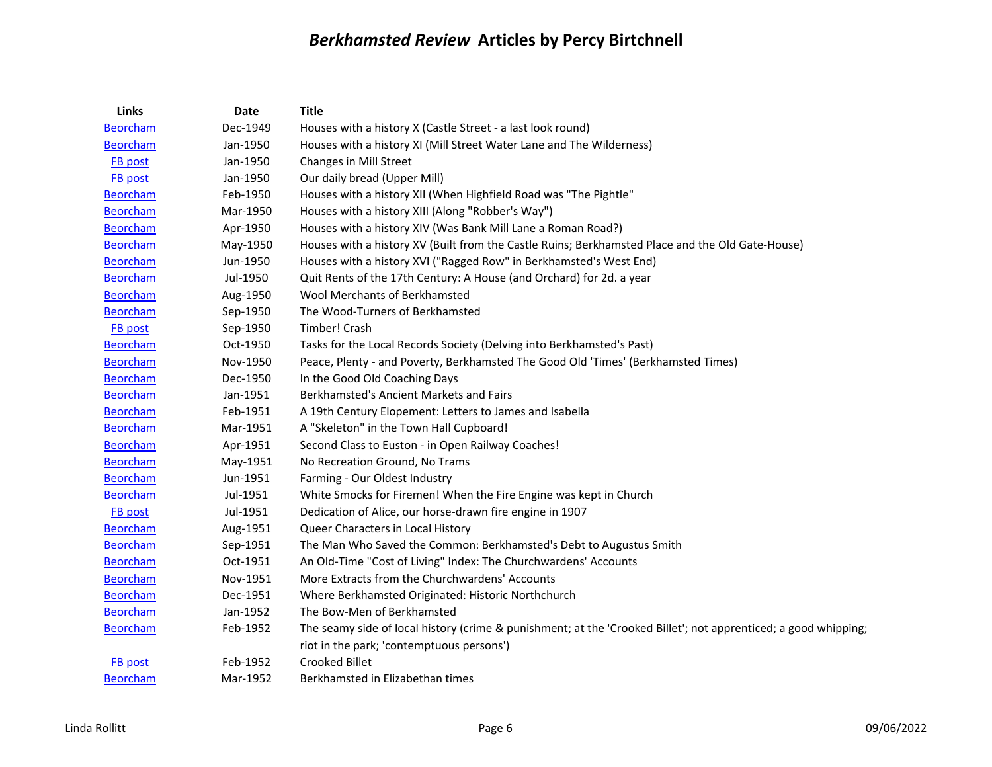| Links           | <b>Date</b> | <b>Title</b>                                                                                                    |
|-----------------|-------------|-----------------------------------------------------------------------------------------------------------------|
| <b>Beorcham</b> | Dec-1949    | Houses with a history X (Castle Street - a last look round)                                                     |
| <b>Beorcham</b> | Jan-1950    | Houses with a history XI (Mill Street Water Lane and The Wilderness)                                            |
| FB post         | Jan-1950    | Changes in Mill Street                                                                                          |
| <b>FB</b> post  | Jan-1950    | Our daily bread (Upper Mill)                                                                                    |
| <b>Beorcham</b> | Feb-1950    | Houses with a history XII (When Highfield Road was "The Pightle"                                                |
| <b>Beorcham</b> | Mar-1950    | Houses with a history XIII (Along "Robber's Way")                                                               |
| <b>Beorcham</b> | Apr-1950    | Houses with a history XIV (Was Bank Mill Lane a Roman Road?)                                                    |
| <b>Beorcham</b> | May-1950    | Houses with a history XV (Built from the Castle Ruins; Berkhamsted Place and the Old Gate-House)                |
| <b>Beorcham</b> | Jun-1950    | Houses with a history XVI ("Ragged Row" in Berkhamsted's West End)                                              |
| <b>Beorcham</b> | Jul-1950    | Quit Rents of the 17th Century: A House (and Orchard) for 2d. a year                                            |
| <b>Beorcham</b> | Aug-1950    | Wool Merchants of Berkhamsted                                                                                   |
| <b>Beorcham</b> | Sep-1950    | The Wood-Turners of Berkhamsted                                                                                 |
| <b>FB</b> post  | Sep-1950    | Timber! Crash                                                                                                   |
| <b>Beorcham</b> | Oct-1950    | Tasks for the Local Records Society (Delving into Berkhamsted's Past)                                           |
| <b>Beorcham</b> | Nov-1950    | Peace, Plenty - and Poverty, Berkhamsted The Good Old 'Times' (Berkhamsted Times)                               |
| <b>Beorcham</b> | Dec-1950    | In the Good Old Coaching Days                                                                                   |
| <b>Beorcham</b> | Jan-1951    | Berkhamsted's Ancient Markets and Fairs                                                                         |
| <b>Beorcham</b> | Feb-1951    | A 19th Century Elopement: Letters to James and Isabella                                                         |
| <b>Beorcham</b> | Mar-1951    | A "Skeleton" in the Town Hall Cupboard!                                                                         |
| <b>Beorcham</b> | Apr-1951    | Second Class to Euston - in Open Railway Coaches!                                                               |
| <b>Beorcham</b> | May-1951    | No Recreation Ground, No Trams                                                                                  |
| <b>Beorcham</b> | Jun-1951    | Farming - Our Oldest Industry                                                                                   |
| <b>Beorcham</b> | Jul-1951    | White Smocks for Firemen! When the Fire Engine was kept in Church                                               |
| <b>FB</b> post  | Jul-1951    | Dedication of Alice, our horse-drawn fire engine in 1907                                                        |
| <b>Beorcham</b> | Aug-1951    | Queer Characters in Local History                                                                               |
| <b>Beorcham</b> | Sep-1951    | The Man Who Saved the Common: Berkhamsted's Debt to Augustus Smith                                              |
| <b>Beorcham</b> | Oct-1951    | An Old-Time "Cost of Living" Index: The Churchwardens' Accounts                                                 |
| <b>Beorcham</b> | Nov-1951    | More Extracts from the Churchwardens' Accounts                                                                  |
| <b>Beorcham</b> | Dec-1951    | Where Berkhamsted Originated: Historic Northchurch                                                              |
| <b>Beorcham</b> | Jan-1952    | The Bow-Men of Berkhamsted                                                                                      |
| <b>Beorcham</b> | Feb-1952    | The seamy side of local history (crime & punishment; at the 'Crooked Billet'; not apprenticed; a good whipping; |
|                 |             | riot in the park; 'contemptuous persons')                                                                       |
| <b>FB</b> post  | Feb-1952    | Crooked Billet                                                                                                  |
| <b>Beorcham</b> | Mar-1952    | Berkhamsted in Elizabethan times                                                                                |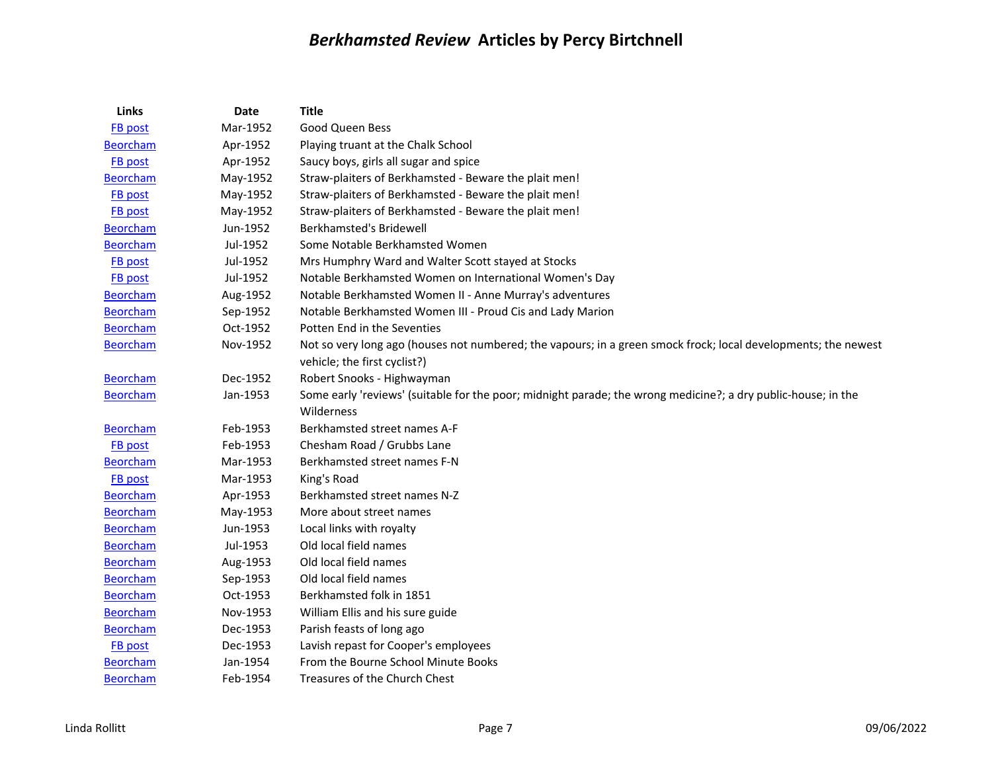| Links           | <b>Date</b> | <b>Title</b>                                                                                                   |
|-----------------|-------------|----------------------------------------------------------------------------------------------------------------|
| FB post         | Mar-1952    | <b>Good Queen Bess</b>                                                                                         |
| <b>Beorcham</b> | Apr-1952    | Playing truant at the Chalk School                                                                             |
| <b>FB</b> post  | Apr-1952    | Saucy boys, girls all sugar and spice                                                                          |
| <b>Beorcham</b> | May-1952    | Straw-plaiters of Berkhamsted - Beware the plait men!                                                          |
| FB post         | May-1952    | Straw-plaiters of Berkhamsted - Beware the plait men!                                                          |
| FB post         | May-1952    | Straw-plaiters of Berkhamsted - Beware the plait men!                                                          |
| <b>Beorcham</b> | Jun-1952    | <b>Berkhamsted's Bridewell</b>                                                                                 |
| <b>Beorcham</b> | Jul-1952    | Some Notable Berkhamsted Women                                                                                 |
| FB post         | Jul-1952    | Mrs Humphry Ward and Walter Scott stayed at Stocks                                                             |
| FB post         | Jul-1952    | Notable Berkhamsted Women on International Women's Day                                                         |
| <b>Beorcham</b> | Aug-1952    | Notable Berkhamsted Women II - Anne Murray's adventures                                                        |
| <b>Beorcham</b> | Sep-1952    | Notable Berkhamsted Women III - Proud Cis and Lady Marion                                                      |
| <b>Beorcham</b> | Oct-1952    | Potten End in the Seventies                                                                                    |
| <b>Beorcham</b> | Nov-1952    | Not so very long ago (houses not numbered; the vapours; in a green smock frock; local developments; the newest |
|                 |             | vehicle; the first cyclist?)                                                                                   |
| <b>Beorcham</b> | Dec-1952    | Robert Snooks - Highwayman                                                                                     |
| <b>Beorcham</b> | Jan-1953    | Some early 'reviews' (suitable for the poor; midnight parade; the wrong medicine?; a dry public-house; in the  |
|                 |             | Wilderness                                                                                                     |
| <b>Beorcham</b> | Feb-1953    | Berkhamsted street names A-F                                                                                   |
| FB post         | Feb-1953    | Chesham Road / Grubbs Lane                                                                                     |
| <b>Beorcham</b> | Mar-1953    | Berkhamsted street names F-N                                                                                   |
| FB post         | Mar-1953    | King's Road                                                                                                    |
| Beorcham        | Apr-1953    | Berkhamsted street names N-Z                                                                                   |
| <b>Beorcham</b> | May-1953    | More about street names                                                                                        |
| <b>Beorcham</b> | Jun-1953    | Local links with royalty                                                                                       |
| <b>Beorcham</b> | Jul-1953    | Old local field names                                                                                          |
| <b>Beorcham</b> | Aug-1953    | Old local field names                                                                                          |
| <b>Beorcham</b> | Sep-1953    | Old local field names                                                                                          |
| <b>Beorcham</b> | Oct-1953    | Berkhamsted folk in 1851                                                                                       |
| <b>Beorcham</b> | Nov-1953    | William Ellis and his sure guide                                                                               |
| <b>Beorcham</b> | Dec-1953    | Parish feasts of long ago                                                                                      |
| FB post         | Dec-1953    | Lavish repast for Cooper's employees                                                                           |
| <b>Beorcham</b> | Jan-1954    | From the Bourne School Minute Books                                                                            |
| <b>Beorcham</b> | Feb-1954    | Treasures of the Church Chest                                                                                  |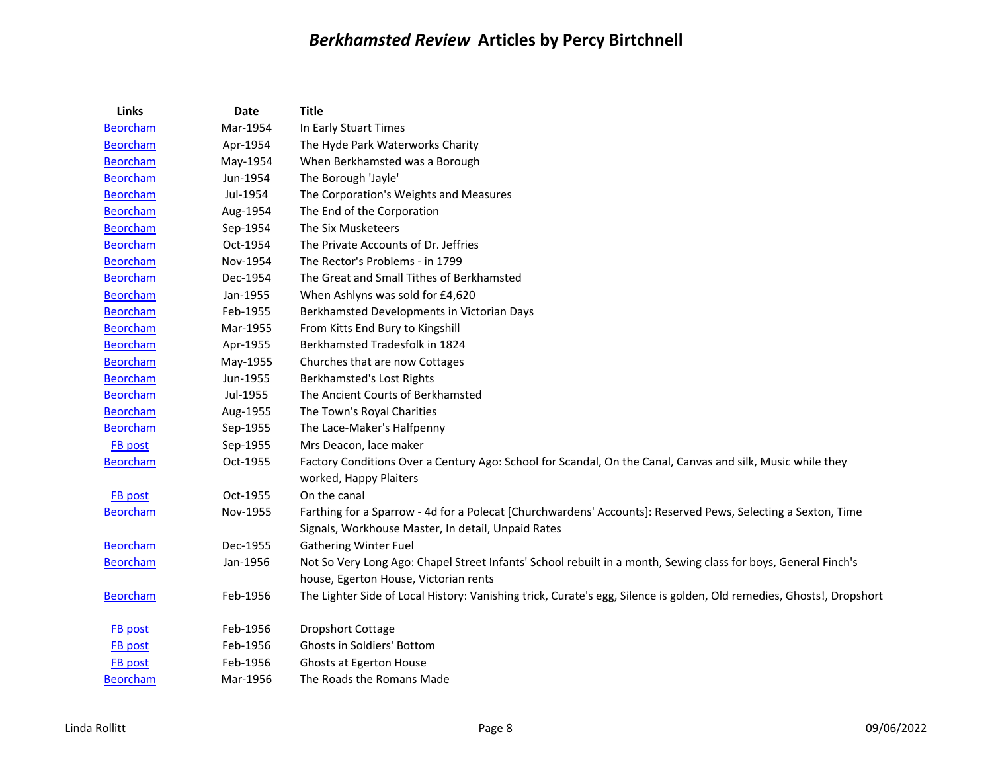| Links           | Date     | <b>Title</b>                                                                                                                                                       |
|-----------------|----------|--------------------------------------------------------------------------------------------------------------------------------------------------------------------|
| <b>Beorcham</b> | Mar-1954 | In Early Stuart Times                                                                                                                                              |
| <b>Beorcham</b> | Apr-1954 | The Hyde Park Waterworks Charity                                                                                                                                   |
| <b>Beorcham</b> | May-1954 | When Berkhamsted was a Borough                                                                                                                                     |
| <b>Beorcham</b> | Jun-1954 | The Borough 'Jayle'                                                                                                                                                |
| <b>Beorcham</b> | Jul-1954 | The Corporation's Weights and Measures                                                                                                                             |
| <b>Beorcham</b> | Aug-1954 | The End of the Corporation                                                                                                                                         |
| <b>Beorcham</b> | Sep-1954 | The Six Musketeers                                                                                                                                                 |
| <b>Beorcham</b> | Oct-1954 | The Private Accounts of Dr. Jeffries                                                                                                                               |
| <b>Beorcham</b> | Nov-1954 | The Rector's Problems - in 1799                                                                                                                                    |
| <b>Beorcham</b> | Dec-1954 | The Great and Small Tithes of Berkhamsted                                                                                                                          |
| <b>Beorcham</b> | Jan-1955 | When Ashlyns was sold for £4,620                                                                                                                                   |
| <b>Beorcham</b> | Feb-1955 | Berkhamsted Developments in Victorian Days                                                                                                                         |
| <b>Beorcham</b> | Mar-1955 | From Kitts End Bury to Kingshill                                                                                                                                   |
| <b>Beorcham</b> | Apr-1955 | Berkhamsted Tradesfolk in 1824                                                                                                                                     |
| <b>Beorcham</b> | May-1955 | Churches that are now Cottages                                                                                                                                     |
| <b>Beorcham</b> | Jun-1955 | Berkhamsted's Lost Rights                                                                                                                                          |
| <b>Beorcham</b> | Jul-1955 | The Ancient Courts of Berkhamsted                                                                                                                                  |
| <b>Beorcham</b> | Aug-1955 | The Town's Royal Charities                                                                                                                                         |
| <b>Beorcham</b> | Sep-1955 | The Lace-Maker's Halfpenny                                                                                                                                         |
| <b>FB</b> post  | Sep-1955 | Mrs Deacon, lace maker                                                                                                                                             |
| <b>Beorcham</b> | Oct-1955 | Factory Conditions Over a Century Ago: School for Scandal, On the Canal, Canvas and silk, Music while they<br>worked, Happy Plaiters                               |
| <b>FB</b> post  | Oct-1955 | On the canal                                                                                                                                                       |
| <b>Beorcham</b> | Nov-1955 | Farthing for a Sparrow - 4d for a Polecat [Churchwardens' Accounts]: Reserved Pews, Selecting a Sexton, Time<br>Signals, Workhouse Master, In detail, Unpaid Rates |
| <b>Beorcham</b> | Dec-1955 | <b>Gathering Winter Fuel</b>                                                                                                                                       |
| <b>Beorcham</b> | Jan-1956 | Not So Very Long Ago: Chapel Street Infants' School rebuilt in a month, Sewing class for boys, General Finch's                                                     |
|                 |          | house, Egerton House, Victorian rents                                                                                                                              |
| <b>Beorcham</b> | Feb-1956 | The Lighter Side of Local History: Vanishing trick, Curate's egg, Silence is golden, Old remedies, Ghosts!, Dropshort                                              |
| <b>FB</b> post  | Feb-1956 | <b>Dropshort Cottage</b>                                                                                                                                           |
| FB post         | Feb-1956 | Ghosts in Soldiers' Bottom                                                                                                                                         |
| FB post         | Feb-1956 | Ghosts at Egerton House                                                                                                                                            |
| <b>Beorcham</b> | Mar-1956 | The Roads the Romans Made                                                                                                                                          |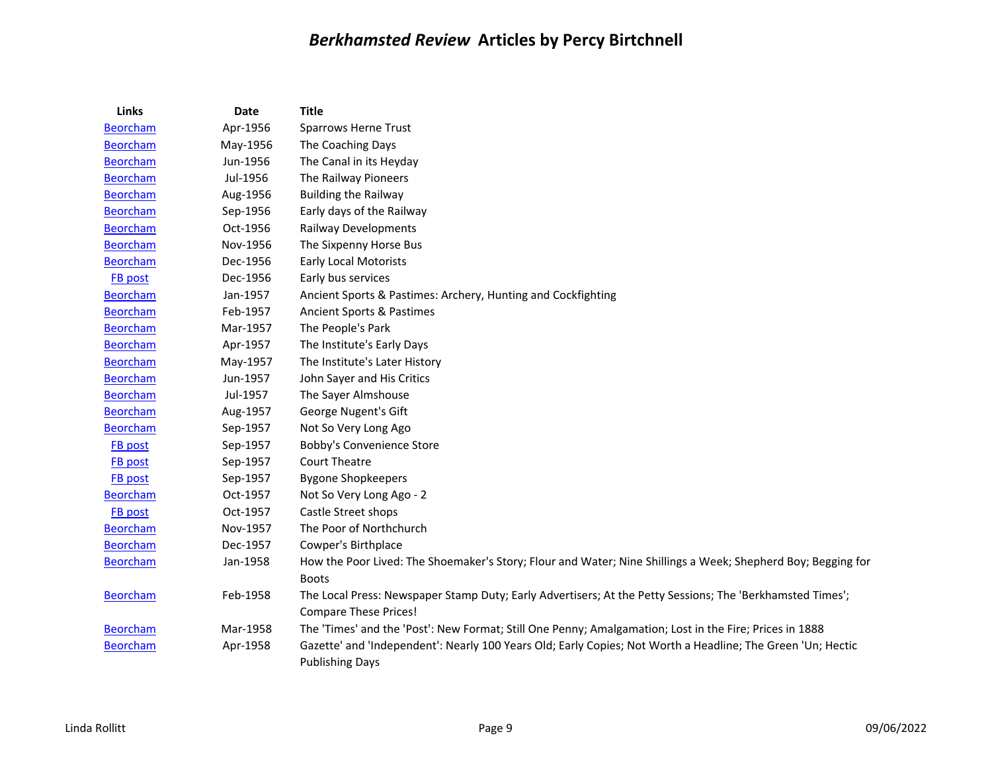| <b>Links</b>    | Date     | <b>Title</b>                                                                                                 |
|-----------------|----------|--------------------------------------------------------------------------------------------------------------|
| <b>Beorcham</b> | Apr-1956 | <b>Sparrows Herne Trust</b>                                                                                  |
| <b>Beorcham</b> | May-1956 | The Coaching Days                                                                                            |
| <b>Beorcham</b> | Jun-1956 | The Canal in its Heyday                                                                                      |
| <b>Beorcham</b> | Jul-1956 | The Railway Pioneers                                                                                         |
| <b>Beorcham</b> | Aug-1956 | <b>Building the Railway</b>                                                                                  |
| <b>Beorcham</b> | Sep-1956 | Early days of the Railway                                                                                    |
| <b>Beorcham</b> | Oct-1956 | <b>Railway Developments</b>                                                                                  |
| <b>Beorcham</b> | Nov-1956 | The Sixpenny Horse Bus                                                                                       |
| <b>Beorcham</b> | Dec-1956 | <b>Early Local Motorists</b>                                                                                 |
| FB post         | Dec-1956 | Early bus services                                                                                           |
| <b>Beorcham</b> | Jan-1957 | Ancient Sports & Pastimes: Archery, Hunting and Cockfighting                                                 |
| <b>Beorcham</b> | Feb-1957 | Ancient Sports & Pastimes                                                                                    |
| <b>Beorcham</b> | Mar-1957 | The People's Park                                                                                            |
| <b>Beorcham</b> | Apr-1957 | The Institute's Early Days                                                                                   |
| <b>Beorcham</b> | May-1957 | The Institute's Later History                                                                                |
| <b>Beorcham</b> | Jun-1957 | John Sayer and His Critics                                                                                   |
| <b>Beorcham</b> | Jul-1957 | The Sayer Almshouse                                                                                          |
| <b>Beorcham</b> | Aug-1957 | George Nugent's Gift                                                                                         |
| <b>Beorcham</b> | Sep-1957 | Not So Very Long Ago                                                                                         |
| <b>FB</b> post  | Sep-1957 | Bobby's Convenience Store                                                                                    |
| <b>FB</b> post  | Sep-1957 | <b>Court Theatre</b>                                                                                         |
| FB post         | Sep-1957 | <b>Bygone Shopkeepers</b>                                                                                    |
| <b>Beorcham</b> | Oct-1957 | Not So Very Long Ago - 2                                                                                     |
| FB post         | Oct-1957 | Castle Street shops                                                                                          |
| <b>Beorcham</b> | Nov-1957 | The Poor of Northchurch                                                                                      |
| <b>Beorcham</b> | Dec-1957 | Cowper's Birthplace                                                                                          |
| <b>Beorcham</b> | Jan-1958 | How the Poor Lived: The Shoemaker's Story; Flour and Water; Nine Shillings a Week; Shepherd Boy; Begging for |
|                 |          | <b>Boots</b>                                                                                                 |
| <b>Beorcham</b> | Feb-1958 | The Local Press: Newspaper Stamp Duty; Early Advertisers; At the Petty Sessions; The 'Berkhamsted Times';    |
|                 |          | <b>Compare These Prices!</b>                                                                                 |
| <b>Beorcham</b> | Mar-1958 | The 'Times' and the 'Post': New Format; Still One Penny; Amalgamation; Lost in the Fire; Prices in 1888      |
| <b>Beorcham</b> | Apr-1958 | Gazette' and 'Independent': Nearly 100 Years Old; Early Copies; Not Worth a Headline; The Green 'Un; Hectic  |
|                 |          | <b>Publishing Days</b>                                                                                       |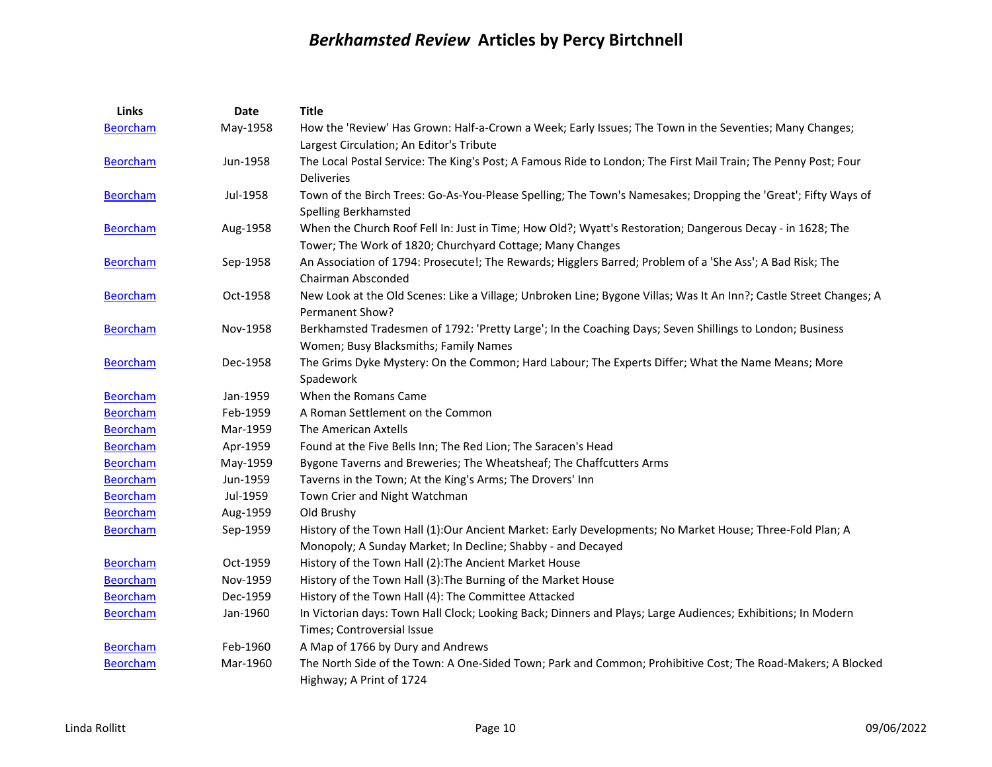| Links           | Date     | <b>Title</b>                                                                                                                                        |
|-----------------|----------|-----------------------------------------------------------------------------------------------------------------------------------------------------|
| <b>Beorcham</b> | May-1958 | How the 'Review' Has Grown: Half-a-Crown a Week; Early Issues; The Town in the Seventies; Many Changes;<br>Largest Circulation; An Editor's Tribute |
| <b>Beorcham</b> | Jun-1958 | The Local Postal Service: The King's Post; A Famous Ride to London; The First Mail Train; The Penny Post; Four                                      |
|                 |          | <b>Deliveries</b>                                                                                                                                   |
| <b>Beorcham</b> | Jul-1958 | Town of the Birch Trees: Go-As-You-Please Spelling; The Town's Namesakes; Dropping the 'Great'; Fifty Ways of                                       |
|                 |          | <b>Spelling Berkhamsted</b>                                                                                                                         |
| <b>Beorcham</b> | Aug-1958 | When the Church Roof Fell In: Just in Time; How Old?; Wyatt's Restoration; Dangerous Decay - in 1628; The                                           |
|                 |          | Tower; The Work of 1820; Churchyard Cottage; Many Changes                                                                                           |
| <b>Beorcham</b> | Sep-1958 | An Association of 1794: Prosecute!; The Rewards; Higglers Barred; Problem of a 'She Ass'; A Bad Risk; The                                           |
|                 |          | Chairman Absconded                                                                                                                                  |
| <b>Beorcham</b> | Oct-1958 | New Look at the Old Scenes: Like a Village; Unbroken Line; Bygone Villas; Was It An Inn?; Castle Street Changes; A                                  |
|                 |          | Permanent Show?                                                                                                                                     |
| <b>Beorcham</b> | Nov-1958 | Berkhamsted Tradesmen of 1792: 'Pretty Large'; In the Coaching Days; Seven Shillings to London; Business                                            |
|                 |          | Women; Busy Blacksmiths; Family Names                                                                                                               |
| <b>Beorcham</b> | Dec-1958 | The Grims Dyke Mystery: On the Common; Hard Labour; The Experts Differ; What the Name Means; More                                                   |
|                 |          | Spadework                                                                                                                                           |
| <b>Beorcham</b> | Jan-1959 | When the Romans Came                                                                                                                                |
| <b>Beorcham</b> | Feb-1959 | A Roman Settlement on the Common                                                                                                                    |
| <b>Beorcham</b> | Mar-1959 | The American Axtells                                                                                                                                |
| <b>Beorcham</b> | Apr-1959 | Found at the Five Bells Inn; The Red Lion; The Saracen's Head                                                                                       |
| <b>Beorcham</b> | May-1959 | Bygone Taverns and Breweries; The Wheatsheaf; The Chaffcutters Arms                                                                                 |
| <b>Beorcham</b> | Jun-1959 | Taverns in the Town; At the King's Arms; The Drovers' Inn                                                                                           |
| <b>Beorcham</b> | Jul-1959 | Town Crier and Night Watchman                                                                                                                       |
| <b>Beorcham</b> | Aug-1959 | Old Brushy                                                                                                                                          |
| <b>Beorcham</b> | Sep-1959 | History of the Town Hall (1):Our Ancient Market: Early Developments; No Market House; Three-Fold Plan; A                                            |
|                 |          | Monopoly; A Sunday Market; In Decline; Shabby - and Decayed                                                                                         |
| <b>Beorcham</b> | Oct-1959 | History of the Town Hall (2): The Ancient Market House                                                                                              |
| <b>Beorcham</b> | Nov-1959 | History of the Town Hall (3): The Burning of the Market House                                                                                       |
| Beorcham        | Dec-1959 | History of the Town Hall (4): The Committee Attacked                                                                                                |
| <b>Beorcham</b> | Jan-1960 | In Victorian days: Town Hall Clock; Looking Back; Dinners and Plays; Large Audiences; Exhibitions; In Modern                                        |
|                 |          | Times; Controversial Issue                                                                                                                          |
| <b>Beorcham</b> | Feb-1960 | A Map of 1766 by Dury and Andrews                                                                                                                   |
| <b>Beorcham</b> | Mar-1960 | The North Side of the Town: A One-Sided Town; Park and Common; Prohibitive Cost; The Road-Makers; A Blocked                                         |
|                 |          | Highway; A Print of 1724                                                                                                                            |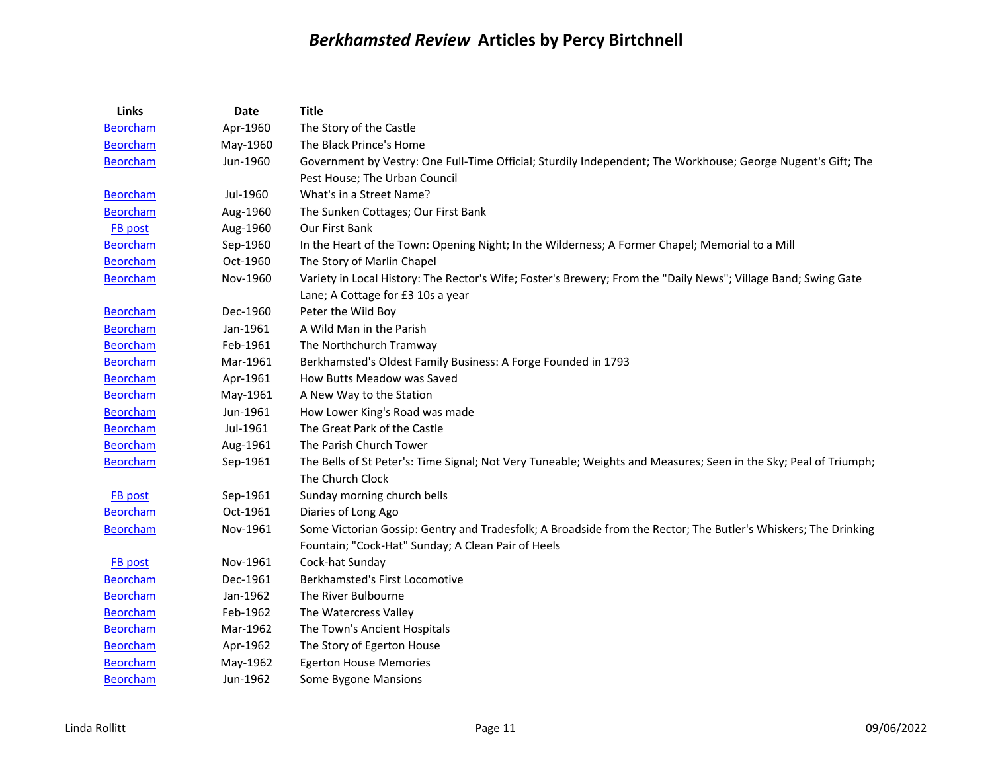| Links           | <b>Date</b> | <b>Title</b>                                                                                                     |
|-----------------|-------------|------------------------------------------------------------------------------------------------------------------|
| <b>Beorcham</b> | Apr-1960    | The Story of the Castle                                                                                          |
| <b>Beorcham</b> | May-1960    | The Black Prince's Home                                                                                          |
| <b>Beorcham</b> | Jun-1960    | Government by Vestry: One Full-Time Official; Sturdily Independent; The Workhouse; George Nugent's Gift; The     |
|                 |             | Pest House; The Urban Council                                                                                    |
| <b>Beorcham</b> | Jul-1960    | What's in a Street Name?                                                                                         |
| <b>Beorcham</b> | Aug-1960    | The Sunken Cottages; Our First Bank                                                                              |
| FB post         | Aug-1960    | Our First Bank                                                                                                   |
| <b>Beorcham</b> | Sep-1960    | In the Heart of the Town: Opening Night; In the Wilderness; A Former Chapel; Memorial to a Mill                  |
| <b>Beorcham</b> | Oct-1960    | The Story of Marlin Chapel                                                                                       |
| <b>Beorcham</b> | Nov-1960    | Variety in Local History: The Rector's Wife; Foster's Brewery; From the "Daily News"; Village Band; Swing Gate   |
|                 |             | Lane; A Cottage for £3 10s a year                                                                                |
| <b>Beorcham</b> | Dec-1960    | Peter the Wild Boy                                                                                               |
| <b>Beorcham</b> | Jan-1961    | A Wild Man in the Parish                                                                                         |
| <b>Beorcham</b> | Feb-1961    | The Northchurch Tramway                                                                                          |
| <b>Beorcham</b> | Mar-1961    | Berkhamsted's Oldest Family Business: A Forge Founded in 1793                                                    |
| <b>Beorcham</b> | Apr-1961    | How Butts Meadow was Saved                                                                                       |
| <b>Beorcham</b> | May-1961    | A New Way to the Station                                                                                         |
| <b>Beorcham</b> | Jun-1961    | How Lower King's Road was made                                                                                   |
| <b>Beorcham</b> | Jul-1961    | The Great Park of the Castle                                                                                     |
| <b>Beorcham</b> | Aug-1961    | The Parish Church Tower                                                                                          |
| <b>Beorcham</b> | Sep-1961    | The Bells of St Peter's: Time Signal; Not Very Tuneable; Weights and Measures; Seen in the Sky; Peal of Triumph; |
|                 |             | The Church Clock                                                                                                 |
| <b>FB</b> post  | Sep-1961    | Sunday morning church bells                                                                                      |
| <b>Beorcham</b> | Oct-1961    | Diaries of Long Ago                                                                                              |
| <b>Beorcham</b> | Nov-1961    | Some Victorian Gossip: Gentry and Tradesfolk; A Broadside from the Rector; The Butler's Whiskers; The Drinking   |
|                 |             | Fountain; "Cock-Hat" Sunday; A Clean Pair of Heels                                                               |
| FB post         | Nov-1961    | Cock-hat Sunday                                                                                                  |
| <b>Beorcham</b> | Dec-1961    | Berkhamsted's First Locomotive                                                                                   |
| <b>Beorcham</b> | Jan-1962    | The River Bulbourne                                                                                              |
| <b>Beorcham</b> | Feb-1962    | The Watercress Valley                                                                                            |
| <b>Beorcham</b> | Mar-1962    | The Town's Ancient Hospitals                                                                                     |
| <b>Beorcham</b> | Apr-1962    | The Story of Egerton House                                                                                       |
| <b>Beorcham</b> | May-1962    | <b>Egerton House Memories</b>                                                                                    |
| <b>Beorcham</b> | Jun-1962    | Some Bygone Mansions                                                                                             |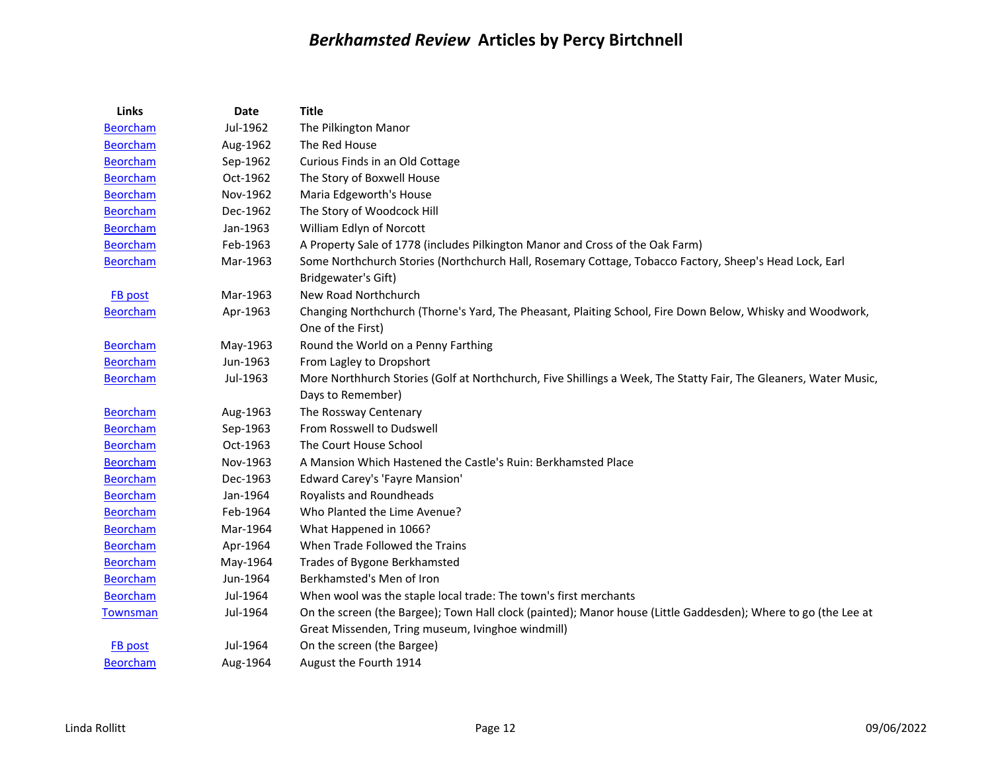| Links           | Date     | <b>Title</b>                                                                                                                          |
|-----------------|----------|---------------------------------------------------------------------------------------------------------------------------------------|
| <b>Beorcham</b> | Jul-1962 | The Pilkington Manor                                                                                                                  |
| <b>Beorcham</b> | Aug-1962 | The Red House                                                                                                                         |
| <b>Beorcham</b> | Sep-1962 | Curious Finds in an Old Cottage                                                                                                       |
| <b>Beorcham</b> | Oct-1962 | The Story of Boxwell House                                                                                                            |
| <b>Beorcham</b> | Nov-1962 | Maria Edgeworth's House                                                                                                               |
| <b>Beorcham</b> | Dec-1962 | The Story of Woodcock Hill                                                                                                            |
| <b>Beorcham</b> | Jan-1963 | William Edlyn of Norcott                                                                                                              |
| <b>Beorcham</b> | Feb-1963 | A Property Sale of 1778 (includes Pilkington Manor and Cross of the Oak Farm)                                                         |
| <b>Beorcham</b> | Mar-1963 | Some Northchurch Stories (Northchurch Hall, Rosemary Cottage, Tobacco Factory, Sheep's Head Lock, Earl<br>Bridgewater's Gift)         |
| <b>FB</b> post  | Mar-1963 | New Road Northchurch                                                                                                                  |
| <b>Beorcham</b> | Apr-1963 | Changing Northchurch (Thorne's Yard, The Pheasant, Plaiting School, Fire Down Below, Whisky and Woodwork,<br>One of the First)        |
| <b>Beorcham</b> | May-1963 | Round the World on a Penny Farthing                                                                                                   |
| <b>Beorcham</b> | Jun-1963 | From Lagley to Dropshort                                                                                                              |
| <b>Beorcham</b> | Jul-1963 | More Northhurch Stories (Golf at Northchurch, Five Shillings a Week, The Statty Fair, The Gleaners, Water Music,<br>Days to Remember) |
| <b>Beorcham</b> | Aug-1963 | The Rossway Centenary                                                                                                                 |
| <b>Beorcham</b> | Sep-1963 | From Rosswell to Dudswell                                                                                                             |
| <b>Beorcham</b> | Oct-1963 | The Court House School                                                                                                                |
| <b>Beorcham</b> | Nov-1963 | A Mansion Which Hastened the Castle's Ruin: Berkhamsted Place                                                                         |
| <b>Beorcham</b> | Dec-1963 | <b>Edward Carey's 'Fayre Mansion'</b>                                                                                                 |
| <b>Beorcham</b> | Jan-1964 | Royalists and Roundheads                                                                                                              |
| <b>Beorcham</b> | Feb-1964 | Who Planted the Lime Avenue?                                                                                                          |
| <b>Beorcham</b> | Mar-1964 | What Happened in 1066?                                                                                                                |
| <b>Beorcham</b> | Apr-1964 | When Trade Followed the Trains                                                                                                        |
| <b>Beorcham</b> | May-1964 | Trades of Bygone Berkhamsted                                                                                                          |
| <b>Beorcham</b> | Jun-1964 | Berkhamsted's Men of Iron                                                                                                             |
| <b>Beorcham</b> | Jul-1964 | When wool was the staple local trade: The town's first merchants                                                                      |
| <b>Townsman</b> | Jul-1964 | On the screen (the Bargee); Town Hall clock (painted); Manor house (Little Gaddesden); Where to go (the Lee at                        |
|                 |          | Great Missenden, Tring museum, Ivinghoe windmill)                                                                                     |
| <b>FB</b> post  | Jul-1964 | On the screen (the Bargee)                                                                                                            |
| <b>Beorcham</b> | Aug-1964 | August the Fourth 1914                                                                                                                |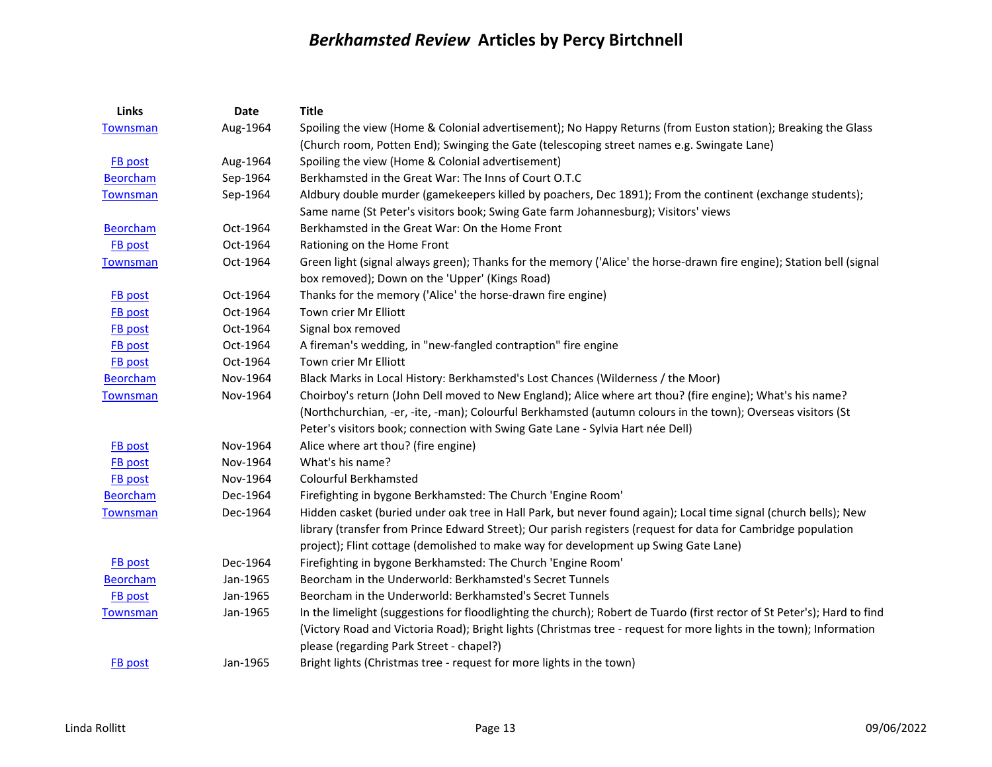| Links           | Date     | <b>Title</b>                                                                                                             |
|-----------------|----------|--------------------------------------------------------------------------------------------------------------------------|
| <b>Townsman</b> | Aug-1964 | Spoiling the view (Home & Colonial advertisement); No Happy Returns (from Euston station); Breaking the Glass            |
|                 |          | (Church room, Potten End); Swinging the Gate (telescoping street names e.g. Swingate Lane)                               |
| <b>FB</b> post  | Aug-1964 | Spoiling the view (Home & Colonial advertisement)                                                                        |
| <b>Beorcham</b> | Sep-1964 | Berkhamsted in the Great War: The Inns of Court O.T.C                                                                    |
| <b>Townsman</b> | Sep-1964 | Aldbury double murder (gamekeepers killed by poachers, Dec 1891); From the continent (exchange students);                |
|                 |          | Same name (St Peter's visitors book; Swing Gate farm Johannesburg); Visitors' views                                      |
| <b>Beorcham</b> | Oct-1964 | Berkhamsted in the Great War: On the Home Front                                                                          |
| <b>FB</b> post  | Oct-1964 | Rationing on the Home Front                                                                                              |
| <b>Townsman</b> | Oct-1964 | Green light (signal always green); Thanks for the memory ('Alice' the horse-drawn fire engine); Station bell (signal     |
|                 |          | box removed); Down on the 'Upper' (Kings Road)                                                                           |
| <b>FB</b> post  | Oct-1964 | Thanks for the memory ('Alice' the horse-drawn fire engine)                                                              |
| <b>FB</b> post  | Oct-1964 | Town crier Mr Elliott                                                                                                    |
| FB post         | Oct-1964 | Signal box removed                                                                                                       |
| FB post         | Oct-1964 | A fireman's wedding, in "new-fangled contraption" fire engine                                                            |
| <b>FB</b> post  | Oct-1964 | Town crier Mr Elliott                                                                                                    |
| <b>Beorcham</b> | Nov-1964 | Black Marks in Local History: Berkhamsted's Lost Chances (Wilderness / the Moor)                                         |
| <b>Townsman</b> | Nov-1964 | Choirboy's return (John Dell moved to New England); Alice where art thou? (fire engine); What's his name?                |
|                 |          | (Northchurchian, -er, -ite, -man); Colourful Berkhamsted (autumn colours in the town); Overseas visitors (St             |
|                 |          | Peter's visitors book; connection with Swing Gate Lane - Sylvia Hart née Dell)                                           |
| <b>FB</b> post  | Nov-1964 | Alice where art thou? (fire engine)                                                                                      |
| <b>FB</b> post  | Nov-1964 | What's his name?                                                                                                         |
| <b>FB</b> post  | Nov-1964 | Colourful Berkhamsted                                                                                                    |
| <b>Beorcham</b> | Dec-1964 | Firefighting in bygone Berkhamsted: The Church 'Engine Room'                                                             |
| <b>Townsman</b> | Dec-1964 | Hidden casket (buried under oak tree in Hall Park, but never found again); Local time signal (church bells); New         |
|                 |          | library (transfer from Prince Edward Street); Our parish registers (request for data for Cambridge population            |
|                 |          | project); Flint cottage (demolished to make way for development up Swing Gate Lane)                                      |
| <b>FB</b> post  | Dec-1964 | Firefighting in bygone Berkhamsted: The Church 'Engine Room'                                                             |
| <b>Beorcham</b> | Jan-1965 | Beorcham in the Underworld: Berkhamsted's Secret Tunnels                                                                 |
| FB post         | Jan-1965 | Beorcham in the Underworld: Berkhamsted's Secret Tunnels                                                                 |
| <b>Townsman</b> | Jan-1965 | In the limelight (suggestions for floodlighting the church); Robert de Tuardo (first rector of St Peter's); Hard to find |
|                 |          | (Victory Road and Victoria Road); Bright lights (Christmas tree - request for more lights in the town); Information      |
|                 |          | please (regarding Park Street - chapel?)                                                                                 |
| <b>FB</b> post  | Jan-1965 | Bright lights (Christmas tree - request for more lights in the town)                                                     |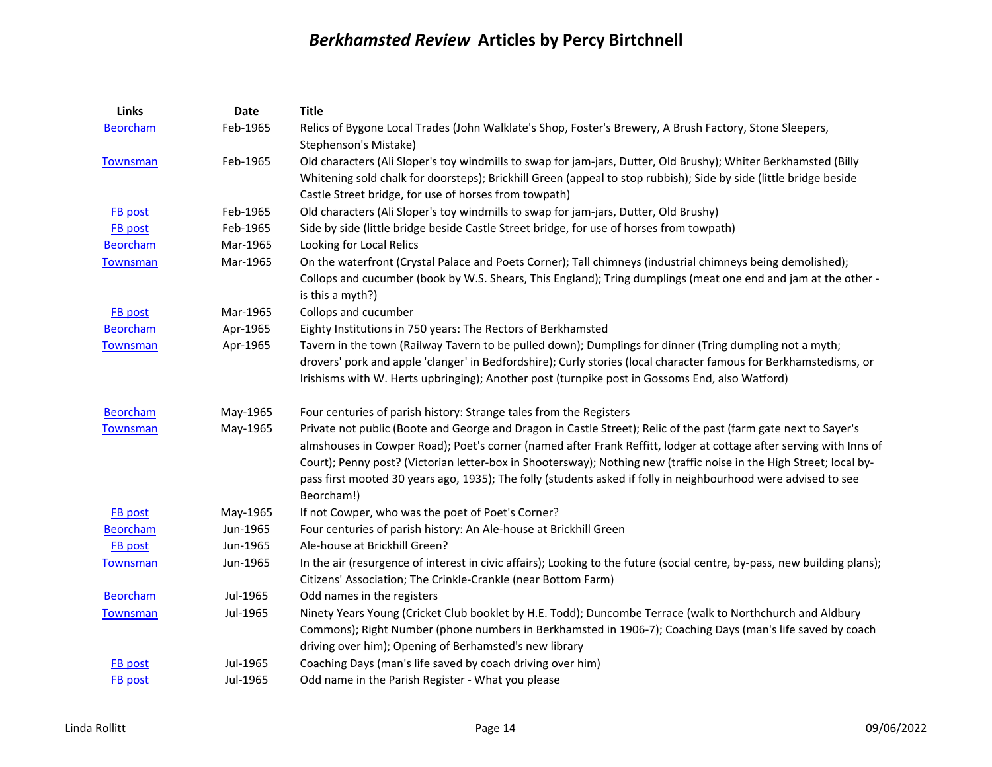| Links           | <b>Date</b> | <b>Title</b>                                                                                                              |
|-----------------|-------------|---------------------------------------------------------------------------------------------------------------------------|
| <b>Beorcham</b> | Feb-1965    | Relics of Bygone Local Trades (John Walklate's Shop, Foster's Brewery, A Brush Factory, Stone Sleepers,                   |
|                 |             | Stephenson's Mistake)                                                                                                     |
| Townsman        | Feb-1965    | Old characters (Ali Sloper's toy windmills to swap for jam-jars, Dutter, Old Brushy); Whiter Berkhamsted (Billy           |
|                 |             | Whitening sold chalk for doorsteps); Brickhill Green (appeal to stop rubbish); Side by side (little bridge beside         |
|                 |             | Castle Street bridge, for use of horses from towpath)                                                                     |
| <b>FB</b> post  | Feb-1965    | Old characters (Ali Sloper's toy windmills to swap for jam-jars, Dutter, Old Brushy)                                      |
| <b>FB</b> post  | Feb-1965    | Side by side (little bridge beside Castle Street bridge, for use of horses from towpath)                                  |
| <b>Beorcham</b> | Mar-1965    | Looking for Local Relics                                                                                                  |
| Townsman        | Mar-1965    | On the waterfront (Crystal Palace and Poets Corner); Tall chimneys (industrial chimneys being demolished);                |
|                 |             | Collops and cucumber (book by W.S. Shears, This England); Tring dumplings (meat one end and jam at the other -            |
|                 |             | is this a myth?)                                                                                                          |
| <b>FB</b> post  | Mar-1965    | Collops and cucumber                                                                                                      |
| <b>Beorcham</b> | Apr-1965    | Eighty Institutions in 750 years: The Rectors of Berkhamsted                                                              |
| Townsman        | Apr-1965    | Tavern in the town (Railway Tavern to be pulled down); Dumplings for dinner (Tring dumpling not a myth;                   |
|                 |             | drovers' pork and apple 'clanger' in Bedfordshire); Curly stories (local character famous for Berkhamstedisms, or         |
|                 |             | Irishisms with W. Herts upbringing); Another post (turnpike post in Gossoms End, also Watford)                            |
| <b>Beorcham</b> | May-1965    | Four centuries of parish history: Strange tales from the Registers                                                        |
| <b>Townsman</b> | May-1965    | Private not public (Boote and George and Dragon in Castle Street); Relic of the past (farm gate next to Sayer's           |
|                 |             | almshouses in Cowper Road); Poet's corner (named after Frank Reffitt, lodger at cottage after serving with Inns of        |
|                 |             | Court); Penny post? (Victorian letter-box in Shootersway); Nothing new (traffic noise in the High Street; local by-       |
|                 |             | pass first mooted 30 years ago, 1935); The folly (students asked if folly in neighbourhood were advised to see            |
|                 |             | Beorcham!)                                                                                                                |
| <b>FB</b> post  | May-1965    | If not Cowper, who was the poet of Poet's Corner?                                                                         |
| <b>Beorcham</b> | Jun-1965    | Four centuries of parish history: An Ale-house at Brickhill Green                                                         |
| <b>FB</b> post  | Jun-1965    | Ale-house at Brickhill Green?                                                                                             |
| <b>Townsman</b> | Jun-1965    | In the air (resurgence of interest in civic affairs); Looking to the future (social centre, by-pass, new building plans); |
|                 |             | Citizens' Association; The Crinkle-Crankle (near Bottom Farm)                                                             |
| <b>Beorcham</b> | Jul-1965    | Odd names in the registers                                                                                                |
| <b>Townsman</b> | Jul-1965    | Ninety Years Young (Cricket Club booklet by H.E. Todd); Duncombe Terrace (walk to Northchurch and Aldbury                 |
|                 |             | Commons); Right Number (phone numbers in Berkhamsted in 1906-7); Coaching Days (man's life saved by coach                 |
|                 |             | driving over him); Opening of Berhamsted's new library                                                                    |
| <b>FB</b> post  | Jul-1965    | Coaching Days (man's life saved by coach driving over him)                                                                |
| <b>FB</b> post  | Jul-1965    | Odd name in the Parish Register - What you please                                                                         |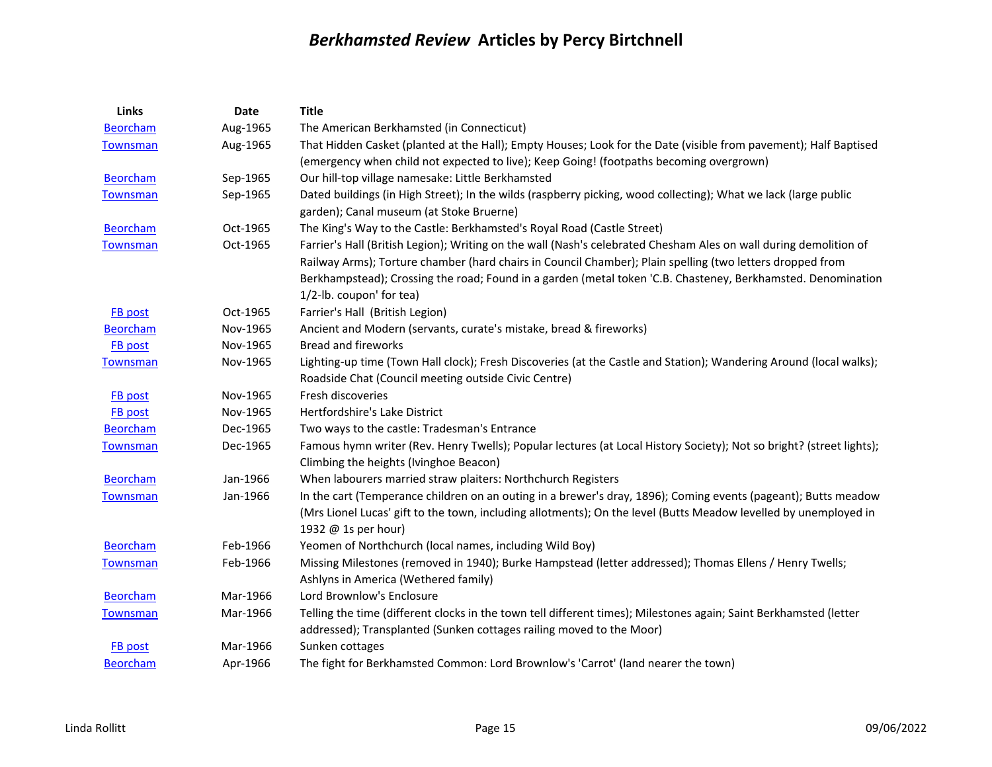| Links           | Date     | <b>Title</b>                                                                                                         |
|-----------------|----------|----------------------------------------------------------------------------------------------------------------------|
| <b>Beorcham</b> | Aug-1965 | The American Berkhamsted (in Connecticut)                                                                            |
| Townsman        | Aug-1965 | That Hidden Casket (planted at the Hall); Empty Houses; Look for the Date (visible from pavement); Half Baptised     |
|                 |          | (emergency when child not expected to live); Keep Going! (footpaths becoming overgrown)                              |
| <b>Beorcham</b> | Sep-1965 | Our hill-top village namesake: Little Berkhamsted                                                                    |
| Townsman        | Sep-1965 | Dated buildings (in High Street); In the wilds (raspberry picking, wood collecting); What we lack (large public      |
|                 |          | garden); Canal museum (at Stoke Bruerne)                                                                             |
| <b>Beorcham</b> | Oct-1965 | The King's Way to the Castle: Berkhamsted's Royal Road (Castle Street)                                               |
| <b>Townsman</b> | Oct-1965 | Farrier's Hall (British Legion); Writing on the wall (Nash's celebrated Chesham Ales on wall during demolition of    |
|                 |          | Railway Arms); Torture chamber (hard chairs in Council Chamber); Plain spelling (two letters dropped from            |
|                 |          | Berkhampstead); Crossing the road; Found in a garden (metal token 'C.B. Chasteney, Berkhamsted. Denomination         |
|                 |          | 1/2-lb. coupon' for tea)                                                                                             |
| <b>FB</b> post  | Oct-1965 | Farrier's Hall (British Legion)                                                                                      |
| <b>Beorcham</b> | Nov-1965 | Ancient and Modern (servants, curate's mistake, bread & fireworks)                                                   |
| FB post         | Nov-1965 | <b>Bread and fireworks</b>                                                                                           |
| <b>Townsman</b> | Nov-1965 | Lighting-up time (Town Hall clock); Fresh Discoveries (at the Castle and Station); Wandering Around (local walks);   |
|                 |          | Roadside Chat (Council meeting outside Civic Centre)                                                                 |
| <b>FB</b> post  | Nov-1965 | Fresh discoveries                                                                                                    |
| FB post         | Nov-1965 | Hertfordshire's Lake District                                                                                        |
| <b>Beorcham</b> | Dec-1965 | Two ways to the castle: Tradesman's Entrance                                                                         |
| <b>Townsman</b> | Dec-1965 | Famous hymn writer (Rev. Henry Twells); Popular lectures (at Local History Society); Not so bright? (street lights); |
|                 |          | Climbing the heights (Ivinghoe Beacon)                                                                               |
| <b>Beorcham</b> | Jan-1966 | When labourers married straw plaiters: Northchurch Registers                                                         |
| <b>Townsman</b> | Jan-1966 | In the cart (Temperance children on an outing in a brewer's dray, 1896); Coming events (pageant); Butts meadow       |
|                 |          | (Mrs Lionel Lucas' gift to the town, including allotments); On the level (Butts Meadow levelled by unemployed in     |
|                 |          | 1932 @ 1s per hour)                                                                                                  |
| <b>Beorcham</b> | Feb-1966 | Yeomen of Northchurch (local names, including Wild Boy)                                                              |
| <b>Townsman</b> | Feb-1966 | Missing Milestones (removed in 1940); Burke Hampstead (letter addressed); Thomas Ellens / Henry Twells;              |
|                 |          | Ashlyns in America (Wethered family)                                                                                 |
| <b>Beorcham</b> | Mar-1966 | Lord Brownlow's Enclosure                                                                                            |
| <b>Townsman</b> | Mar-1966 | Telling the time (different clocks in the town tell different times); Milestones again; Saint Berkhamsted (letter    |
|                 |          | addressed); Transplanted (Sunken cottages railing moved to the Moor)                                                 |
| <b>FB</b> post  | Mar-1966 | Sunken cottages                                                                                                      |
| <b>Beorcham</b> | Apr-1966 | The fight for Berkhamsted Common: Lord Brownlow's 'Carrot' (land nearer the town)                                    |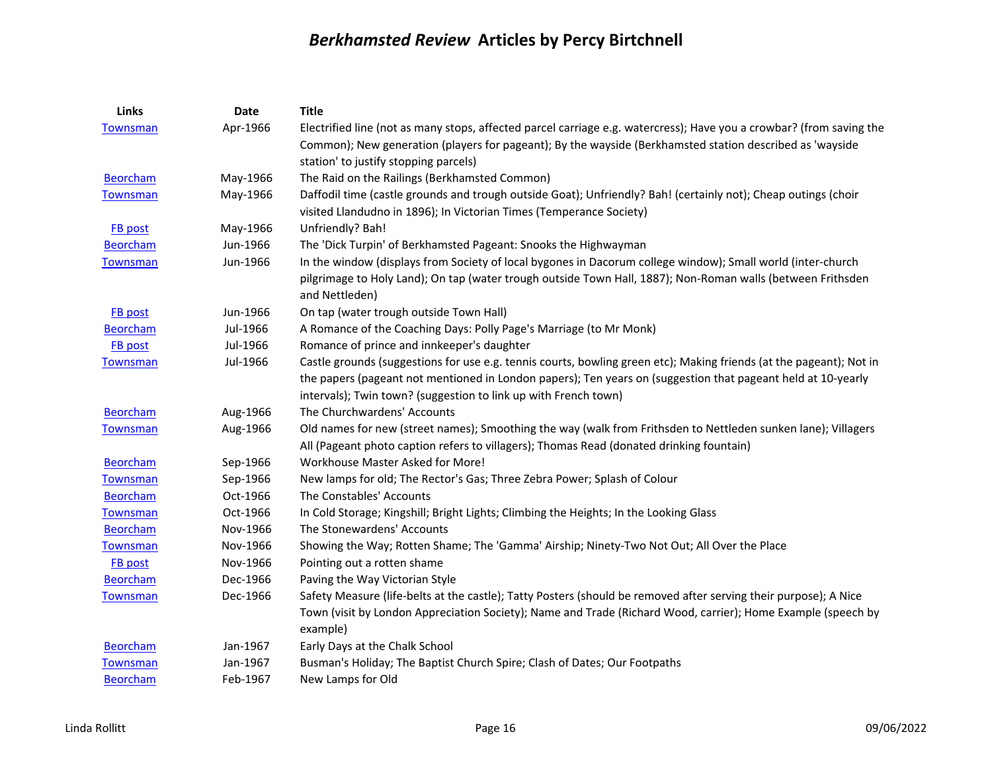| Links           | <b>Date</b> | <b>Title</b>                                                                                                         |
|-----------------|-------------|----------------------------------------------------------------------------------------------------------------------|
| <b>Townsman</b> | Apr-1966    | Electrified line (not as many stops, affected parcel carriage e.g. watercress); Have you a crowbar? (from saving the |
|                 |             | Common); New generation (players for pageant); By the wayside (Berkhamsted station described as 'wayside             |
|                 |             | station' to justify stopping parcels)                                                                                |
| <b>Beorcham</b> | May-1966    | The Raid on the Railings (Berkhamsted Common)                                                                        |
| Townsman        | May-1966    | Daffodil time (castle grounds and trough outside Goat); Unfriendly? Bah! (certainly not); Cheap outings (choir       |
|                 |             | visited Llandudno in 1896); In Victorian Times (Temperance Society)                                                  |
| <b>FB</b> post  | May-1966    | Unfriendly? Bah!                                                                                                     |
| <b>Beorcham</b> | Jun-1966    | The 'Dick Turpin' of Berkhamsted Pageant: Snooks the Highwayman                                                      |
| Townsman        | Jun-1966    | In the window (displays from Society of local bygones in Dacorum college window); Small world (inter-church          |
|                 |             | pilgrimage to Holy Land); On tap (water trough outside Town Hall, 1887); Non-Roman walls (between Frithsden          |
|                 |             | and Nettleden)                                                                                                       |
| FB post         | Jun-1966    | On tap (water trough outside Town Hall)                                                                              |
| <b>Beorcham</b> | Jul-1966    | A Romance of the Coaching Days: Polly Page's Marriage (to Mr Monk)                                                   |
| FB post         | Jul-1966    | Romance of prince and innkeeper's daughter                                                                           |
| <b>Townsman</b> | Jul-1966    | Castle grounds (suggestions for use e.g. tennis courts, bowling green etc); Making friends (at the pageant); Not in  |
|                 |             | the papers (pageant not mentioned in London papers); Ten years on (suggestion that pageant held at 10-yearly         |
|                 |             | intervals); Twin town? (suggestion to link up with French town)                                                      |
| <b>Beorcham</b> | Aug-1966    | The Churchwardens' Accounts                                                                                          |
| Townsman        | Aug-1966    | Old names for new (street names); Smoothing the way (walk from Frithsden to Nettleden sunken lane); Villagers        |
|                 |             | All (Pageant photo caption refers to villagers); Thomas Read (donated drinking fountain)                             |
| <b>Beorcham</b> | Sep-1966    | Workhouse Master Asked for More!                                                                                     |
| <b>Townsman</b> | Sep-1966    | New lamps for old; The Rector's Gas; Three Zebra Power; Splash of Colour                                             |
| <b>Beorcham</b> | Oct-1966    | The Constables' Accounts                                                                                             |
| Townsman        | Oct-1966    | In Cold Storage; Kingshill; Bright Lights; Climbing the Heights; In the Looking Glass                                |
| <b>Beorcham</b> | Nov-1966    | The Stonewardens' Accounts                                                                                           |
| Townsman        | Nov-1966    | Showing the Way; Rotten Shame; The 'Gamma' Airship; Ninety-Two Not Out; All Over the Place                           |
| FB post         | Nov-1966    | Pointing out a rotten shame                                                                                          |
| <b>Beorcham</b> | Dec-1966    | Paving the Way Victorian Style                                                                                       |
| <b>Townsman</b> | Dec-1966    | Safety Measure (life-belts at the castle); Tatty Posters (should be removed after serving their purpose); A Nice     |
|                 |             | Town (visit by London Appreciation Society); Name and Trade (Richard Wood, carrier); Home Example (speech by         |
|                 |             | example)                                                                                                             |
| <b>Beorcham</b> | Jan-1967    | Early Days at the Chalk School                                                                                       |
| <b>Townsman</b> | Jan-1967    | Busman's Holiday; The Baptist Church Spire; Clash of Dates; Our Footpaths                                            |
| <b>Beorcham</b> | Feb-1967    | New Lamps for Old                                                                                                    |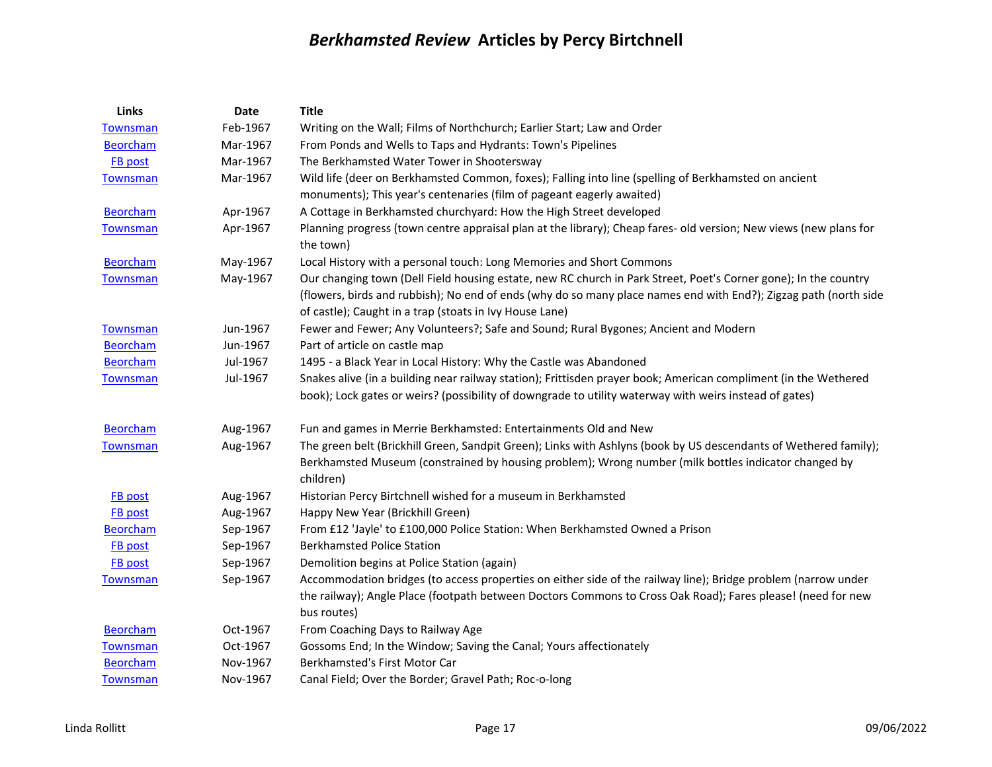| Links           | <b>Date</b> | <b>Title</b>                                                                                                                   |
|-----------------|-------------|--------------------------------------------------------------------------------------------------------------------------------|
| <b>Townsman</b> | Feb-1967    | Writing on the Wall; Films of Northchurch; Earlier Start; Law and Order                                                        |
| <b>Beorcham</b> | Mar-1967    | From Ponds and Wells to Taps and Hydrants: Town's Pipelines                                                                    |
| <b>FB</b> post  | Mar-1967    | The Berkhamsted Water Tower in Shootersway                                                                                     |
| <b>Townsman</b> | Mar-1967    | Wild life (deer on Berkhamsted Common, foxes); Falling into line (spelling of Berkhamsted on ancient                           |
|                 |             | monuments); This year's centenaries (film of pageant eagerly awaited)                                                          |
| <b>Beorcham</b> | Apr-1967    | A Cottage in Berkhamsted churchyard: How the High Street developed                                                             |
| <b>Townsman</b> | Apr-1967    | Planning progress (town centre appraisal plan at the library); Cheap fares- old version; New views (new plans for<br>the town) |
| <b>Beorcham</b> | May-1967    | Local History with a personal touch: Long Memories and Short Commons                                                           |
| Townsman        | May-1967    | Our changing town (Dell Field housing estate, new RC church in Park Street, Poet's Corner gone); In the country                |
|                 |             | (flowers, birds and rubbish); No end of ends (why do so many place names end with End?); Zigzag path (north side               |
|                 |             | of castle); Caught in a trap (stoats in Ivy House Lane)                                                                        |
| <b>Townsman</b> | Jun-1967    | Fewer and Fewer; Any Volunteers?; Safe and Sound; Rural Bygones; Ancient and Modern                                            |
| <b>Beorcham</b> | Jun-1967    | Part of article on castle map                                                                                                  |
| <b>Beorcham</b> | Jul-1967    | 1495 - a Black Year in Local History: Why the Castle was Abandoned                                                             |
| Townsman        | Jul-1967    | Snakes alive (in a building near railway station); Frittisden prayer book; American compliment (in the Wethered                |
|                 |             | book); Lock gates or weirs? (possibility of downgrade to utility waterway with weirs instead of gates)                         |
| <b>Beorcham</b> | Aug-1967    | Fun and games in Merrie Berkhamsted: Entertainments Old and New                                                                |
| <b>Townsman</b> | Aug-1967    | The green belt (Brickhill Green, Sandpit Green); Links with Ashlyns (book by US descendants of Wethered family);               |
|                 |             | Berkhamsted Museum (constrained by housing problem); Wrong number (milk bottles indicator changed by<br>children)              |
| <b>FB</b> post  | Aug-1967    | Historian Percy Birtchnell wished for a museum in Berkhamsted                                                                  |
| <b>FB</b> post  | Aug-1967    | Happy New Year (Brickhill Green)                                                                                               |
| <b>Beorcham</b> | Sep-1967    | From £12 'Jayle' to £100,000 Police Station: When Berkhamsted Owned a Prison                                                   |
| <b>FB</b> post  | Sep-1967    | <b>Berkhamsted Police Station</b>                                                                                              |
| <b>FB</b> post  | Sep-1967    | Demolition begins at Police Station (again)                                                                                    |
| <b>Townsman</b> | Sep-1967    | Accommodation bridges (to access properties on either side of the railway line); Bridge problem (narrow under                  |
|                 |             | the railway); Angle Place (footpath between Doctors Commons to Cross Oak Road); Fares please! (need for new<br>bus routes)     |
| <b>Beorcham</b> | Oct-1967    | From Coaching Days to Railway Age                                                                                              |
| <b>Townsman</b> | Oct-1967    | Gossoms End; In the Window; Saving the Canal; Yours affectionately                                                             |
| <b>Beorcham</b> | Nov-1967    | Berkhamsted's First Motor Car                                                                                                  |
| <b>Townsman</b> | Nov-1967    | Canal Field; Over the Border; Gravel Path; Roc-o-long                                                                          |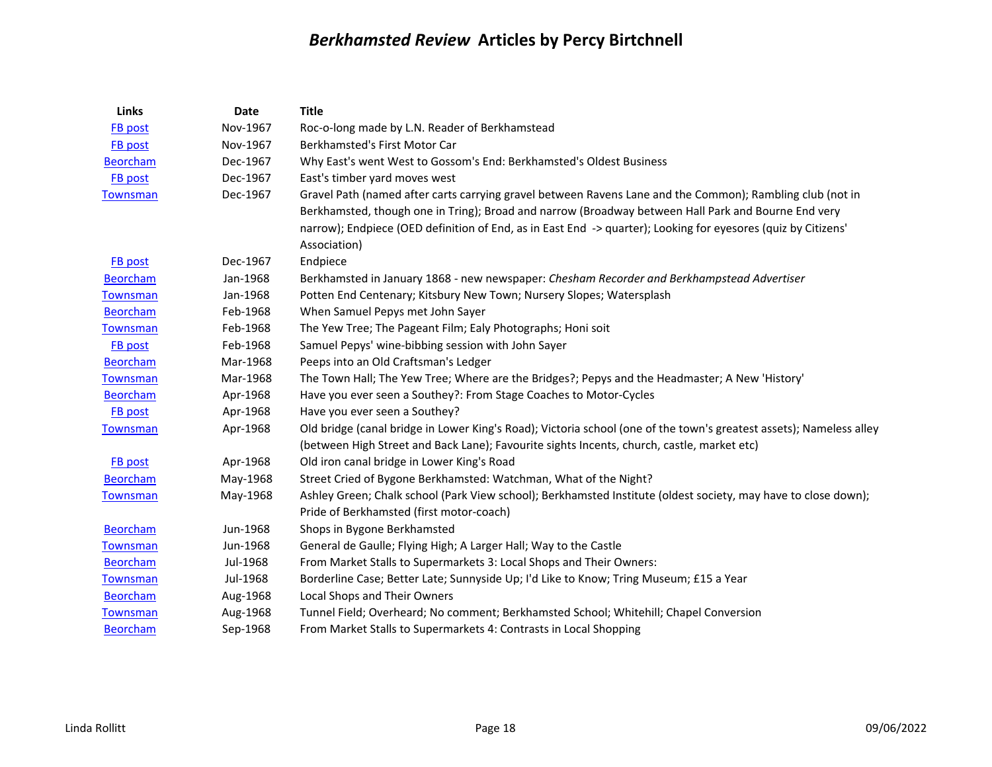| <b>Links</b>    | <b>Date</b> | <b>Title</b>                                                                                                                                                                                                                                                                                                                                      |
|-----------------|-------------|---------------------------------------------------------------------------------------------------------------------------------------------------------------------------------------------------------------------------------------------------------------------------------------------------------------------------------------------------|
| FB post         | Nov-1967    | Roc-o-long made by L.N. Reader of Berkhamstead                                                                                                                                                                                                                                                                                                    |
| FB post         | Nov-1967    | Berkhamsted's First Motor Car                                                                                                                                                                                                                                                                                                                     |
| <b>Beorcham</b> | Dec-1967    | Why East's went West to Gossom's End: Berkhamsted's Oldest Business                                                                                                                                                                                                                                                                               |
| FB post         | Dec-1967    | East's timber yard moves west                                                                                                                                                                                                                                                                                                                     |
| <b>Townsman</b> | Dec-1967    | Gravel Path (named after carts carrying gravel between Ravens Lane and the Common); Rambling club (not in<br>Berkhamsted, though one in Tring); Broad and narrow (Broadway between Hall Park and Bourne End very<br>narrow); Endpiece (OED definition of End, as in East End -> quarter); Looking for eyesores (quiz by Citizens'<br>Association) |
| FB post         | Dec-1967    | Endpiece                                                                                                                                                                                                                                                                                                                                          |
| <b>Beorcham</b> | Jan-1968    | Berkhamsted in January 1868 - new newspaper: Chesham Recorder and Berkhampstead Advertiser                                                                                                                                                                                                                                                        |
| <b>Townsman</b> | Jan-1968    | Potten End Centenary; Kitsbury New Town; Nursery Slopes; Watersplash                                                                                                                                                                                                                                                                              |
| <b>Beorcham</b> | Feb-1968    | When Samuel Pepys met John Sayer                                                                                                                                                                                                                                                                                                                  |
| <b>Townsman</b> | Feb-1968    | The Yew Tree; The Pageant Film; Ealy Photographs; Honi soit                                                                                                                                                                                                                                                                                       |
| FB post         | Feb-1968    | Samuel Pepys' wine-bibbing session with John Sayer                                                                                                                                                                                                                                                                                                |
| Beorcham        | Mar-1968    | Peeps into an Old Craftsman's Ledger                                                                                                                                                                                                                                                                                                              |
| <b>Townsman</b> | Mar-1968    | The Town Hall; The Yew Tree; Where are the Bridges?; Pepys and the Headmaster; A New 'History'                                                                                                                                                                                                                                                    |
| <b>Beorcham</b> | Apr-1968    | Have you ever seen a Southey?: From Stage Coaches to Motor-Cycles                                                                                                                                                                                                                                                                                 |
| <b>FB</b> post  | Apr-1968    | Have you ever seen a Southey?                                                                                                                                                                                                                                                                                                                     |
| <b>Townsman</b> | Apr-1968    | Old bridge (canal bridge in Lower King's Road); Victoria school (one of the town's greatest assets); Nameless alley<br>(between High Street and Back Lane); Favourite sights Incents, church, castle, market etc)                                                                                                                                 |
| <b>FB</b> post  | Apr-1968    | Old iron canal bridge in Lower King's Road                                                                                                                                                                                                                                                                                                        |
| <b>Beorcham</b> | May-1968    | Street Cried of Bygone Berkhamsted: Watchman, What of the Night?                                                                                                                                                                                                                                                                                  |
| <b>Townsman</b> | May-1968    | Ashley Green; Chalk school (Park View school); Berkhamsted Institute (oldest society, may have to close down);<br>Pride of Berkhamsted (first motor-coach)                                                                                                                                                                                        |
| <b>Beorcham</b> | Jun-1968    | Shops in Bygone Berkhamsted                                                                                                                                                                                                                                                                                                                       |
| <b>Townsman</b> | Jun-1968    | General de Gaulle; Flying High; A Larger Hall; Way to the Castle                                                                                                                                                                                                                                                                                  |
| <b>Beorcham</b> | Jul-1968    | From Market Stalls to Supermarkets 3: Local Shops and Their Owners:                                                                                                                                                                                                                                                                               |
| <b>Townsman</b> | Jul-1968    | Borderline Case; Better Late; Sunnyside Up; I'd Like to Know; Tring Museum; £15 a Year                                                                                                                                                                                                                                                            |
| <b>Beorcham</b> | Aug-1968    | Local Shops and Their Owners                                                                                                                                                                                                                                                                                                                      |
| <b>Townsman</b> | Aug-1968    | Tunnel Field; Overheard; No comment; Berkhamsted School; Whitehill; Chapel Conversion                                                                                                                                                                                                                                                             |
| <b>Beorcham</b> | Sep-1968    | From Market Stalls to Supermarkets 4: Contrasts in Local Shopping                                                                                                                                                                                                                                                                                 |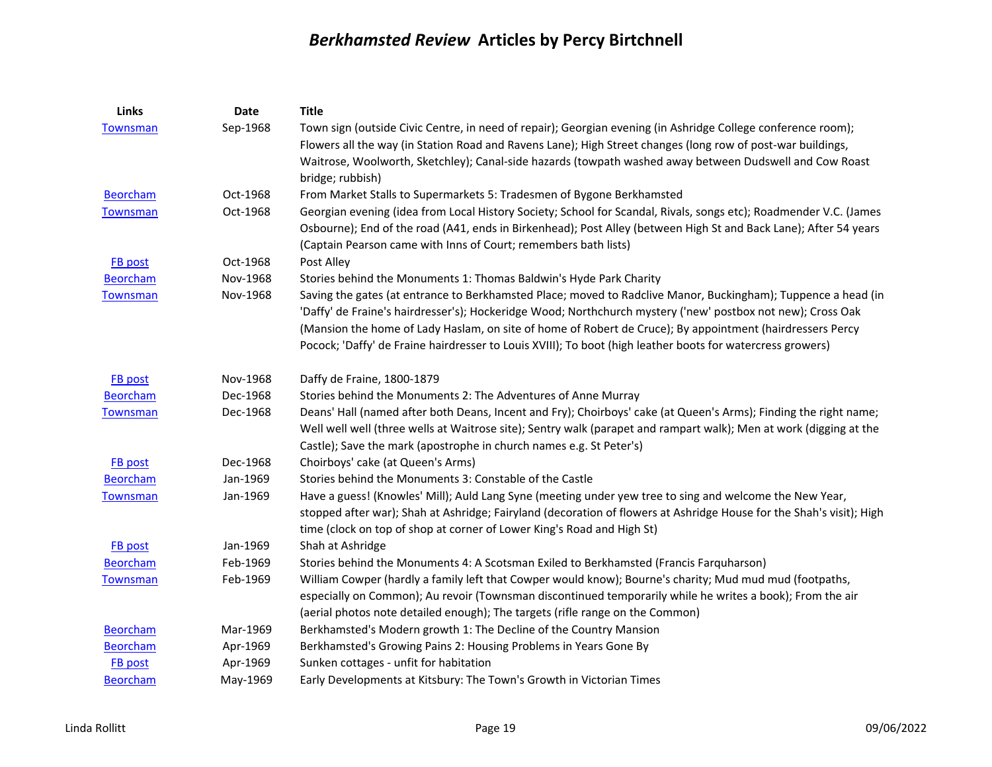| Links           | Date     | <b>Title</b>                                                                                                         |
|-----------------|----------|----------------------------------------------------------------------------------------------------------------------|
| <b>Townsman</b> | Sep-1968 | Town sign (outside Civic Centre, in need of repair); Georgian evening (in Ashridge College conference room);         |
|                 |          | Flowers all the way (in Station Road and Ravens Lane); High Street changes (long row of post-war buildings,          |
|                 |          | Waitrose, Woolworth, Sketchley); Canal-side hazards (towpath washed away between Dudswell and Cow Roast              |
|                 |          | bridge; rubbish)                                                                                                     |
| <b>Beorcham</b> | Oct-1968 | From Market Stalls to Supermarkets 5: Tradesmen of Bygone Berkhamsted                                                |
| Townsman        | Oct-1968 | Georgian evening (idea from Local History Society; School for Scandal, Rivals, songs etc); Roadmender V.C. (James    |
|                 |          | Osbourne); End of the road (A41, ends in Birkenhead); Post Alley (between High St and Back Lane); After 54 years     |
|                 |          | (Captain Pearson came with Inns of Court; remembers bath lists)                                                      |
| FB post         | Oct-1968 | Post Alley                                                                                                           |
| <b>Beorcham</b> | Nov-1968 | Stories behind the Monuments 1: Thomas Baldwin's Hyde Park Charity                                                   |
| <b>Townsman</b> | Nov-1968 | Saving the gates (at entrance to Berkhamsted Place; moved to Radclive Manor, Buckingham); Tuppence a head (in        |
|                 |          | 'Daffy' de Fraine's hairdresser's); Hockeridge Wood; Northchurch mystery ('new' postbox not new); Cross Oak          |
|                 |          | (Mansion the home of Lady Haslam, on site of home of Robert de Cruce); By appointment (hairdressers Percy            |
|                 |          | Pocock; 'Daffy' de Fraine hairdresser to Louis XVIII); To boot (high leather boots for watercress growers)           |
| <b>FB</b> post  | Nov-1968 | Daffy de Fraine, 1800-1879                                                                                           |
| <b>Beorcham</b> | Dec-1968 | Stories behind the Monuments 2: The Adventures of Anne Murray                                                        |
| <b>Townsman</b> | Dec-1968 | Deans' Hall (named after both Deans, Incent and Fry); Choirboys' cake (at Queen's Arms); Finding the right name;     |
|                 |          | Well well well (three wells at Waitrose site); Sentry walk (parapet and rampart walk); Men at work (digging at the   |
|                 |          | Castle); Save the mark (apostrophe in church names e.g. St Peter's)                                                  |
| FB post         | Dec-1968 | Choirboys' cake (at Queen's Arms)                                                                                    |
| <b>Beorcham</b> | Jan-1969 | Stories behind the Monuments 3: Constable of the Castle                                                              |
| <b>Townsman</b> | Jan-1969 | Have a guess! (Knowles' Mill); Auld Lang Syne (meeting under yew tree to sing and welcome the New Year,              |
|                 |          | stopped after war); Shah at Ashridge; Fairyland (decoration of flowers at Ashridge House for the Shah's visit); High |
|                 |          | time (clock on top of shop at corner of Lower King's Road and High St)                                               |
| FB post         | Jan-1969 | Shah at Ashridge                                                                                                     |
| <b>Beorcham</b> | Feb-1969 | Stories behind the Monuments 4: A Scotsman Exiled to Berkhamsted (Francis Farquharson)                               |
| Townsman        | Feb-1969 | William Cowper (hardly a family left that Cowper would know); Bourne's charity; Mud mud mud (footpaths,              |
|                 |          | especially on Common); Au revoir (Townsman discontinued temporarily while he writes a book); From the air            |
|                 |          | (aerial photos note detailed enough); The targets (rifle range on the Common)                                        |
| <b>Beorcham</b> | Mar-1969 | Berkhamsted's Modern growth 1: The Decline of the Country Mansion                                                    |
| <b>Beorcham</b> | Apr-1969 | Berkhamsted's Growing Pains 2: Housing Problems in Years Gone By                                                     |
| FB post         | Apr-1969 | Sunken cottages - unfit for habitation                                                                               |
| <b>Beorcham</b> | May-1969 | Early Developments at Kitsbury: The Town's Growth in Victorian Times                                                 |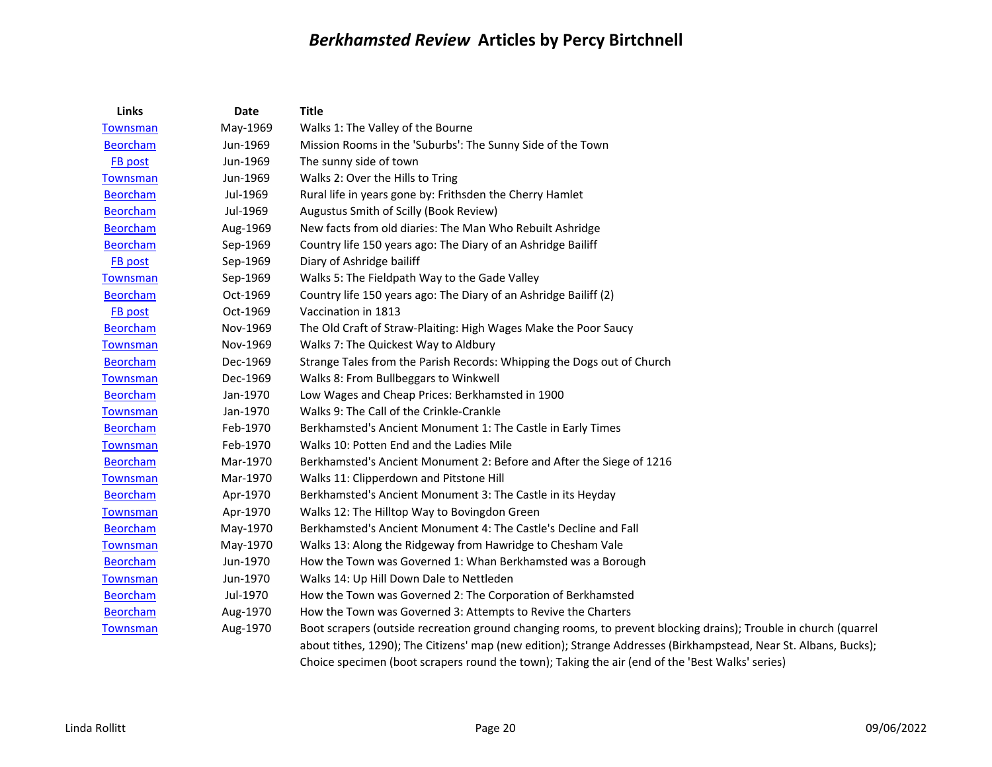| Links           | Date     | <b>Title</b>                                                                                                     |
|-----------------|----------|------------------------------------------------------------------------------------------------------------------|
| Townsman        | May-1969 | Walks 1: The Valley of the Bourne                                                                                |
| <b>Beorcham</b> | Jun-1969 | Mission Rooms in the 'Suburbs': The Sunny Side of the Town                                                       |
| FB post         | Jun-1969 | The sunny side of town                                                                                           |
| <b>Townsman</b> | Jun-1969 | Walks 2: Over the Hills to Tring                                                                                 |
| <b>Beorcham</b> | Jul-1969 | Rural life in years gone by: Frithsden the Cherry Hamlet                                                         |
| <b>Beorcham</b> | Jul-1969 | Augustus Smith of Scilly (Book Review)                                                                           |
| <b>Beorcham</b> | Aug-1969 | New facts from old diaries: The Man Who Rebuilt Ashridge                                                         |
| <b>Beorcham</b> | Sep-1969 | Country life 150 years ago: The Diary of an Ashridge Bailiff                                                     |
| FB post         | Sep-1969 | Diary of Ashridge bailiff                                                                                        |
| <b>Townsman</b> | Sep-1969 | Walks 5: The Fieldpath Way to the Gade Valley                                                                    |
| <b>Beorcham</b> | Oct-1969 | Country life 150 years ago: The Diary of an Ashridge Bailiff (2)                                                 |
| FB post         | Oct-1969 | Vaccination in 1813                                                                                              |
| <b>Beorcham</b> | Nov-1969 | The Old Craft of Straw-Plaiting: High Wages Make the Poor Saucy                                                  |
| <b>Townsman</b> | Nov-1969 | Walks 7: The Quickest Way to Aldbury                                                                             |
| <b>Beorcham</b> | Dec-1969 | Strange Tales from the Parish Records: Whipping the Dogs out of Church                                           |
| <b>Townsman</b> | Dec-1969 | Walks 8: From Bullbeggars to Winkwell                                                                            |
| <b>Beorcham</b> | Jan-1970 | Low Wages and Cheap Prices: Berkhamsted in 1900                                                                  |
| <b>Townsman</b> | Jan-1970 | Walks 9: The Call of the Crinkle-Crankle                                                                         |
| <b>Beorcham</b> | Feb-1970 | Berkhamsted's Ancient Monument 1: The Castle in Early Times                                                      |
| <b>Townsman</b> | Feb-1970 | Walks 10: Potten End and the Ladies Mile                                                                         |
| <b>Beorcham</b> | Mar-1970 | Berkhamsted's Ancient Monument 2: Before and After the Siege of 1216                                             |
| <b>Townsman</b> | Mar-1970 | Walks 11: Clipperdown and Pitstone Hill                                                                          |
| <b>Beorcham</b> | Apr-1970 | Berkhamsted's Ancient Monument 3: The Castle in its Heyday                                                       |
| Townsman        | Apr-1970 | Walks 12: The Hilltop Way to Bovingdon Green                                                                     |
| <b>Beorcham</b> | May-1970 | Berkhamsted's Ancient Monument 4: The Castle's Decline and Fall                                                  |
| <b>Townsman</b> | May-1970 | Walks 13: Along the Ridgeway from Hawridge to Chesham Vale                                                       |
| <b>Beorcham</b> | Jun-1970 | How the Town was Governed 1: Whan Berkhamsted was a Borough                                                      |
| Townsman        | Jun-1970 | Walks 14: Up Hill Down Dale to Nettleden                                                                         |
| <b>Beorcham</b> | Jul-1970 | How the Town was Governed 2: The Corporation of Berkhamsted                                                      |
| <b>Beorcham</b> | Aug-1970 | How the Town was Governed 3: Attempts to Revive the Charters                                                     |
| Townsman        | Aug-1970 | Boot scrapers (outside recreation ground changing rooms, to prevent blocking drains); Trouble in church (quarrel |
|                 |          | about tithes, 1290); The Citizens' map (new edition); Strange Addresses (Birkhampstead, Near St. Albans, Bucks); |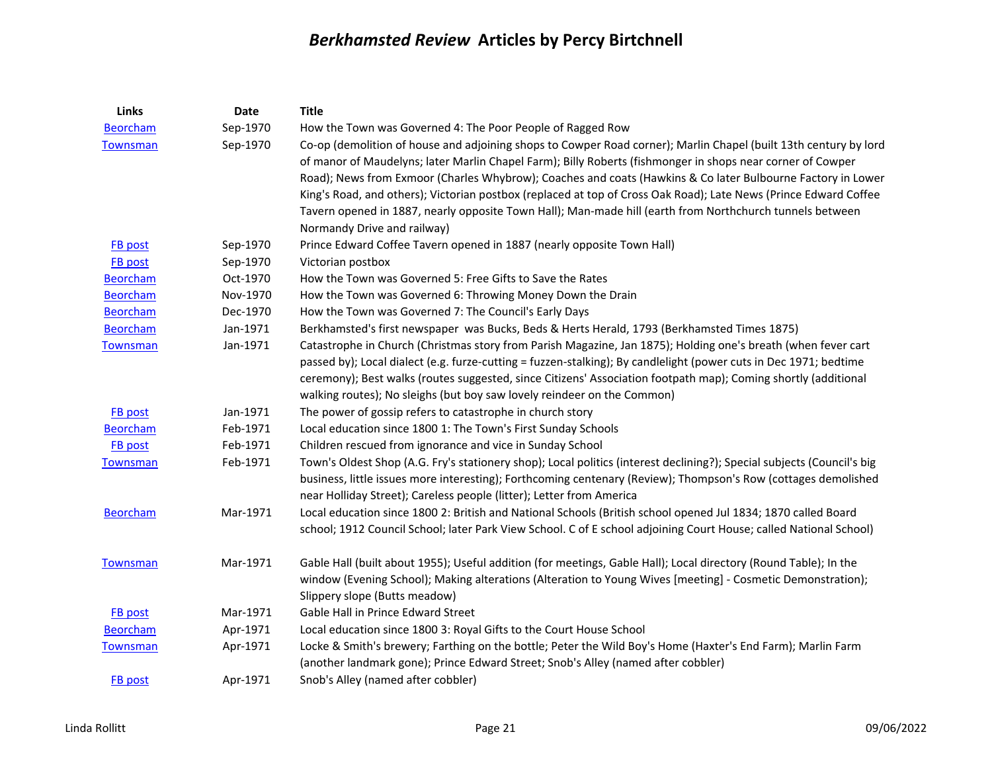| <b>Links</b>    | <b>Date</b> | <b>Title</b>                                                                                                           |
|-----------------|-------------|------------------------------------------------------------------------------------------------------------------------|
| <b>Beorcham</b> | Sep-1970    | How the Town was Governed 4: The Poor People of Ragged Row                                                             |
| <b>Townsman</b> | Sep-1970    | Co-op (demolition of house and adjoining shops to Cowper Road corner); Marlin Chapel (built 13th century by lord       |
|                 |             | of manor of Maudelyns; later Marlin Chapel Farm); Billy Roberts (fishmonger in shops near corner of Cowper             |
|                 |             | Road); News from Exmoor (Charles Whybrow); Coaches and coats (Hawkins & Co later Bulbourne Factory in Lower            |
|                 |             | King's Road, and others); Victorian postbox (replaced at top of Cross Oak Road); Late News (Prince Edward Coffee       |
|                 |             | Tavern opened in 1887, nearly opposite Town Hall); Man-made hill (earth from Northchurch tunnels between               |
|                 |             | Normandy Drive and railway)                                                                                            |
| FB post         | Sep-1970    | Prince Edward Coffee Tavern opened in 1887 (nearly opposite Town Hall)                                                 |
| FB post         | Sep-1970    | Victorian postbox                                                                                                      |
| <b>Beorcham</b> | Oct-1970    | How the Town was Governed 5: Free Gifts to Save the Rates                                                              |
| <b>Beorcham</b> | Nov-1970    | How the Town was Governed 6: Throwing Money Down the Drain                                                             |
| <b>Beorcham</b> | Dec-1970    | How the Town was Governed 7: The Council's Early Days                                                                  |
| <b>Beorcham</b> | Jan-1971    | Berkhamsted's first newspaper was Bucks, Beds & Herts Herald, 1793 (Berkhamsted Times 1875)                            |
| <b>Townsman</b> | Jan-1971    | Catastrophe in Church (Christmas story from Parish Magazine, Jan 1875); Holding one's breath (when fever cart          |
|                 |             | passed by); Local dialect (e.g. furze-cutting = fuzzen-stalking); By candlelight (power cuts in Dec 1971; bedtime      |
|                 |             | ceremony); Best walks (routes suggested, since Citizens' Association footpath map); Coming shortly (additional         |
|                 |             | walking routes); No sleighs (but boy saw lovely reindeer on the Common)                                                |
| <b>FB</b> post  | Jan-1971    | The power of gossip refers to catastrophe in church story                                                              |
| <b>Beorcham</b> | Feb-1971    | Local education since 1800 1: The Town's First Sunday Schools                                                          |
| FB post         | Feb-1971    | Children rescued from ignorance and vice in Sunday School                                                              |
| <b>Townsman</b> | Feb-1971    | Town's Oldest Shop (A.G. Fry's stationery shop); Local politics (interest declining?); Special subjects (Council's big |
|                 |             | business, little issues more interesting); Forthcoming centenary (Review); Thompson's Row (cottages demolished         |
|                 |             | near Holliday Street); Careless people (litter); Letter from America                                                   |
| <b>Beorcham</b> | Mar-1971    | Local education since 1800 2: British and National Schools (British school opened Jul 1834; 1870 called Board          |
|                 |             | school; 1912 Council School; later Park View School. C of E school adjoining Court House; called National School)      |
| <b>Townsman</b> | Mar-1971    | Gable Hall (built about 1955); Useful addition (for meetings, Gable Hall); Local directory (Round Table); In the       |
|                 |             | window (Evening School); Making alterations (Alteration to Young Wives [meeting] - Cosmetic Demonstration);            |
|                 |             | Slippery slope (Butts meadow)                                                                                          |
| FB post         | Mar-1971    | Gable Hall in Prince Edward Street                                                                                     |
| <b>Beorcham</b> | Apr-1971    | Local education since 1800 3: Royal Gifts to the Court House School                                                    |
| <b>Townsman</b> | Apr-1971    | Locke & Smith's brewery; Farthing on the bottle; Peter the Wild Boy's Home (Haxter's End Farm); Marlin Farm            |
|                 |             | (another landmark gone); Prince Edward Street; Snob's Alley (named after cobbler)                                      |
| FB post         | Apr-1971    | Snob's Alley (named after cobbler)                                                                                     |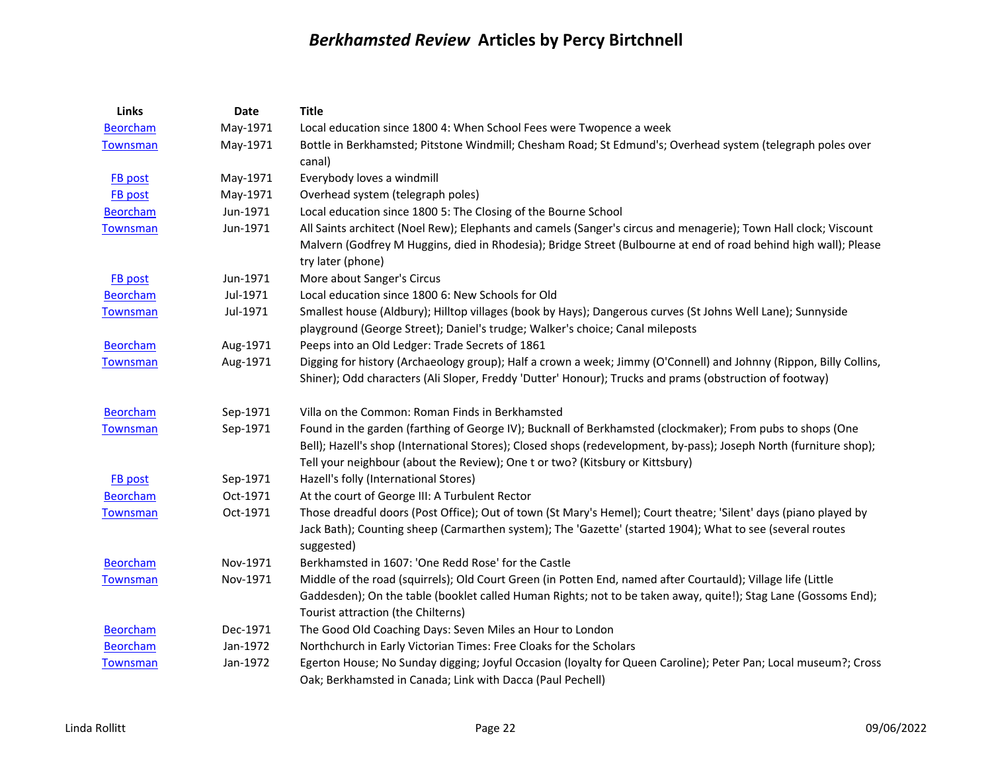| Links           | Date     | <b>Title</b>                                                                                                                                                                                                                                                                                                      |
|-----------------|----------|-------------------------------------------------------------------------------------------------------------------------------------------------------------------------------------------------------------------------------------------------------------------------------------------------------------------|
| <b>Beorcham</b> | May-1971 | Local education since 1800 4: When School Fees were Twopence a week                                                                                                                                                                                                                                               |
| <b>Townsman</b> | May-1971 | Bottle in Berkhamsted; Pitstone Windmill; Chesham Road; St Edmund's; Overhead system (telegraph poles over<br>canal)                                                                                                                                                                                              |
| <b>FB</b> post  | May-1971 | Everybody loves a windmill                                                                                                                                                                                                                                                                                        |
| <b>FB</b> post  | May-1971 | Overhead system (telegraph poles)                                                                                                                                                                                                                                                                                 |
| <b>Beorcham</b> | Jun-1971 | Local education since 1800 5: The Closing of the Bourne School                                                                                                                                                                                                                                                    |
| <b>Townsman</b> | Jun-1971 | All Saints architect (Noel Rew); Elephants and camels (Sanger's circus and menagerie); Town Hall clock; Viscount<br>Malvern (Godfrey M Huggins, died in Rhodesia); Bridge Street (Bulbourne at end of road behind high wall); Please<br>try later (phone)                                                         |
| <b>FB</b> post  | Jun-1971 | More about Sanger's Circus                                                                                                                                                                                                                                                                                        |
| <b>Beorcham</b> | Jul-1971 | Local education since 1800 6: New Schools for Old                                                                                                                                                                                                                                                                 |
| Townsman        | Jul-1971 | Smallest house (Aldbury); Hilltop villages (book by Hays); Dangerous curves (St Johns Well Lane); Sunnyside<br>playground (George Street); Daniel's trudge; Walker's choice; Canal mileposts                                                                                                                      |
| <b>Beorcham</b> | Aug-1971 | Peeps into an Old Ledger: Trade Secrets of 1861                                                                                                                                                                                                                                                                   |
| <b>Townsman</b> | Aug-1971 | Digging for history (Archaeology group); Half a crown a week; Jimmy (O'Connell) and Johnny (Rippon, Billy Collins,<br>Shiner); Odd characters (Ali Sloper, Freddy 'Dutter' Honour); Trucks and prams (obstruction of footway)                                                                                     |
| <b>Beorcham</b> | Sep-1971 | Villa on the Common: Roman Finds in Berkhamsted                                                                                                                                                                                                                                                                   |
| Townsman        | Sep-1971 | Found in the garden (farthing of George IV); Bucknall of Berkhamsted (clockmaker); From pubs to shops (One<br>Bell); Hazell's shop (International Stores); Closed shops (redevelopment, by-pass); Joseph North (furniture shop);<br>Tell your neighbour (about the Review); One t or two? (Kitsbury or Kittsbury) |
| <b>FB</b> post  | Sep-1971 | Hazell's folly (International Stores)                                                                                                                                                                                                                                                                             |
| Beorcham        | Oct-1971 | At the court of George III: A Turbulent Rector                                                                                                                                                                                                                                                                    |
| <b>Townsman</b> | Oct-1971 | Those dreadful doors (Post Office); Out of town (St Mary's Hemel); Court theatre; 'Silent' days (piano played by<br>Jack Bath); Counting sheep (Carmarthen system); The 'Gazette' (started 1904); What to see (several routes<br>suggested)                                                                       |
| <b>Beorcham</b> | Nov-1971 | Berkhamsted in 1607: 'One Redd Rose' for the Castle                                                                                                                                                                                                                                                               |
| <b>Townsman</b> | Nov-1971 | Middle of the road (squirrels); Old Court Green (in Potten End, named after Courtauld); Village life (Little<br>Gaddesden); On the table (booklet called Human Rights; not to be taken away, quite!); Stag Lane (Gossoms End);<br>Tourist attraction (the Chilterns)                                              |
| <b>Beorcham</b> | Dec-1971 | The Good Old Coaching Days: Seven Miles an Hour to London                                                                                                                                                                                                                                                         |
| <b>Beorcham</b> | Jan-1972 | Northchurch in Early Victorian Times: Free Cloaks for the Scholars                                                                                                                                                                                                                                                |
| Townsman        | Jan-1972 | Egerton House; No Sunday digging; Joyful Occasion (loyalty for Queen Caroline); Peter Pan; Local museum?; Cross<br>Oak; Berkhamsted in Canada; Link with Dacca (Paul Pechell)                                                                                                                                     |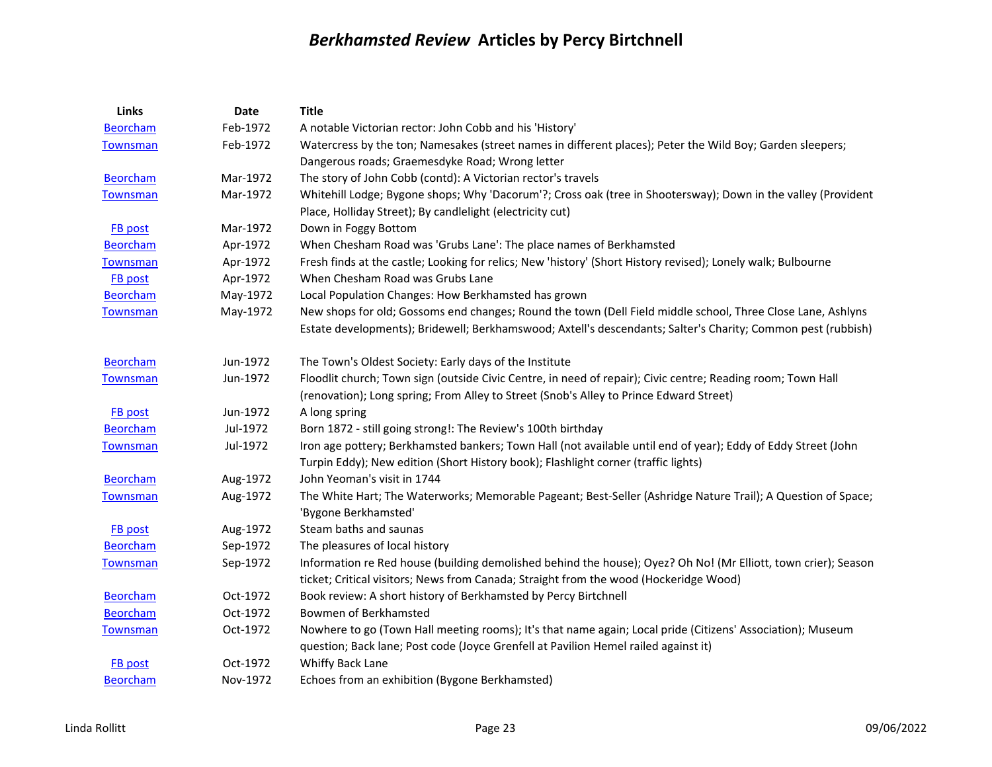| <b>Links</b>    | <b>Date</b> | <b>Title</b>                                                                                                                         |
|-----------------|-------------|--------------------------------------------------------------------------------------------------------------------------------------|
| <b>Beorcham</b> | Feb-1972    | A notable Victorian rector: John Cobb and his 'History'                                                                              |
| Townsman        | Feb-1972    | Watercress by the ton; Namesakes (street names in different places); Peter the Wild Boy; Garden sleepers;                            |
|                 |             | Dangerous roads; Graemesdyke Road; Wrong letter                                                                                      |
| <b>Beorcham</b> | Mar-1972    | The story of John Cobb (contd): A Victorian rector's travels                                                                         |
| <b>Townsman</b> | Mar-1972    | Whitehill Lodge; Bygone shops; Why 'Dacorum'?; Cross oak (tree in Shootersway); Down in the valley (Provident                        |
|                 |             | Place, Holliday Street); By candlelight (electricity cut)                                                                            |
| <b>FB</b> post  | Mar-1972    | Down in Foggy Bottom                                                                                                                 |
| <b>Beorcham</b> | Apr-1972    | When Chesham Road was 'Grubs Lane': The place names of Berkhamsted                                                                   |
| <b>Townsman</b> | Apr-1972    | Fresh finds at the castle; Looking for relics; New 'history' (Short History revised); Lonely walk; Bulbourne                         |
| FB post         | Apr-1972    | When Chesham Road was Grubs Lane                                                                                                     |
| <b>Beorcham</b> | May-1972    | Local Population Changes: How Berkhamsted has grown                                                                                  |
| Townsman        | May-1972    | New shops for old; Gossoms end changes; Round the town (Dell Field middle school, Three Close Lane, Ashlyns                          |
|                 |             | Estate developments); Bridewell; Berkhamswood; Axtell's descendants; Salter's Charity; Common pest (rubbish)                         |
| <b>Beorcham</b> | Jun-1972    | The Town's Oldest Society: Early days of the Institute                                                                               |
| <b>Townsman</b> | Jun-1972    | Floodlit church; Town sign (outside Civic Centre, in need of repair); Civic centre; Reading room; Town Hall                          |
|                 |             | (renovation); Long spring; From Alley to Street (Snob's Alley to Prince Edward Street)                                               |
| <b>FB</b> post  | Jun-1972    | A long spring                                                                                                                        |
| <b>Beorcham</b> | Jul-1972    | Born 1872 - still going strong!: The Review's 100th birthday                                                                         |
| <b>Townsman</b> | Jul-1972    | Iron age pottery; Berkhamsted bankers; Town Hall (not available until end of year); Eddy of Eddy Street (John                        |
|                 |             | Turpin Eddy); New edition (Short History book); Flashlight corner (traffic lights)                                                   |
| <b>Beorcham</b> | Aug-1972    | John Yeoman's visit in 1744                                                                                                          |
| <b>Townsman</b> | Aug-1972    | The White Hart; The Waterworks; Memorable Pageant; Best-Seller (Ashridge Nature Trail); A Question of Space;<br>'Bygone Berkhamsted' |
| FB post         | Aug-1972    | Steam baths and saunas                                                                                                               |
| <b>Beorcham</b> | Sep-1972    | The pleasures of local history                                                                                                       |
| <b>Townsman</b> | Sep-1972    | Information re Red house (building demolished behind the house); Oyez? Oh No! (Mr Elliott, town crier); Season                       |
|                 |             | ticket; Critical visitors; News from Canada; Straight from the wood (Hockeridge Wood)                                                |
| <b>Beorcham</b> | Oct-1972    | Book review: A short history of Berkhamsted by Percy Birtchnell                                                                      |
| <b>Beorcham</b> | Oct-1972    | Bowmen of Berkhamsted                                                                                                                |
| Townsman        | Oct-1972    | Nowhere to go (Town Hall meeting rooms); It's that name again; Local pride (Citizens' Association); Museum                           |
|                 |             | question; Back lane; Post code (Joyce Grenfell at Pavilion Hemel railed against it)                                                  |
| FB post         | Oct-1972    | Whiffy Back Lane                                                                                                                     |
| <b>Beorcham</b> | Nov-1972    | Echoes from an exhibition (Bygone Berkhamsted)                                                                                       |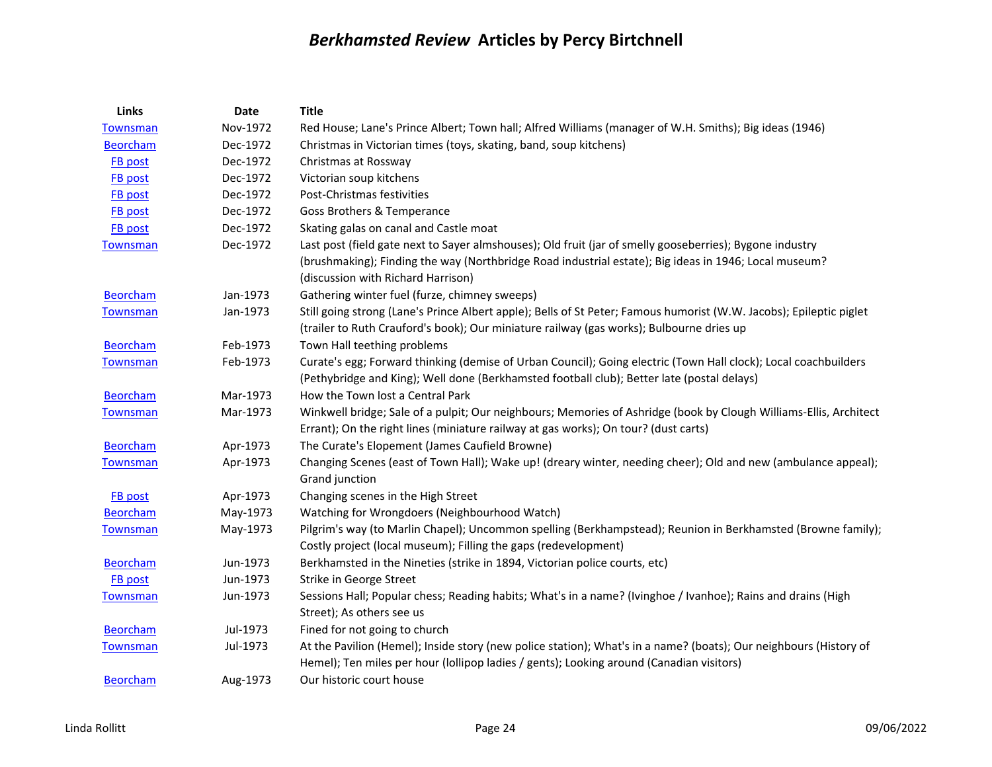| Links           | <b>Date</b> | <b>Title</b>                                                                                                        |
|-----------------|-------------|---------------------------------------------------------------------------------------------------------------------|
| <b>Townsman</b> | Nov-1972    | Red House; Lane's Prince Albert; Town hall; Alfred Williams (manager of W.H. Smiths); Big ideas (1946)              |
| <b>Beorcham</b> | Dec-1972    | Christmas in Victorian times (toys, skating, band, soup kitchens)                                                   |
| <b>FB</b> post  | Dec-1972    | Christmas at Rossway                                                                                                |
| <b>FB</b> post  | Dec-1972    | Victorian soup kitchens                                                                                             |
| <b>FB</b> post  | Dec-1972    | Post-Christmas festivities                                                                                          |
| <b>FB</b> post  | Dec-1972    | Goss Brothers & Temperance                                                                                          |
| FB post         | Dec-1972    | Skating galas on canal and Castle moat                                                                              |
| <b>Townsman</b> | Dec-1972    | Last post (field gate next to Sayer almshouses); Old fruit (jar of smelly gooseberries); Bygone industry            |
|                 |             | (brushmaking); Finding the way (Northbridge Road industrial estate); Big ideas in 1946; Local museum?               |
|                 |             | (discussion with Richard Harrison)                                                                                  |
| <b>Beorcham</b> | Jan-1973    | Gathering winter fuel (furze, chimney sweeps)                                                                       |
| Townsman        | Jan-1973    | Still going strong (Lane's Prince Albert apple); Bells of St Peter; Famous humorist (W.W. Jacobs); Epileptic piglet |
|                 |             | (trailer to Ruth Crauford's book); Our miniature railway (gas works); Bulbourne dries up                            |
| <b>Beorcham</b> | Feb-1973    | Town Hall teething problems                                                                                         |
| Townsman        | Feb-1973    | Curate's egg; Forward thinking (demise of Urban Council); Going electric (Town Hall clock); Local coachbuilders     |
|                 |             | (Pethybridge and King); Well done (Berkhamsted football club); Better late (postal delays)                          |
| <b>Beorcham</b> | Mar-1973    | How the Town lost a Central Park                                                                                    |
| <b>Townsman</b> | Mar-1973    | Winkwell bridge; Sale of a pulpit; Our neighbours; Memories of Ashridge (book by Clough Williams-Ellis, Architect   |
|                 |             | Errant); On the right lines (miniature railway at gas works); On tour? (dust carts)                                 |
| <b>Beorcham</b> | Apr-1973    | The Curate's Elopement (James Caufield Browne)                                                                      |
| <b>Townsman</b> | Apr-1973    | Changing Scenes (east of Town Hall); Wake up! (dreary winter, needing cheer); Old and new (ambulance appeal);       |
|                 |             | Grand junction                                                                                                      |
| <b>FB</b> post  | Apr-1973    | Changing scenes in the High Street                                                                                  |
| <b>Beorcham</b> | May-1973    | Watching for Wrongdoers (Neighbourhood Watch)                                                                       |
| Townsman        | May-1973    | Pilgrim's way (to Marlin Chapel); Uncommon spelling (Berkhampstead); Reunion in Berkhamsted (Browne family);        |
|                 |             | Costly project (local museum); Filling the gaps (redevelopment)                                                     |
| <b>Beorcham</b> | Jun-1973    | Berkhamsted in the Nineties (strike in 1894, Victorian police courts, etc)                                          |
| FB post         | Jun-1973    | Strike in George Street                                                                                             |
| Townsman        | Jun-1973    | Sessions Hall; Popular chess; Reading habits; What's in a name? (Ivinghoe / Ivanhoe); Rains and drains (High        |
|                 |             | Street); As others see us                                                                                           |
| <b>Beorcham</b> | Jul-1973    | Fined for not going to church                                                                                       |
| Townsman        | Jul-1973    | At the Pavilion (Hemel); Inside story (new police station); What's in a name? (boats); Our neighbours (History of   |
|                 |             | Hemel); Ten miles per hour (lollipop ladies / gents); Looking around (Canadian visitors)                            |
| <b>Beorcham</b> | Aug-1973    | Our historic court house                                                                                            |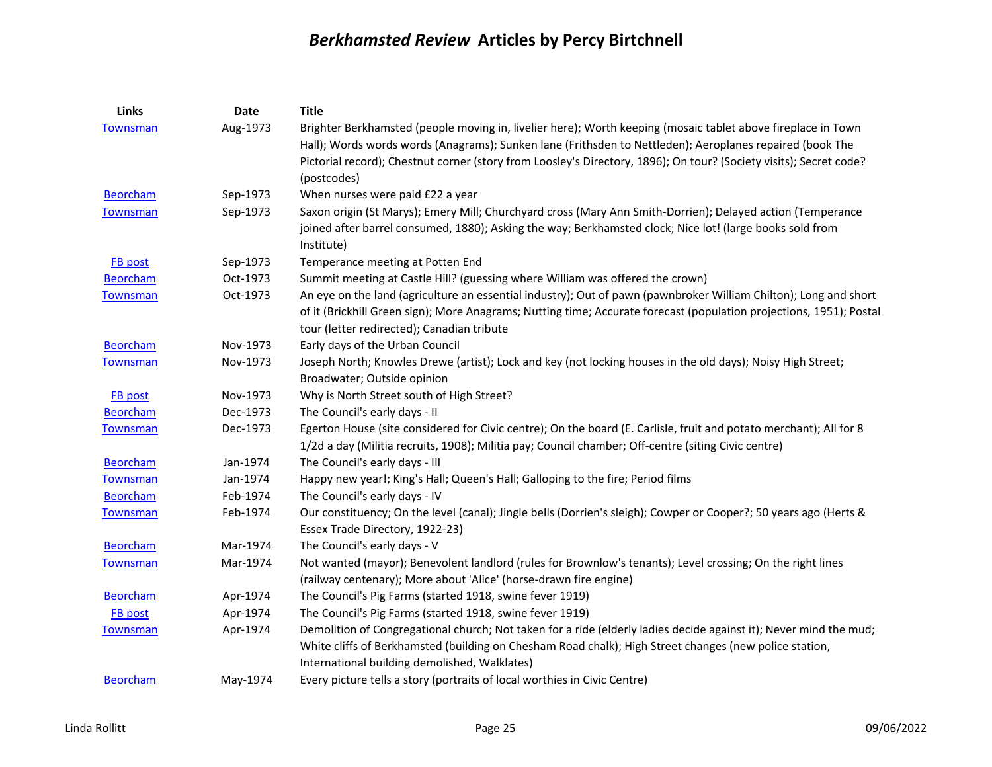| Links           | Date     | <b>Title</b>                                                                                                        |
|-----------------|----------|---------------------------------------------------------------------------------------------------------------------|
| <b>Townsman</b> | Aug-1973 | Brighter Berkhamsted (people moving in, livelier here); Worth keeping (mosaic tablet above fireplace in Town        |
|                 |          | Hall); Words words words (Anagrams); Sunken lane (Frithsden to Nettleden); Aeroplanes repaired (book The            |
|                 |          | Pictorial record); Chestnut corner (story from Loosley's Directory, 1896); On tour? (Society visits); Secret code?  |
|                 |          | (postcodes)                                                                                                         |
| <b>Beorcham</b> | Sep-1973 | When nurses were paid £22 a year                                                                                    |
| <b>Townsman</b> | Sep-1973 | Saxon origin (St Marys); Emery Mill; Churchyard cross (Mary Ann Smith-Dorrien); Delayed action (Temperance          |
|                 |          | joined after barrel consumed, 1880); Asking the way; Berkhamsted clock; Nice lot! (large books sold from            |
|                 |          | Institute)                                                                                                          |
| <b>FB</b> post  | Sep-1973 | Temperance meeting at Potten End                                                                                    |
| <b>Beorcham</b> | Oct-1973 | Summit meeting at Castle Hill? (guessing where William was offered the crown)                                       |
| Townsman        | Oct-1973 | An eye on the land (agriculture an essential industry); Out of pawn (pawnbroker William Chilton); Long and short    |
|                 |          | of it (Brickhill Green sign); More Anagrams; Nutting time; Accurate forecast (population projections, 1951); Postal |
|                 |          | tour (letter redirected); Canadian tribute                                                                          |
| <b>Beorcham</b> | Nov-1973 | Early days of the Urban Council                                                                                     |
| <b>Townsman</b> | Nov-1973 | Joseph North; Knowles Drewe (artist); Lock and key (not locking houses in the old days); Noisy High Street;         |
|                 |          | Broadwater; Outside opinion                                                                                         |
| <b>FB</b> post  | Nov-1973 | Why is North Street south of High Street?                                                                           |
| <b>Beorcham</b> | Dec-1973 | The Council's early days - II                                                                                       |
| Townsman        | Dec-1973 | Egerton House (site considered for Civic centre); On the board (E. Carlisle, fruit and potato merchant); All for 8  |
|                 |          | 1/2d a day (Militia recruits, 1908); Militia pay; Council chamber; Off-centre (siting Civic centre)                 |
| <b>Beorcham</b> | Jan-1974 | The Council's early days - III                                                                                      |
| <b>Townsman</b> | Jan-1974 | Happy new year!; King's Hall; Queen's Hall; Galloping to the fire; Period films                                     |
| <b>Beorcham</b> | Feb-1974 | The Council's early days - IV                                                                                       |
| Townsman        | Feb-1974 | Our constituency; On the level (canal); Jingle bells (Dorrien's sleigh); Cowper or Cooper?; 50 years ago (Herts &   |
|                 |          | Essex Trade Directory, 1922-23)                                                                                     |
| <b>Beorcham</b> | Mar-1974 | The Council's early days - V                                                                                        |
| <b>Townsman</b> | Mar-1974 | Not wanted (mayor); Benevolent landlord (rules for Brownlow's tenants); Level crossing; On the right lines          |
|                 |          | (railway centenary); More about 'Alice' (horse-drawn fire engine)                                                   |
| <b>Beorcham</b> | Apr-1974 | The Council's Pig Farms (started 1918, swine fever 1919)                                                            |
| FB post         | Apr-1974 | The Council's Pig Farms (started 1918, swine fever 1919)                                                            |
| <b>Townsman</b> | Apr-1974 | Demolition of Congregational church; Not taken for a ride (elderly ladies decide against it); Never mind the mud;   |
|                 |          | White cliffs of Berkhamsted (building on Chesham Road chalk); High Street changes (new police station,              |
|                 |          | International building demolished, Walklates)                                                                       |
| <b>Beorcham</b> | May-1974 | Every picture tells a story (portraits of local worthies in Civic Centre)                                           |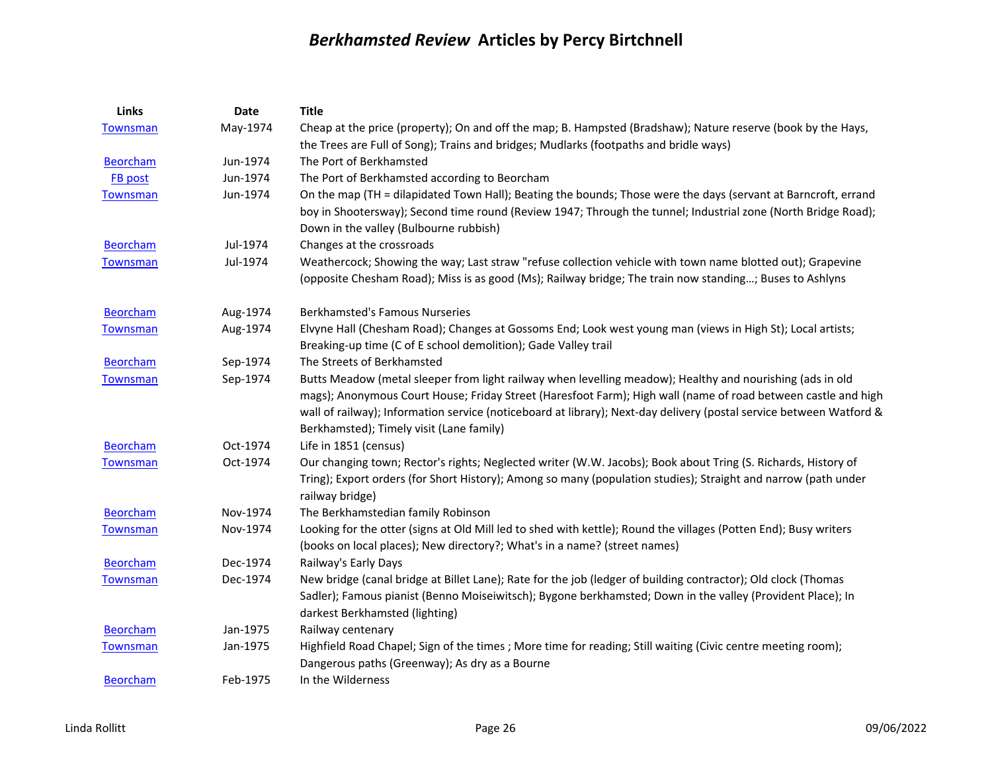| <b>Links</b>    | <b>Date</b> | <b>Title</b>                                                                                                        |
|-----------------|-------------|---------------------------------------------------------------------------------------------------------------------|
| <b>Townsman</b> | May-1974    | Cheap at the price (property); On and off the map; B. Hampsted (Bradshaw); Nature reserve (book by the Hays,        |
|                 |             | the Trees are Full of Song); Trains and bridges; Mudlarks (footpaths and bridle ways)                               |
| <b>Beorcham</b> | Jun-1974    | The Port of Berkhamsted                                                                                             |
| <b>FB</b> post  | Jun-1974    | The Port of Berkhamsted according to Beorcham                                                                       |
| <b>Townsman</b> | Jun-1974    | On the map (TH = dilapidated Town Hall); Beating the bounds; Those were the days (servant at Barncroft, errand      |
|                 |             | boy in Shootersway); Second time round (Review 1947; Through the tunnel; Industrial zone (North Bridge Road);       |
|                 |             | Down in the valley (Bulbourne rubbish)                                                                              |
| <b>Beorcham</b> | Jul-1974    | Changes at the crossroads                                                                                           |
| Townsman        | Jul-1974    | Weathercock; Showing the way; Last straw "refuse collection vehicle with town name blotted out); Grapevine          |
|                 |             | (opposite Chesham Road); Miss is as good (Ms); Railway bridge; The train now standing; Buses to Ashlyns             |
| <b>Beorcham</b> | Aug-1974    | <b>Berkhamsted's Famous Nurseries</b>                                                                               |
| <b>Townsman</b> | Aug-1974    | Elvyne Hall (Chesham Road); Changes at Gossoms End; Look west young man (views in High St); Local artists;          |
|                 |             | Breaking-up time (C of E school demolition); Gade Valley trail                                                      |
| <b>Beorcham</b> | Sep-1974    | The Streets of Berkhamsted                                                                                          |
| Townsman        | Sep-1974    | Butts Meadow (metal sleeper from light railway when levelling meadow); Healthy and nourishing (ads in old           |
|                 |             | mags); Anonymous Court House; Friday Street (Haresfoot Farm); High wall (name of road between castle and high       |
|                 |             | wall of railway); Information service (noticeboard at library); Next-day delivery (postal service between Watford & |
|                 |             | Berkhamsted); Timely visit (Lane family)                                                                            |
| <b>Beorcham</b> | Oct-1974    | Life in 1851 (census)                                                                                               |
| <b>Townsman</b> | Oct-1974    | Our changing town; Rector's rights; Neglected writer (W.W. Jacobs); Book about Tring (S. Richards, History of       |
|                 |             | Tring); Export orders (for Short History); Among so many (population studies); Straight and narrow (path under      |
|                 |             | railway bridge)                                                                                                     |
| <b>Beorcham</b> | Nov-1974    | The Berkhamstedian family Robinson                                                                                  |
| <b>Townsman</b> | Nov-1974    | Looking for the otter (signs at Old Mill led to shed with kettle); Round the villages (Potten End); Busy writers    |
|                 |             | (books on local places); New directory?; What's in a name? (street names)                                           |
| <b>Beorcham</b> | Dec-1974    | Railway's Early Days                                                                                                |
| <b>Townsman</b> | Dec-1974    | New bridge (canal bridge at Billet Lane); Rate for the job (ledger of building contractor); Old clock (Thomas       |
|                 |             | Sadler); Famous pianist (Benno Moiseiwitsch); Bygone berkhamsted; Down in the valley (Provident Place); In          |
|                 |             | darkest Berkhamsted (lighting)                                                                                      |
| <b>Beorcham</b> | Jan-1975    | Railway centenary                                                                                                   |
| Townsman        | Jan-1975    | Highfield Road Chapel; Sign of the times ; More time for reading; Still waiting (Civic centre meeting room);        |
|                 |             | Dangerous paths (Greenway); As dry as a Bourne                                                                      |
| <b>Beorcham</b> | Feb-1975    | In the Wilderness                                                                                                   |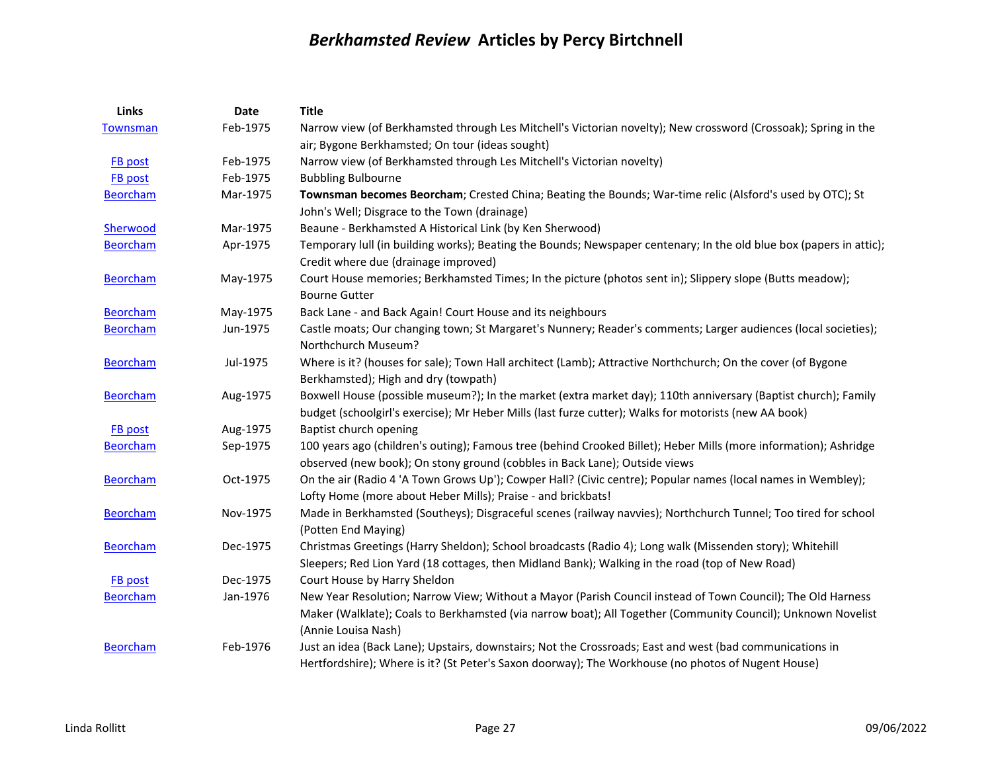| Links           | Date     | <b>Title</b>                                                                                                                                                                                                            |
|-----------------|----------|-------------------------------------------------------------------------------------------------------------------------------------------------------------------------------------------------------------------------|
| <b>Townsman</b> | Feb-1975 | Narrow view (of Berkhamsted through Les Mitchell's Victorian novelty); New crossword (Crossoak); Spring in the<br>air; Bygone Berkhamsted; On tour (ideas sought)                                                       |
| FB post         | Feb-1975 | Narrow view (of Berkhamsted through Les Mitchell's Victorian novelty)                                                                                                                                                   |
| FB post         | Feb-1975 | <b>Bubbling Bulbourne</b>                                                                                                                                                                                               |
| <b>Beorcham</b> | Mar-1975 | Townsman becomes Beorcham; Crested China; Beating the Bounds; War-time relic (Alsford's used by OTC); St<br>John's Well; Disgrace to the Town (drainage)                                                                |
| Sherwood        | Mar-1975 | Beaune - Berkhamsted A Historical Link (by Ken Sherwood)                                                                                                                                                                |
| <b>Beorcham</b> | Apr-1975 | Temporary lull (in building works); Beating the Bounds; Newspaper centenary; In the old blue box (papers in attic);<br>Credit where due (drainage improved)                                                             |
| <b>Beorcham</b> | May-1975 | Court House memories; Berkhamsted Times; In the picture (photos sent in); Slippery slope (Butts meadow);<br><b>Bourne Gutter</b>                                                                                        |
| <b>Beorcham</b> | May-1975 | Back Lane - and Back Again! Court House and its neighbours                                                                                                                                                              |
| <b>Beorcham</b> | Jun-1975 | Castle moats; Our changing town; St Margaret's Nunnery; Reader's comments; Larger audiences (local societies);<br>Northchurch Museum?                                                                                   |
| <b>Beorcham</b> | Jul-1975 | Where is it? (houses for sale); Town Hall architect (Lamb); Attractive Northchurch; On the cover (of Bygone<br>Berkhamsted); High and dry (towpath)                                                                     |
| <b>Beorcham</b> | Aug-1975 | Boxwell House (possible museum?); In the market (extra market day); 110th anniversary (Baptist church); Family<br>budget (schoolgirl's exercise); Mr Heber Mills (last furze cutter); Walks for motorists (new AA book) |
| <b>FB</b> post  | Aug-1975 | Baptist church opening                                                                                                                                                                                                  |
| <b>Beorcham</b> | Sep-1975 | 100 years ago (children's outing); Famous tree (behind Crooked Billet); Heber Mills (more information); Ashridge<br>observed (new book); On stony ground (cobbles in Back Lane); Outside views                          |
| <b>Beorcham</b> | Oct-1975 | On the air (Radio 4 'A Town Grows Up'); Cowper Hall? (Civic centre); Popular names (local names in Wembley);<br>Lofty Home (more about Heber Mills); Praise - and brickbats!                                            |
| <b>Beorcham</b> | Nov-1975 | Made in Berkhamsted (Southeys); Disgraceful scenes (railway navvies); Northchurch Tunnel; Too tired for school<br>(Potten End Maying)                                                                                   |
| <b>Beorcham</b> | Dec-1975 | Christmas Greetings (Harry Sheldon); School broadcasts (Radio 4); Long walk (Missenden story); Whitehill<br>Sleepers; Red Lion Yard (18 cottages, then Midland Bank); Walking in the road (top of New Road)             |
| FB post         | Dec-1975 | Court House by Harry Sheldon                                                                                                                                                                                            |
| <b>Beorcham</b> | Jan-1976 | New Year Resolution; Narrow View; Without a Mayor (Parish Council instead of Town Council); The Old Harness                                                                                                             |
|                 |          | Maker (Walklate); Coals to Berkhamsted (via narrow boat); All Together (Community Council); Unknown Novelist<br>(Annie Louisa Nash)                                                                                     |
| <b>Beorcham</b> | Feb-1976 | Just an idea (Back Lane); Upstairs, downstairs; Not the Crossroads; East and west (bad communications in<br>Hertfordshire); Where is it? (St Peter's Saxon doorway); The Workhouse (no photos of Nugent House)          |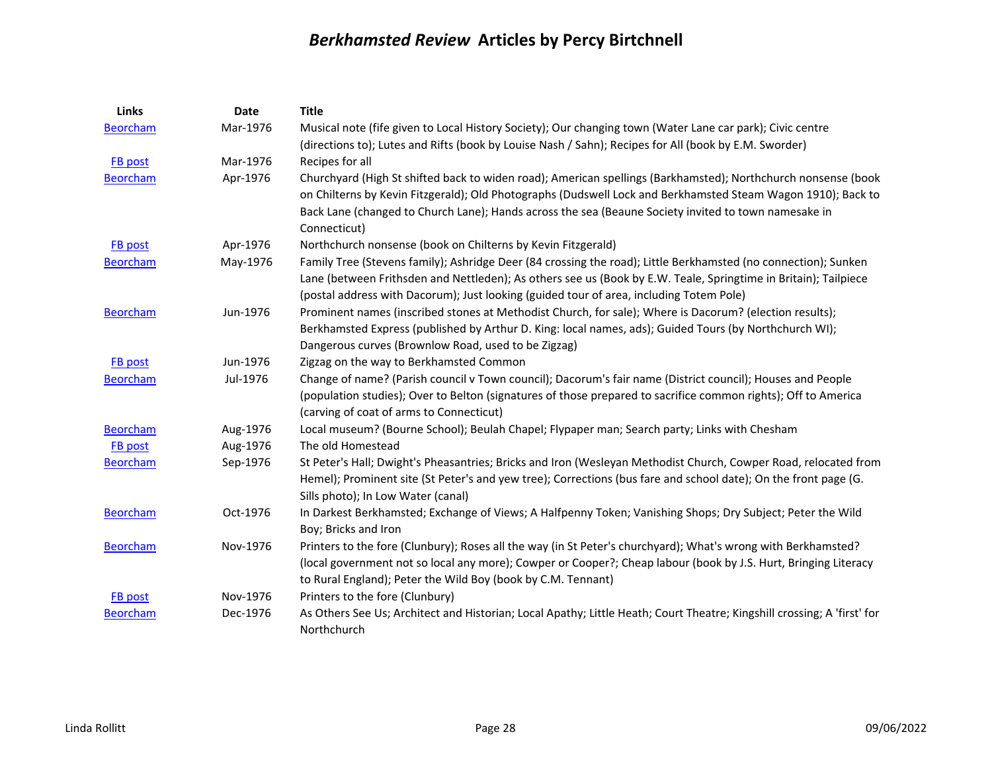| Links           | Date     | <b>Title</b>                                                                                                            |
|-----------------|----------|-------------------------------------------------------------------------------------------------------------------------|
| <b>Beorcham</b> | Mar-1976 | Musical note (fife given to Local History Society); Our changing town (Water Lane car park); Civic centre               |
|                 |          | (directions to); Lutes and Rifts (book by Louise Nash / Sahn); Recipes for All (book by E.M. Sworder)                   |
| <b>FB</b> post  | Mar-1976 | Recipes for all                                                                                                         |
| <b>Beorcham</b> | Apr-1976 | Churchyard (High St shifted back to widen road); American spellings (Barkhamsted); Northchurch nonsense (book           |
|                 |          | on Chilterns by Kevin Fitzgerald); Old Photographs (Dudswell Lock and Berkhamsted Steam Wagon 1910); Back to            |
|                 |          | Back Lane (changed to Church Lane); Hands across the sea (Beaune Society invited to town namesake in                    |
|                 |          | Connecticut)                                                                                                            |
| FB post         | Apr-1976 | Northchurch nonsense (book on Chilterns by Kevin Fitzgerald)                                                            |
| <b>Beorcham</b> | May-1976 | Family Tree (Stevens family); Ashridge Deer (84 crossing the road); Little Berkhamsted (no connection); Sunken          |
|                 |          | Lane (between Frithsden and Nettleden); As others see us (Book by E.W. Teale, Springtime in Britain); Tailpiece         |
|                 |          | (postal address with Dacorum); Just looking (guided tour of area, including Totem Pole)                                 |
| <b>Beorcham</b> | Jun-1976 | Prominent names (inscribed stones at Methodist Church, for sale); Where is Dacorum? (election results);                 |
|                 |          | Berkhamsted Express (published by Arthur D. King: local names, ads); Guided Tours (by Northchurch WI);                  |
|                 |          | Dangerous curves (Brownlow Road, used to be Zigzag)                                                                     |
| FB post         | Jun-1976 | Zigzag on the way to Berkhamsted Common                                                                                 |
| <b>Beorcham</b> | Jul-1976 | Change of name? (Parish council v Town council); Dacorum's fair name (District council); Houses and People              |
|                 |          | (population studies); Over to Belton (signatures of those prepared to sacrifice common rights); Off to America          |
|                 |          | (carving of coat of arms to Connecticut)                                                                                |
| <b>Beorcham</b> | Aug-1976 | Local museum? (Bourne School); Beulah Chapel; Flypaper man; Search party; Links with Chesham                            |
| FB post         | Aug-1976 | The old Homestead                                                                                                       |
| Beorcham        | Sep-1976 | St Peter's Hall; Dwight's Pheasantries; Bricks and Iron (Wesleyan Methodist Church, Cowper Road, relocated from         |
|                 |          | Hemel); Prominent site (St Peter's and yew tree); Corrections (bus fare and school date); On the front page (G.         |
|                 |          | Sills photo); In Low Water (canal)                                                                                      |
| <b>Beorcham</b> | Oct-1976 | In Darkest Berkhamsted; Exchange of Views; A Halfpenny Token; Vanishing Shops; Dry Subject; Peter the Wild              |
|                 |          | Boy; Bricks and Iron                                                                                                    |
| <b>Beorcham</b> | Nov-1976 | Printers to the fore (Clunbury); Roses all the way (in St Peter's churchyard); What's wrong with Berkhamsted?           |
|                 |          | (local government not so local any more); Cowper or Cooper?; Cheap labour (book by J.S. Hurt, Bringing Literacy         |
|                 |          | to Rural England); Peter the Wild Boy (book by C.M. Tennant)                                                            |
| FB post         | Nov-1976 | Printers to the fore (Clunbury)                                                                                         |
| <b>Beorcham</b> | Dec-1976 | As Others See Us; Architect and Historian; Local Apathy; Little Heath; Court Theatre; Kingshill crossing; A 'first' for |
|                 |          | Northchurch                                                                                                             |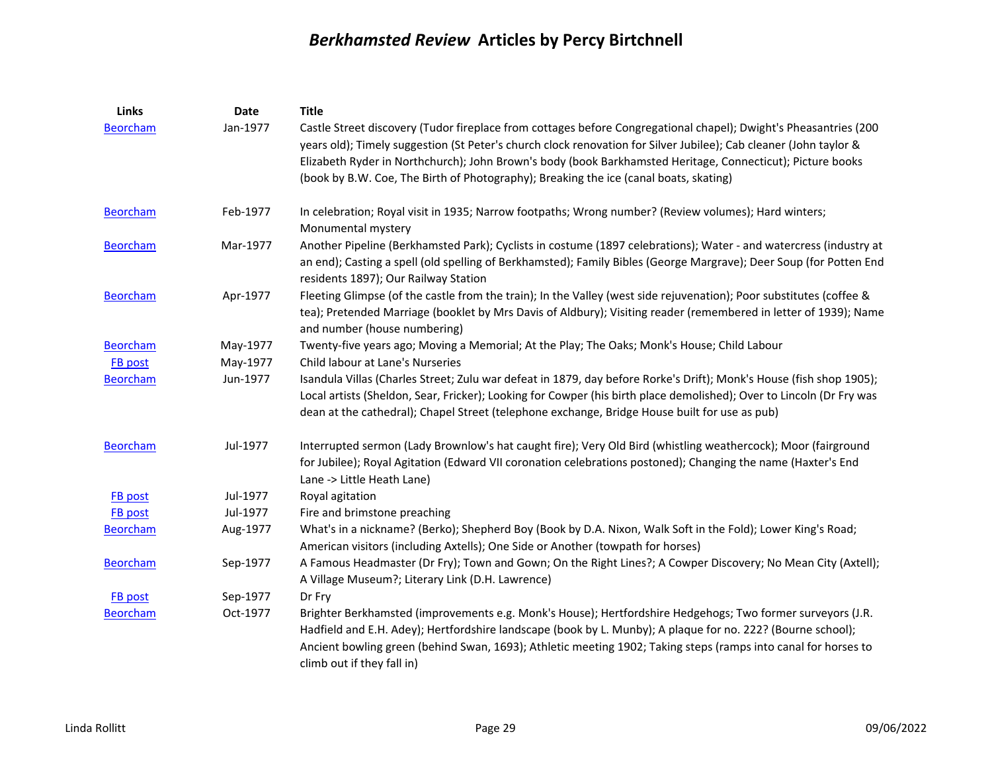| Links           | Date     | <b>Title</b>                                                                                                                                                                                                                                                                                                                                                              |
|-----------------|----------|---------------------------------------------------------------------------------------------------------------------------------------------------------------------------------------------------------------------------------------------------------------------------------------------------------------------------------------------------------------------------|
| <b>Beorcham</b> | Jan-1977 | Castle Street discovery (Tudor fireplace from cottages before Congregational chapel); Dwight's Pheasantries (200<br>years old); Timely suggestion (St Peter's church clock renovation for Silver Jubilee); Cab cleaner (John taylor &                                                                                                                                     |
|                 |          | Elizabeth Ryder in Northchurch); John Brown's body (book Barkhamsted Heritage, Connecticut); Picture books                                                                                                                                                                                                                                                                |
|                 |          | (book by B.W. Coe, The Birth of Photography); Breaking the ice (canal boats, skating)                                                                                                                                                                                                                                                                                     |
| <b>Beorcham</b> | Feb-1977 | In celebration; Royal visit in 1935; Narrow footpaths; Wrong number? (Review volumes); Hard winters;<br>Monumental mystery                                                                                                                                                                                                                                                |
| <b>Beorcham</b> | Mar-1977 | Another Pipeline (Berkhamsted Park); Cyclists in costume (1897 celebrations); Water - and watercress (industry at<br>an end); Casting a spell (old spelling of Berkhamsted); Family Bibles (George Margrave); Deer Soup (for Potten End<br>residents 1897); Our Railway Station                                                                                           |
| <b>Beorcham</b> | Apr-1977 | Fleeting Glimpse (of the castle from the train); In the Valley (west side rejuvenation); Poor substitutes (coffee &<br>tea); Pretended Marriage (booklet by Mrs Davis of Aldbury); Visiting reader (remembered in letter of 1939); Name<br>and number (house numbering)                                                                                                   |
| <b>Beorcham</b> | May-1977 | Twenty-five years ago; Moving a Memorial; At the Play; The Oaks; Monk's House; Child Labour                                                                                                                                                                                                                                                                               |
| FB post         | May-1977 | Child labour at Lane's Nurseries                                                                                                                                                                                                                                                                                                                                          |
| <b>Beorcham</b> | Jun-1977 | Isandula Villas (Charles Street; Zulu war defeat in 1879, day before Rorke's Drift); Monk's House (fish shop 1905);<br>Local artists (Sheldon, Sear, Fricker); Looking for Cowper (his birth place demolished); Over to Lincoln (Dr Fry was<br>dean at the cathedral); Chapel Street (telephone exchange, Bridge House built for use as pub)                              |
| <b>Beorcham</b> | Jul-1977 | Interrupted sermon (Lady Brownlow's hat caught fire); Very Old Bird (whistling weathercock); Moor (fairground<br>for Jubilee); Royal Agitation (Edward VII coronation celebrations postoned); Changing the name (Haxter's End<br>Lane -> Little Heath Lane)                                                                                                               |
| FB post         | Jul-1977 | Royal agitation                                                                                                                                                                                                                                                                                                                                                           |
| FB post         | Jul-1977 | Fire and brimstone preaching                                                                                                                                                                                                                                                                                                                                              |
| <b>Beorcham</b> | Aug-1977 | What's in a nickname? (Berko); Shepherd Boy (Book by D.A. Nixon, Walk Soft in the Fold); Lower King's Road;<br>American visitors (including Axtells); One Side or Another (towpath for horses)                                                                                                                                                                            |
| <b>Beorcham</b> | Sep-1977 | A Famous Headmaster (Dr Fry); Town and Gown; On the Right Lines?; A Cowper Discovery; No Mean City (Axtell);<br>A Village Museum?; Literary Link (D.H. Lawrence)                                                                                                                                                                                                          |
| <b>FB</b> post  | Sep-1977 | Dr Fry                                                                                                                                                                                                                                                                                                                                                                    |
| Beorcham        | Oct-1977 | Brighter Berkhamsted (improvements e.g. Monk's House); Hertfordshire Hedgehogs; Two former surveyors (J.R.<br>Hadfield and E.H. Adey); Hertfordshire landscape (book by L. Munby); A plaque for no. 222? (Bourne school);<br>Ancient bowling green (behind Swan, 1693); Athletic meeting 1902; Taking steps (ramps into canal for horses to<br>climb out if they fall in) |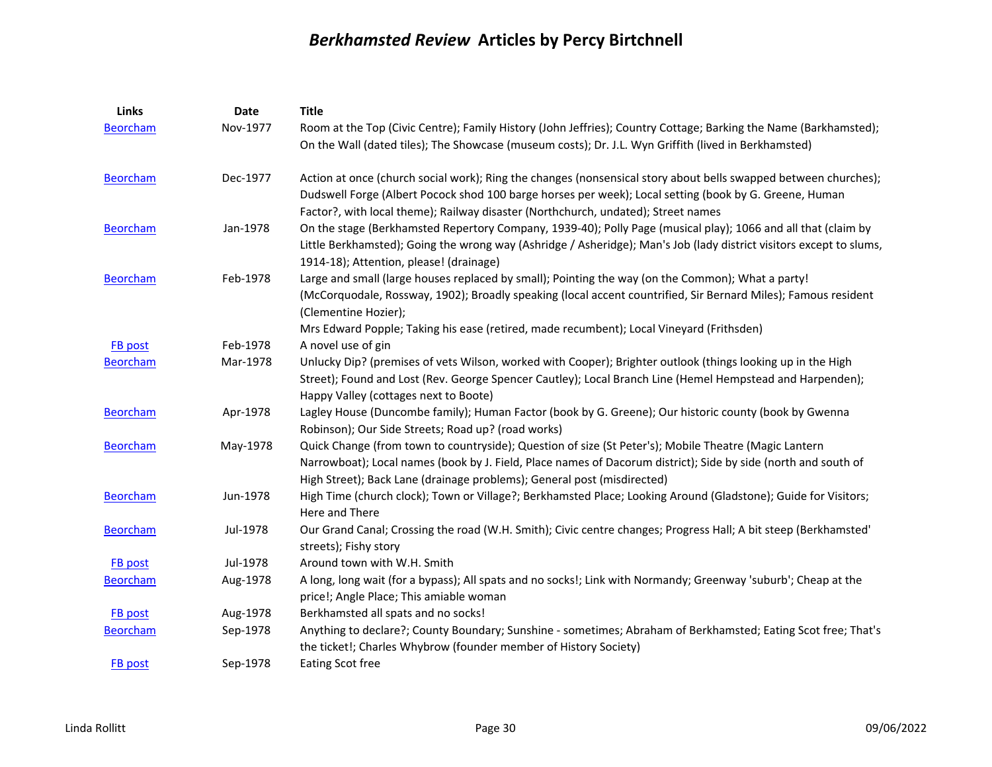| Links           | <b>Date</b> | <b>Title</b>                                                                                                                                                                              |
|-----------------|-------------|-------------------------------------------------------------------------------------------------------------------------------------------------------------------------------------------|
| <b>Beorcham</b> | Nov-1977    | Room at the Top (Civic Centre); Family History (John Jeffries); Country Cottage; Barking the Name (Barkhamsted);                                                                          |
|                 |             | On the Wall (dated tiles); The Showcase (museum costs); Dr. J.L. Wyn Griffith (lived in Berkhamsted)                                                                                      |
| <b>Beorcham</b> | Dec-1977    | Action at once (church social work); Ring the changes (nonsensical story about bells swapped between churches);                                                                           |
|                 |             | Dudswell Forge (Albert Pocock shod 100 barge horses per week); Local setting (book by G. Greene, Human                                                                                    |
|                 |             | Factor?, with local theme); Railway disaster (Northchurch, undated); Street names                                                                                                         |
| <b>Beorcham</b> | Jan-1978    | On the stage (Berkhamsted Repertory Company, 1939-40); Polly Page (musical play); 1066 and all that (claim by                                                                             |
|                 |             | Little Berkhamsted); Going the wrong way (Ashridge / Asheridge); Man's Job (lady district visitors except to slums,                                                                       |
|                 |             | 1914-18); Attention, please! (drainage)                                                                                                                                                   |
| <b>Beorcham</b> | Feb-1978    | Large and small (large houses replaced by small); Pointing the way (on the Common); What a party!                                                                                         |
|                 |             | (McCorquodale, Rossway, 1902); Broadly speaking (local accent countrified, Sir Bernard Miles); Famous resident<br>(Clementine Hozier);                                                    |
|                 |             | Mrs Edward Popple; Taking his ease (retired, made recumbent); Local Vineyard (Frithsden)                                                                                                  |
| FB post         | Feb-1978    | A novel use of gin                                                                                                                                                                        |
| <b>Beorcham</b> | Mar-1978    | Unlucky Dip? (premises of vets Wilson, worked with Cooper); Brighter outlook (things looking up in the High                                                                               |
|                 |             | Street); Found and Lost (Rev. George Spencer Cautley); Local Branch Line (Hemel Hempstead and Harpenden);<br>Happy Valley (cottages next to Boote)                                        |
| <b>Beorcham</b> | Apr-1978    | Lagley House (Duncombe family); Human Factor (book by G. Greene); Our historic county (book by Gwenna                                                                                     |
|                 |             | Robinson); Our Side Streets; Road up? (road works)                                                                                                                                        |
| <b>Beorcham</b> | May-1978    | Quick Change (from town to countryside); Question of size (St Peter's); Mobile Theatre (Magic Lantern                                                                                     |
|                 |             | Narrowboat); Local names (book by J. Field, Place names of Dacorum district); Side by side (north and south of<br>High Street); Back Lane (drainage problems); General post (misdirected) |
| <b>Beorcham</b> | Jun-1978    | High Time (church clock); Town or Village?; Berkhamsted Place; Looking Around (Gladstone); Guide for Visitors;                                                                            |
|                 |             | Here and There                                                                                                                                                                            |
| <b>Beorcham</b> | Jul-1978    | Our Grand Canal; Crossing the road (W.H. Smith); Civic centre changes; Progress Hall; A bit steep (Berkhamsted'                                                                           |
|                 |             | streets); Fishy story                                                                                                                                                                     |
| <b>FB</b> post  | Jul-1978    | Around town with W.H. Smith                                                                                                                                                               |
| <b>Beorcham</b> | Aug-1978    | A long, long wait (for a bypass); All spats and no socks!; Link with Normandy; Greenway 'suburb'; Cheap at the                                                                            |
|                 |             | price!; Angle Place; This amiable woman                                                                                                                                                   |
| <b>FB</b> post  | Aug-1978    | Berkhamsted all spats and no socks!                                                                                                                                                       |
| <b>Beorcham</b> | Sep-1978    | Anything to declare?; County Boundary; Sunshine - sometimes; Abraham of Berkhamsted; Eating Scot free; That's                                                                             |
|                 |             | the ticket!; Charles Whybrow (founder member of History Society)                                                                                                                          |
| FB post         | Sep-1978    | Eating Scot free                                                                                                                                                                          |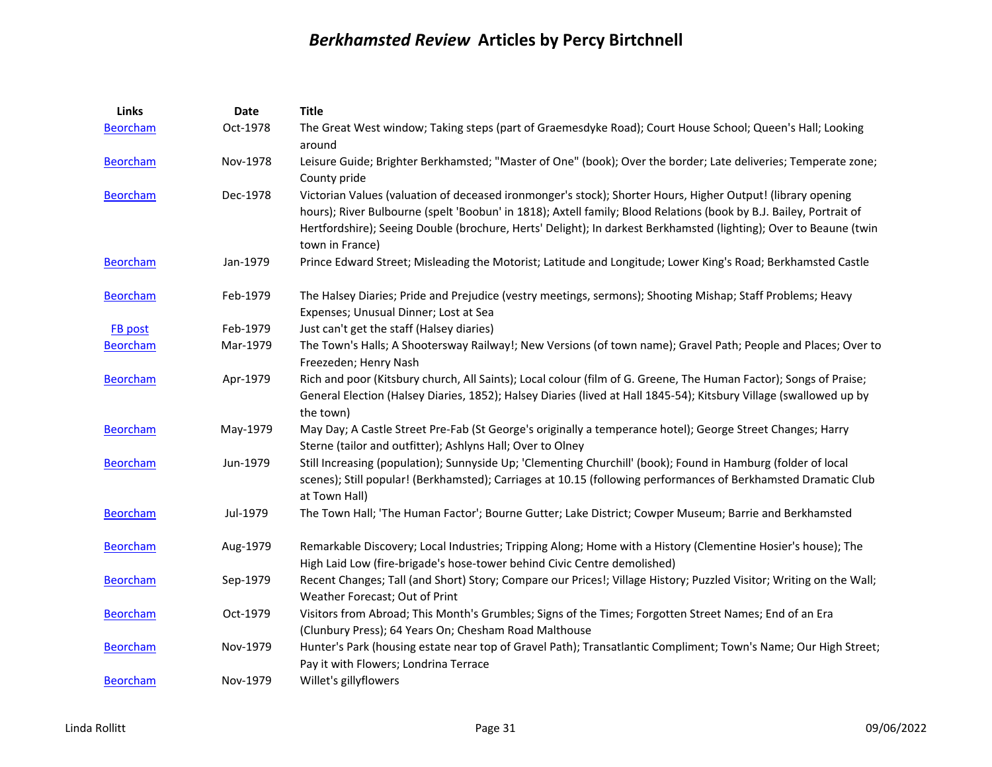| Links           | <b>Date</b> | <b>Title</b>                                                                                                                                                                                                                                                                                                                                                              |
|-----------------|-------------|---------------------------------------------------------------------------------------------------------------------------------------------------------------------------------------------------------------------------------------------------------------------------------------------------------------------------------------------------------------------------|
| <b>Beorcham</b> | Oct-1978    | The Great West window; Taking steps (part of Graemesdyke Road); Court House School; Queen's Hall; Looking<br>around                                                                                                                                                                                                                                                       |
| Beorcham        | Nov-1978    | Leisure Guide; Brighter Berkhamsted; "Master of One" (book); Over the border; Late deliveries; Temperate zone;<br>County pride                                                                                                                                                                                                                                            |
| <b>Beorcham</b> | Dec-1978    | Victorian Values (valuation of deceased ironmonger's stock); Shorter Hours, Higher Output! (library opening<br>hours); River Bulbourne (spelt 'Boobun' in 1818); Axtell family; Blood Relations (book by B.J. Bailey, Portrait of<br>Hertfordshire); Seeing Double (brochure, Herts' Delight); In darkest Berkhamsted (lighting); Over to Beaune (twin<br>town in France) |
| <b>Beorcham</b> | Jan-1979    | Prince Edward Street; Misleading the Motorist; Latitude and Longitude; Lower King's Road; Berkhamsted Castle                                                                                                                                                                                                                                                              |
| <b>Beorcham</b> | Feb-1979    | The Halsey Diaries; Pride and Prejudice (vestry meetings, sermons); Shooting Mishap; Staff Problems; Heavy<br>Expenses; Unusual Dinner; Lost at Sea                                                                                                                                                                                                                       |
| <b>FB</b> post  | Feb-1979    | Just can't get the staff (Halsey diaries)                                                                                                                                                                                                                                                                                                                                 |
| <b>Beorcham</b> | Mar-1979    | The Town's Halls; A Shootersway Railway!; New Versions (of town name); Gravel Path; People and Places; Over to<br>Freezeden; Henry Nash                                                                                                                                                                                                                                   |
| <b>Beorcham</b> | Apr-1979    | Rich and poor (Kitsbury church, All Saints); Local colour (film of G. Greene, The Human Factor); Songs of Praise;<br>General Election (Halsey Diaries, 1852); Halsey Diaries (lived at Hall 1845-54); Kitsbury Village (swallowed up by<br>the town)                                                                                                                      |
| <b>Beorcham</b> | May-1979    | May Day; A Castle Street Pre-Fab (St George's originally a temperance hotel); George Street Changes; Harry<br>Sterne (tailor and outfitter); Ashlyns Hall; Over to Olney                                                                                                                                                                                                  |
| <b>Beorcham</b> | Jun-1979    | Still Increasing (population); Sunnyside Up; 'Clementing Churchill' (book); Found in Hamburg (folder of local<br>scenes); Still popular! (Berkhamsted); Carriages at 10.15 (following performances of Berkhamsted Dramatic Club<br>at Town Hall)                                                                                                                          |
| <b>Beorcham</b> | Jul-1979    | The Town Hall; 'The Human Factor'; Bourne Gutter; Lake District; Cowper Museum; Barrie and Berkhamsted                                                                                                                                                                                                                                                                    |
| <b>Beorcham</b> | Aug-1979    | Remarkable Discovery; Local Industries; Tripping Along; Home with a History (Clementine Hosier's house); The<br>High Laid Low (fire-brigade's hose-tower behind Civic Centre demolished)                                                                                                                                                                                  |
| <b>Beorcham</b> | Sep-1979    | Recent Changes; Tall (and Short) Story; Compare our Prices!; Village History; Puzzled Visitor; Writing on the Wall;<br>Weather Forecast; Out of Print                                                                                                                                                                                                                     |
| <b>Beorcham</b> | Oct-1979    | Visitors from Abroad; This Month's Grumbles; Signs of the Times; Forgotten Street Names; End of an Era<br>(Clunbury Press); 64 Years On; Chesham Road Malthouse                                                                                                                                                                                                           |
| <b>Beorcham</b> | Nov-1979    | Hunter's Park (housing estate near top of Gravel Path); Transatlantic Compliment; Town's Name; Our High Street;<br>Pay it with Flowers; Londrina Terrace                                                                                                                                                                                                                  |
| <b>Beorcham</b> | Nov-1979    | Willet's gillyflowers                                                                                                                                                                                                                                                                                                                                                     |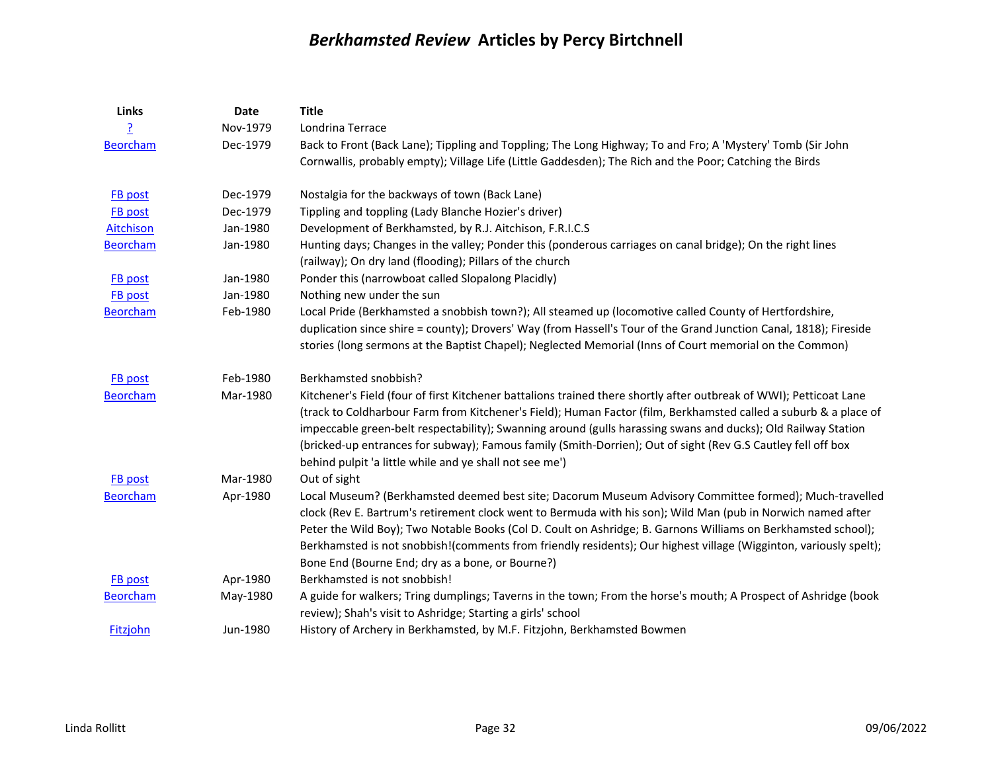| Links           | Date     | <b>Title</b>                                                                                                                                                                                                                                                                                                                                                                                                                                                                                                                       |
|-----------------|----------|------------------------------------------------------------------------------------------------------------------------------------------------------------------------------------------------------------------------------------------------------------------------------------------------------------------------------------------------------------------------------------------------------------------------------------------------------------------------------------------------------------------------------------|
|                 | Nov-1979 | Londrina Terrace                                                                                                                                                                                                                                                                                                                                                                                                                                                                                                                   |
| <b>Beorcham</b> | Dec-1979 | Back to Front (Back Lane); Tippling and Toppling; The Long Highway; To and Fro; A 'Mystery' Tomb (Sir John                                                                                                                                                                                                                                                                                                                                                                                                                         |
|                 |          | Cornwallis, probably empty); Village Life (Little Gaddesden); The Rich and the Poor; Catching the Birds                                                                                                                                                                                                                                                                                                                                                                                                                            |
| FB post         | Dec-1979 | Nostalgia for the backways of town (Back Lane)                                                                                                                                                                                                                                                                                                                                                                                                                                                                                     |
| <b>FB</b> post  | Dec-1979 | Tippling and toppling (Lady Blanche Hozier's driver)                                                                                                                                                                                                                                                                                                                                                                                                                                                                               |
| Aitchison       | Jan-1980 | Development of Berkhamsted, by R.J. Aitchison, F.R.I.C.S                                                                                                                                                                                                                                                                                                                                                                                                                                                                           |
| <b>Beorcham</b> | Jan-1980 | Hunting days; Changes in the valley; Ponder this (ponderous carriages on canal bridge); On the right lines<br>(railway); On dry land (flooding); Pillars of the church                                                                                                                                                                                                                                                                                                                                                             |
| <b>FB</b> post  | Jan-1980 | Ponder this (narrowboat called Slopalong Placidly)                                                                                                                                                                                                                                                                                                                                                                                                                                                                                 |
| <b>FB</b> post  | Jan-1980 | Nothing new under the sun                                                                                                                                                                                                                                                                                                                                                                                                                                                                                                          |
| <b>Beorcham</b> | Feb-1980 | Local Pride (Berkhamsted a snobbish town?); All steamed up (locomotive called County of Hertfordshire,<br>duplication since shire = county); Drovers' Way (from Hassell's Tour of the Grand Junction Canal, 1818); Fireside<br>stories (long sermons at the Baptist Chapel); Neglected Memorial (Inns of Court memorial on the Common)                                                                                                                                                                                             |
| <b>FB</b> post  | Feb-1980 | Berkhamsted snobbish?                                                                                                                                                                                                                                                                                                                                                                                                                                                                                                              |
| <b>Beorcham</b> | Mar-1980 | Kitchener's Field (four of first Kitchener battalions trained there shortly after outbreak of WWI); Petticoat Lane<br>(track to Coldharbour Farm from Kitchener's Field); Human Factor (film, Berkhamsted called a suburb & a place of<br>impeccable green-belt respectability); Swanning around (gulls harassing swans and ducks); Old Railway Station<br>(bricked-up entrances for subway); Famous family (Smith-Dorrien); Out of sight (Rev G.S Cautley fell off box<br>behind pulpit 'a little while and ye shall not see me') |
| FB post         | Mar-1980 | Out of sight                                                                                                                                                                                                                                                                                                                                                                                                                                                                                                                       |
| <b>Beorcham</b> | Apr-1980 | Local Museum? (Berkhamsted deemed best site; Dacorum Museum Advisory Committee formed); Much-travelled<br>clock (Rev E. Bartrum's retirement clock went to Bermuda with his son); Wild Man (pub in Norwich named after<br>Peter the Wild Boy); Two Notable Books (Col D. Coult on Ashridge; B. Garnons Williams on Berkhamsted school);<br>Berkhamsted is not snobbish!(comments from friendly residents); Our highest village (Wigginton, variously spelt);<br>Bone End (Bourne End; dry as a bone, or Bourne?)                   |
| <b>FB</b> post  | Apr-1980 | Berkhamsted is not snobbish!                                                                                                                                                                                                                                                                                                                                                                                                                                                                                                       |
| <b>Beorcham</b> | May-1980 | A guide for walkers; Tring dumplings; Taverns in the town; From the horse's mouth; A Prospect of Ashridge (book<br>review); Shah's visit to Ashridge; Starting a girls' school                                                                                                                                                                                                                                                                                                                                                     |
| Fitzjohn        | Jun-1980 | History of Archery in Berkhamsted, by M.F. Fitzjohn, Berkhamsted Bowmen                                                                                                                                                                                                                                                                                                                                                                                                                                                            |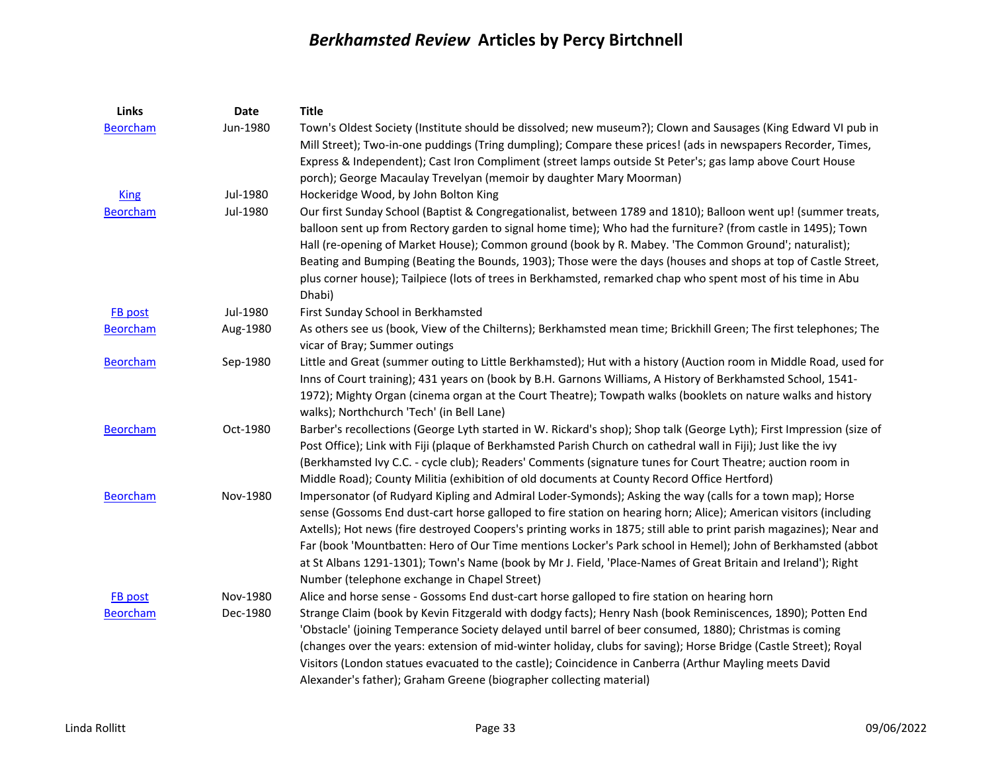| Links           | <b>Date</b> | <b>Title</b>                                                                                                                                                                                                                   |
|-----------------|-------------|--------------------------------------------------------------------------------------------------------------------------------------------------------------------------------------------------------------------------------|
| <b>Beorcham</b> | Jun-1980    | Town's Oldest Society (Institute should be dissolved; new museum?); Clown and Sausages (King Edward VI pub in<br>Mill Street); Two-in-one puddings (Tring dumpling); Compare these prices! (ads in newspapers Recorder, Times, |
|                 |             | Express & Independent); Cast Iron Compliment (street lamps outside St Peter's; gas lamp above Court House                                                                                                                      |
|                 |             | porch); George Macaulay Trevelyan (memoir by daughter Mary Moorman)                                                                                                                                                            |
| <b>King</b>     | Jul-1980    | Hockeridge Wood, by John Bolton King                                                                                                                                                                                           |
| <b>Beorcham</b> | Jul-1980    | Our first Sunday School (Baptist & Congregationalist, between 1789 and 1810); Balloon went up! (summer treats,                                                                                                                 |
|                 |             | balloon sent up from Rectory garden to signal home time); Who had the furniture? (from castle in 1495); Town<br>Hall (re-opening of Market House); Common ground (book by R. Mabey. 'The Common Ground'; naturalist);          |
|                 |             | Beating and Bumping (Beating the Bounds, 1903); Those were the days (houses and shops at top of Castle Street,                                                                                                                 |
|                 |             | plus corner house); Tailpiece (lots of trees in Berkhamsted, remarked chap who spent most of his time in Abu<br>Dhabi)                                                                                                         |
| FB post         | Jul-1980    | First Sunday School in Berkhamsted                                                                                                                                                                                             |
| <b>Beorcham</b> | Aug-1980    | As others see us (book, View of the Chilterns); Berkhamsted mean time; Brickhill Green; The first telephones; The<br>vicar of Bray; Summer outings                                                                             |
| <b>Beorcham</b> | Sep-1980    | Little and Great (summer outing to Little Berkhamsted); Hut with a history (Auction room in Middle Road, used for                                                                                                              |
|                 |             | Inns of Court training); 431 years on (book by B.H. Garnons Williams, A History of Berkhamsted School, 1541-                                                                                                                   |
|                 |             | 1972); Mighty Organ (cinema organ at the Court Theatre); Towpath walks (booklets on nature walks and history                                                                                                                   |
|                 |             | walks); Northchurch 'Tech' (in Bell Lane)                                                                                                                                                                                      |
| <b>Beorcham</b> | Oct-1980    | Barber's recollections (George Lyth started in W. Rickard's shop); Shop talk (George Lyth); First Impression (size of                                                                                                          |
|                 |             | Post Office); Link with Fiji (plaque of Berkhamsted Parish Church on cathedral wall in Fiji); Just like the ivy                                                                                                                |
|                 |             | (Berkhamsted Ivy C.C. - cycle club); Readers' Comments (signature tunes for Court Theatre; auction room in                                                                                                                     |
|                 |             | Middle Road); County Militia (exhibition of old documents at County Record Office Hertford)                                                                                                                                    |
| <b>Beorcham</b> | Nov-1980    | Impersonator (of Rudyard Kipling and Admiral Loder-Symonds); Asking the way (calls for a town map); Horse                                                                                                                      |
|                 |             | sense (Gossoms End dust-cart horse galloped to fire station on hearing horn; Alice); American visitors (including                                                                                                              |
|                 |             | Axtells); Hot news (fire destroyed Coopers's printing works in 1875; still able to print parish magazines); Near and                                                                                                           |
|                 |             | Far (book 'Mountbatten: Hero of Our Time mentions Locker's Park school in Hemel); John of Berkhamsted (abbot                                                                                                                   |
|                 |             | at St Albans 1291-1301); Town's Name (book by Mr J. Field, 'Place-Names of Great Britain and Ireland'); Right                                                                                                                  |
|                 |             | Number (telephone exchange in Chapel Street)                                                                                                                                                                                   |
| FB post         | Nov-1980    | Alice and horse sense - Gossoms End dust-cart horse galloped to fire station on hearing horn                                                                                                                                   |
| <b>Beorcham</b> | Dec-1980    | Strange Claim (book by Kevin Fitzgerald with dodgy facts); Henry Nash (book Reminiscences, 1890); Potten End                                                                                                                   |
|                 |             | 'Obstacle' (joining Temperance Society delayed until barrel of beer consumed, 1880); Christmas is coming                                                                                                                       |
|                 |             | (changes over the years: extension of mid-winter holiday, clubs for saving); Horse Bridge (Castle Street); Royal                                                                                                               |
|                 |             | Visitors (London statues evacuated to the castle); Coincidence in Canberra (Arthur Mayling meets David                                                                                                                         |
|                 |             | Alexander's father); Graham Greene (biographer collecting material)                                                                                                                                                            |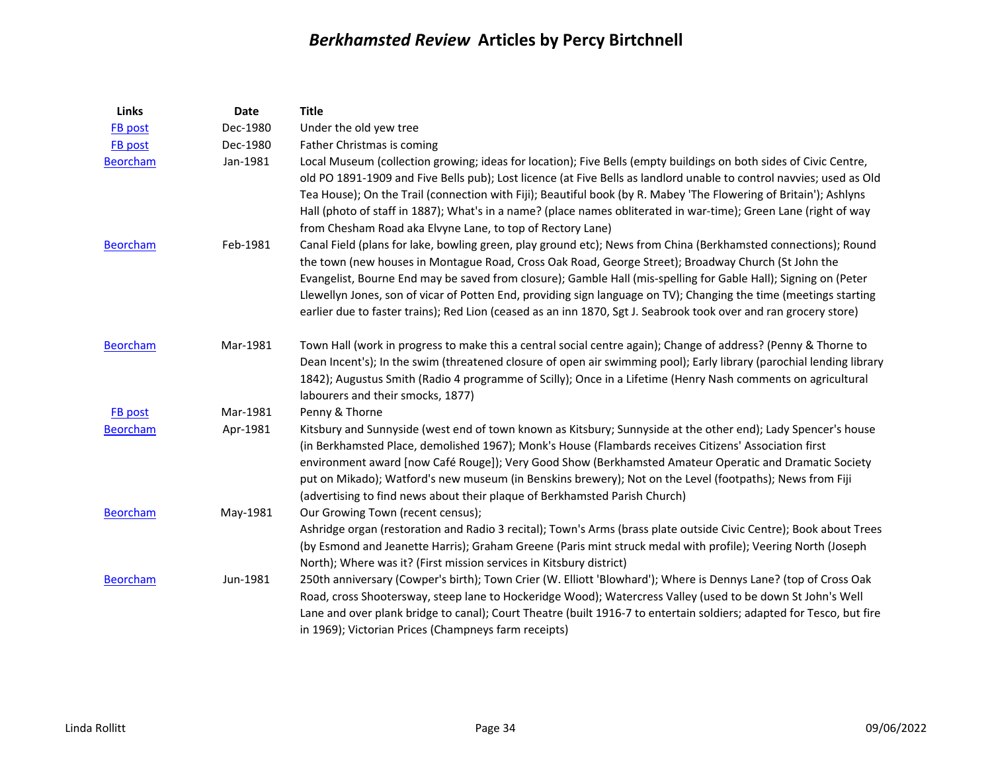| Links           | Date     | <b>Title</b>                                                                                                                                                                                                                                                                                                                                                                                                                                                                                                                                                                      |
|-----------------|----------|-----------------------------------------------------------------------------------------------------------------------------------------------------------------------------------------------------------------------------------------------------------------------------------------------------------------------------------------------------------------------------------------------------------------------------------------------------------------------------------------------------------------------------------------------------------------------------------|
| FB post         | Dec-1980 | Under the old yew tree                                                                                                                                                                                                                                                                                                                                                                                                                                                                                                                                                            |
| FB post         | Dec-1980 | Father Christmas is coming                                                                                                                                                                                                                                                                                                                                                                                                                                                                                                                                                        |
| <b>Beorcham</b> | Jan-1981 | Local Museum (collection growing; ideas for location); Five Bells (empty buildings on both sides of Civic Centre,<br>old PO 1891-1909 and Five Bells pub); Lost licence (at Five Bells as landlord unable to control navvies; used as Old<br>Tea House); On the Trail (connection with Fiji); Beautiful book (by R. Mabey 'The Flowering of Britain'); Ashlyns<br>Hall (photo of staff in 1887); What's in a name? (place names obliterated in war-time); Green Lane (right of way<br>from Chesham Road aka Elvyne Lane, to top of Rectory Lane)                                  |
| <b>Beorcham</b> | Feb-1981 | Canal Field (plans for lake, bowling green, play ground etc); News from China (Berkhamsted connections); Round<br>the town (new houses in Montague Road, Cross Oak Road, George Street); Broadway Church (St John the<br>Evangelist, Bourne End may be saved from closure); Gamble Hall (mis-spelling for Gable Hall); Signing on (Peter<br>Llewellyn Jones, son of vicar of Potten End, providing sign language on TV); Changing the time (meetings starting<br>earlier due to faster trains); Red Lion (ceased as an inn 1870, Sgt J. Seabrook took over and ran grocery store) |
| <b>Beorcham</b> | Mar-1981 | Town Hall (work in progress to make this a central social centre again); Change of address? (Penny & Thorne to<br>Dean Incent's); In the swim (threatened closure of open air swimming pool); Early library (parochial lending library<br>1842); Augustus Smith (Radio 4 programme of Scilly); Once in a Lifetime (Henry Nash comments on agricultural<br>labourers and their smocks, 1877)                                                                                                                                                                                       |
| FB post         | Mar-1981 | Penny & Thorne                                                                                                                                                                                                                                                                                                                                                                                                                                                                                                                                                                    |
| <b>Beorcham</b> | Apr-1981 | Kitsbury and Sunnyside (west end of town known as Kitsbury; Sunnyside at the other end); Lady Spencer's house<br>(in Berkhamsted Place, demolished 1967); Monk's House (Flambards receives Citizens' Association first<br>environment award [now Café Rouge]); Very Good Show (Berkhamsted Amateur Operatic and Dramatic Society<br>put on Mikado); Watford's new museum (in Benskins brewery); Not on the Level (footpaths); News from Fiji<br>(advertising to find news about their plaque of Berkhamsted Parish Church)                                                        |
| <b>Beorcham</b> | May-1981 | Our Growing Town (recent census);<br>Ashridge organ (restoration and Radio 3 recital); Town's Arms (brass plate outside Civic Centre); Book about Trees<br>(by Esmond and Jeanette Harris); Graham Greene (Paris mint struck medal with profile); Veering North (Joseph<br>North); Where was it? (First mission services in Kitsbury district)                                                                                                                                                                                                                                    |
| Beorcham        | Jun-1981 | 250th anniversary (Cowper's birth); Town Crier (W. Elliott 'Blowhard'); Where is Dennys Lane? (top of Cross Oak<br>Road, cross Shootersway, steep lane to Hockeridge Wood); Watercress Valley (used to be down St John's Well<br>Lane and over plank bridge to canal); Court Theatre (built 1916-7 to entertain soldiers; adapted for Tesco, but fire<br>in 1969); Victorian Prices (Champneys farm receipts)                                                                                                                                                                     |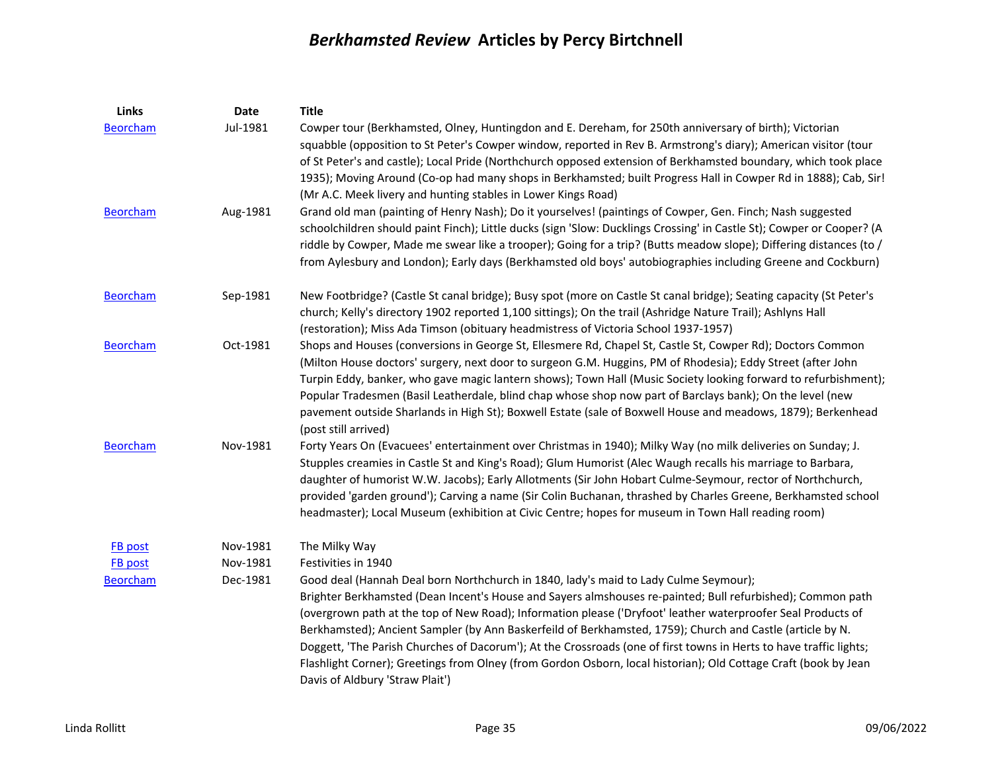| Links           | <b>Date</b> | <b>Title</b>                                                                                                                                                                                                                                                                                                                                                                                                                                                                                                                                                                                                                                                                                                |
|-----------------|-------------|-------------------------------------------------------------------------------------------------------------------------------------------------------------------------------------------------------------------------------------------------------------------------------------------------------------------------------------------------------------------------------------------------------------------------------------------------------------------------------------------------------------------------------------------------------------------------------------------------------------------------------------------------------------------------------------------------------------|
| <b>Beorcham</b> | Jul-1981    | Cowper tour (Berkhamsted, Olney, Huntingdon and E. Dereham, for 250th anniversary of birth); Victorian<br>squabble (opposition to St Peter's Cowper window, reported in Rev B. Armstrong's diary); American visitor (tour<br>of St Peter's and castle); Local Pride (Northchurch opposed extension of Berkhamsted boundary, which took place                                                                                                                                                                                                                                                                                                                                                                |
|                 |             | 1935); Moving Around (Co-op had many shops in Berkhamsted; built Progress Hall in Cowper Rd in 1888); Cab, Sir!<br>(Mr A.C. Meek livery and hunting stables in Lower Kings Road)                                                                                                                                                                                                                                                                                                                                                                                                                                                                                                                            |
| <b>Beorcham</b> | Aug-1981    | Grand old man (painting of Henry Nash); Do it yourselves! (paintings of Cowper, Gen. Finch; Nash suggested<br>schoolchildren should paint Finch); Little ducks (sign 'Slow: Ducklings Crossing' in Castle St); Cowper or Cooper? (A<br>riddle by Cowper, Made me swear like a trooper); Going for a trip? (Butts meadow slope); Differing distances (to /<br>from Aylesbury and London); Early days (Berkhamsted old boys' autobiographies including Greene and Cockburn)                                                                                                                                                                                                                                   |
| <b>Beorcham</b> | Sep-1981    | New Footbridge? (Castle St canal bridge); Busy spot (more on Castle St canal bridge); Seating capacity (St Peter's<br>church; Kelly's directory 1902 reported 1,100 sittings); On the trail (Ashridge Nature Trail); Ashlyns Hall<br>(restoration); Miss Ada Timson (obituary headmistress of Victoria School 1937-1957)                                                                                                                                                                                                                                                                                                                                                                                    |
| <b>Beorcham</b> | Oct-1981    | Shops and Houses (conversions in George St, Ellesmere Rd, Chapel St, Castle St, Cowper Rd); Doctors Common<br>(Milton House doctors' surgery, next door to surgeon G.M. Huggins, PM of Rhodesia); Eddy Street (after John<br>Turpin Eddy, banker, who gave magic lantern shows); Town Hall (Music Society looking forward to refurbishment);<br>Popular Tradesmen (Basil Leatherdale, blind chap whose shop now part of Barclays bank); On the level (new<br>pavement outside Sharlands in High St); Boxwell Estate (sale of Boxwell House and meadows, 1879); Berkenhead<br>(post still arrived)                                                                                                           |
| <b>Beorcham</b> | Nov-1981    | Forty Years On (Evacuees' entertainment over Christmas in 1940); Milky Way (no milk deliveries on Sunday; J.<br>Stupples creamies in Castle St and King's Road); Glum Humorist (Alec Waugh recalls his marriage to Barbara,<br>daughter of humorist W.W. Jacobs); Early Allotments (Sir John Hobart Culme-Seymour, rector of Northchurch,<br>provided 'garden ground'); Carving a name (Sir Colin Buchanan, thrashed by Charles Greene, Berkhamsted school<br>headmaster); Local Museum (exhibition at Civic Centre; hopes for museum in Town Hall reading room)                                                                                                                                            |
| <b>FB</b> post  | Nov-1981    | The Milky Way                                                                                                                                                                                                                                                                                                                                                                                                                                                                                                                                                                                                                                                                                               |
| <b>FB</b> post  | Nov-1981    | Festivities in 1940                                                                                                                                                                                                                                                                                                                                                                                                                                                                                                                                                                                                                                                                                         |
| <b>Beorcham</b> | Dec-1981    | Good deal (Hannah Deal born Northchurch in 1840, lady's maid to Lady Culme Seymour);<br>Brighter Berkhamsted (Dean Incent's House and Sayers almshouses re-painted; Bull refurbished); Common path<br>(overgrown path at the top of New Road); Information please ('Dryfoot' leather waterproofer Seal Products of<br>Berkhamsted); Ancient Sampler (by Ann Baskerfeild of Berkhamsted, 1759); Church and Castle (article by N.<br>Doggett, 'The Parish Churches of Dacorum'); At the Crossroads (one of first towns in Herts to have traffic lights;<br>Flashlight Corner); Greetings from Olney (from Gordon Osborn, local historian); Old Cottage Craft (book by Jean<br>Davis of Aldbury 'Straw Plait') |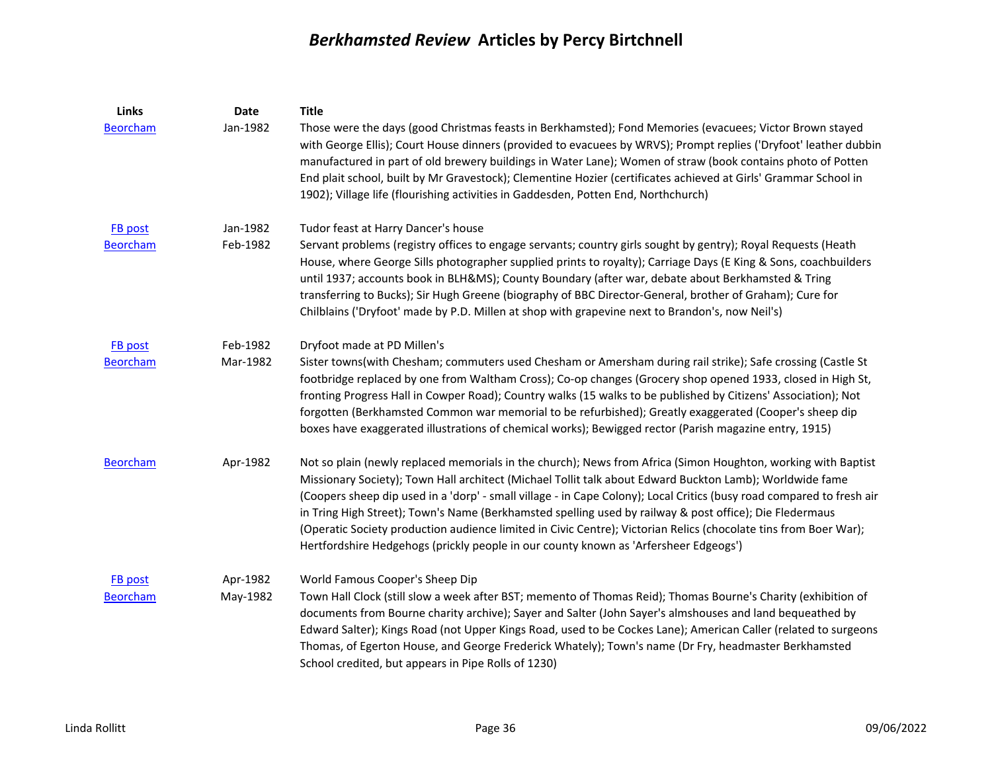| Links           | Date     | <b>Title</b>                                                                                                                                                                                                                                                                                                                                                                                                                                                                                                                                                                                                                                                              |
|-----------------|----------|---------------------------------------------------------------------------------------------------------------------------------------------------------------------------------------------------------------------------------------------------------------------------------------------------------------------------------------------------------------------------------------------------------------------------------------------------------------------------------------------------------------------------------------------------------------------------------------------------------------------------------------------------------------------------|
| <b>Beorcham</b> | Jan-1982 | Those were the days (good Christmas feasts in Berkhamsted); Fond Memories (evacuees; Victor Brown stayed<br>with George Ellis); Court House dinners (provided to evacuees by WRVS); Prompt replies ('Dryfoot' leather dubbin<br>manufactured in part of old brewery buildings in Water Lane); Women of straw (book contains photo of Potten<br>End plait school, built by Mr Gravestock); Clementine Hozier (certificates achieved at Girls' Grammar School in<br>1902); Village life (flourishing activities in Gaddesden, Potten End, Northchurch)                                                                                                                      |
| FB post         | Jan-1982 | Tudor feast at Harry Dancer's house                                                                                                                                                                                                                                                                                                                                                                                                                                                                                                                                                                                                                                       |
| <b>Beorcham</b> | Feb-1982 | Servant problems (registry offices to engage servants; country girls sought by gentry); Royal Requests (Heath<br>House, where George Sills photographer supplied prints to royalty); Carriage Days (E King & Sons, coachbuilders<br>until 1937; accounts book in BLH&MS); County Boundary (after war, debate about Berkhamsted & Tring<br>transferring to Bucks); Sir Hugh Greene (biography of BBC Director-General, brother of Graham); Cure for<br>Chilblains ('Dryfoot' made by P.D. Millen at shop with grapevine next to Brandon's, now Neil's)                                                                                                                     |
| <b>FB</b> post  | Feb-1982 | Dryfoot made at PD Millen's                                                                                                                                                                                                                                                                                                                                                                                                                                                                                                                                                                                                                                               |
| <b>Beorcham</b> | Mar-1982 | Sister towns(with Chesham; commuters used Chesham or Amersham during rail strike); Safe crossing (Castle St<br>footbridge replaced by one from Waltham Cross); Co-op changes (Grocery shop opened 1933, closed in High St,<br>fronting Progress Hall in Cowper Road); Country walks (15 walks to be published by Citizens' Association); Not<br>forgotten (Berkhamsted Common war memorial to be refurbished); Greatly exaggerated (Cooper's sheep dip<br>boxes have exaggerated illustrations of chemical works); Bewigged rector (Parish magazine entry, 1915)                                                                                                          |
| <b>Beorcham</b> | Apr-1982 | Not so plain (newly replaced memorials in the church); News from Africa (Simon Houghton, working with Baptist<br>Missionary Society); Town Hall architect (Michael Tollit talk about Edward Buckton Lamb); Worldwide fame<br>(Coopers sheep dip used in a 'dorp' - small village - in Cape Colony); Local Critics (busy road compared to fresh air<br>in Tring High Street); Town's Name (Berkhamsted spelling used by railway & post office); Die Fledermaus<br>(Operatic Society production audience limited in Civic Centre); Victorian Relics (chocolate tins from Boer War);<br>Hertfordshire Hedgehogs (prickly people in our county known as 'Arfersheer Edgeogs') |
| <b>FB</b> post  | Apr-1982 | World Famous Cooper's Sheep Dip                                                                                                                                                                                                                                                                                                                                                                                                                                                                                                                                                                                                                                           |
| <b>Beorcham</b> | May-1982 | Town Hall Clock (still slow a week after BST; memento of Thomas Reid); Thomas Bourne's Charity (exhibition of<br>documents from Bourne charity archive); Sayer and Salter (John Sayer's almshouses and land bequeathed by<br>Edward Salter); Kings Road (not Upper Kings Road, used to be Cockes Lane); American Caller (related to surgeons<br>Thomas, of Egerton House, and George Frederick Whately); Town's name (Dr Fry, headmaster Berkhamsted<br>School credited, but appears in Pipe Rolls of 1230)                                                                                                                                                               |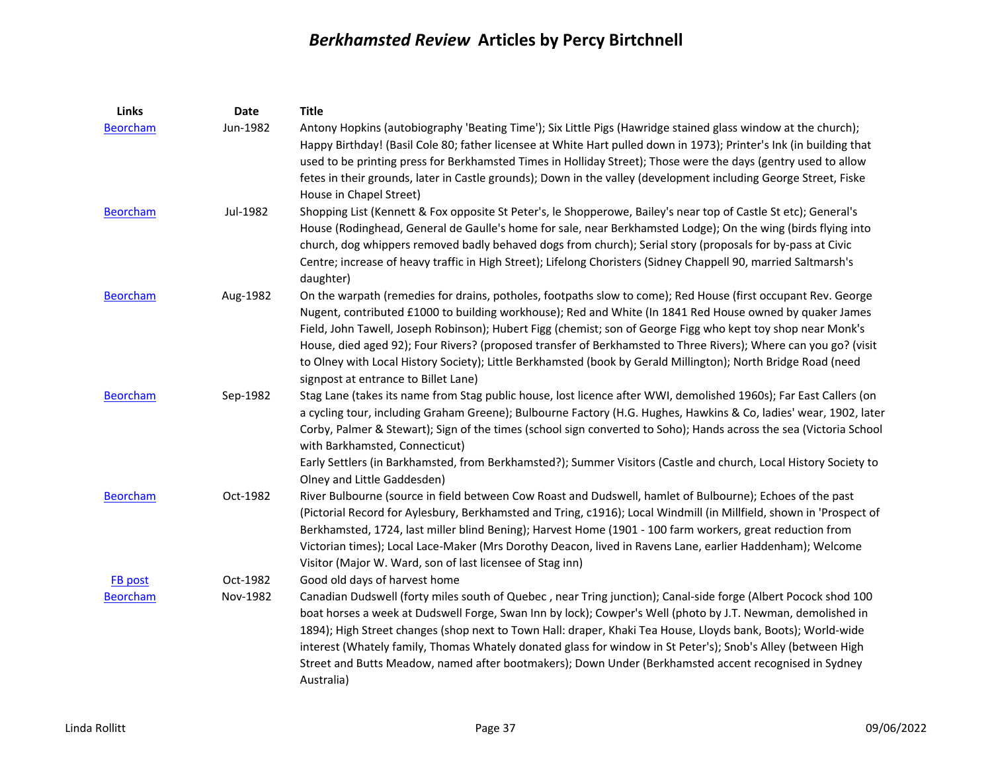| Links           | <b>Date</b> | <b>Title</b>                                                                                                                                                                                                                                                                                                                                                                                                                                                                                                                                                                                                          |
|-----------------|-------------|-----------------------------------------------------------------------------------------------------------------------------------------------------------------------------------------------------------------------------------------------------------------------------------------------------------------------------------------------------------------------------------------------------------------------------------------------------------------------------------------------------------------------------------------------------------------------------------------------------------------------|
| <b>Beorcham</b> | Jun-1982    | Antony Hopkins (autobiography 'Beating Time'); Six Little Pigs (Hawridge stained glass window at the church);<br>Happy Birthday! (Basil Cole 80; father licensee at White Hart pulled down in 1973); Printer's Ink (in building that<br>used to be printing press for Berkhamsted Times in Holliday Street); Those were the days (gentry used to allow<br>fetes in their grounds, later in Castle grounds); Down in the valley (development including George Street, Fiske<br>House in Chapel Street)                                                                                                                 |
| <b>Beorcham</b> | Jul-1982    | Shopping List (Kennett & Fox opposite St Peter's, le Shopperowe, Bailey's near top of Castle St etc); General's<br>House (Rodinghead, General de Gaulle's home for sale, near Berkhamsted Lodge); On the wing (birds flying into<br>church, dog whippers removed badly behaved dogs from church); Serial story (proposals for by-pass at Civic<br>Centre; increase of heavy traffic in High Street); Lifelong Choristers (Sidney Chappell 90, married Saltmarsh's<br>daughter)                                                                                                                                        |
| <b>Beorcham</b> | Aug-1982    | On the warpath (remedies for drains, potholes, footpaths slow to come); Red House (first occupant Rev. George<br>Nugent, contributed £1000 to building workhouse); Red and White (In 1841 Red House owned by quaker James<br>Field, John Tawell, Joseph Robinson); Hubert Figg (chemist; son of George Figg who kept toy shop near Monk's<br>House, died aged 92); Four Rivers? (proposed transfer of Berkhamsted to Three Rivers); Where can you go? (visit<br>to Olney with Local History Society); Little Berkhamsted (book by Gerald Millington); North Bridge Road (need<br>signpost at entrance to Billet Lane) |
| <b>Beorcham</b> | Sep-1982    | Stag Lane (takes its name from Stag public house, lost licence after WWI, demolished 1960s); Far East Callers (on<br>a cycling tour, including Graham Greene); Bulbourne Factory (H.G. Hughes, Hawkins & Co, ladies' wear, 1902, later<br>Corby, Palmer & Stewart); Sign of the times (school sign converted to Soho); Hands across the sea (Victoria School<br>with Barkhamsted, Connecticut)<br>Early Settlers (in Barkhamsted, from Berkhamsted?); Summer Visitors (Castle and church, Local History Society to<br>Olney and Little Gaddesden)                                                                     |
| <b>Beorcham</b> | Oct-1982    | River Bulbourne (source in field between Cow Roast and Dudswell, hamlet of Bulbourne); Echoes of the past<br>(Pictorial Record for Aylesbury, Berkhamsted and Tring, c1916); Local Windmill (in Millfield, shown in 'Prospect of<br>Berkhamsted, 1724, last miller blind Bening); Harvest Home (1901 - 100 farm workers, great reduction from<br>Victorian times); Local Lace-Maker (Mrs Dorothy Deacon, lived in Ravens Lane, earlier Haddenham); Welcome<br>Visitor (Major W. Ward, son of last licensee of Stag inn)                                                                                               |
| FB post         | Oct-1982    | Good old days of harvest home                                                                                                                                                                                                                                                                                                                                                                                                                                                                                                                                                                                         |
| <b>Beorcham</b> | Nov-1982    | Canadian Dudswell (forty miles south of Quebec, near Tring junction); Canal-side forge (Albert Pocock shod 100<br>boat horses a week at Dudswell Forge, Swan Inn by lock); Cowper's Well (photo by J.T. Newman, demolished in<br>1894); High Street changes (shop next to Town Hall: draper, Khaki Tea House, Lloyds bank, Boots); World-wide<br>interest (Whately family, Thomas Whately donated glass for window in St Peter's); Snob's Alley (between High<br>Street and Butts Meadow, named after bootmakers); Down Under (Berkhamsted accent recognised in Sydney<br>Australia)                                  |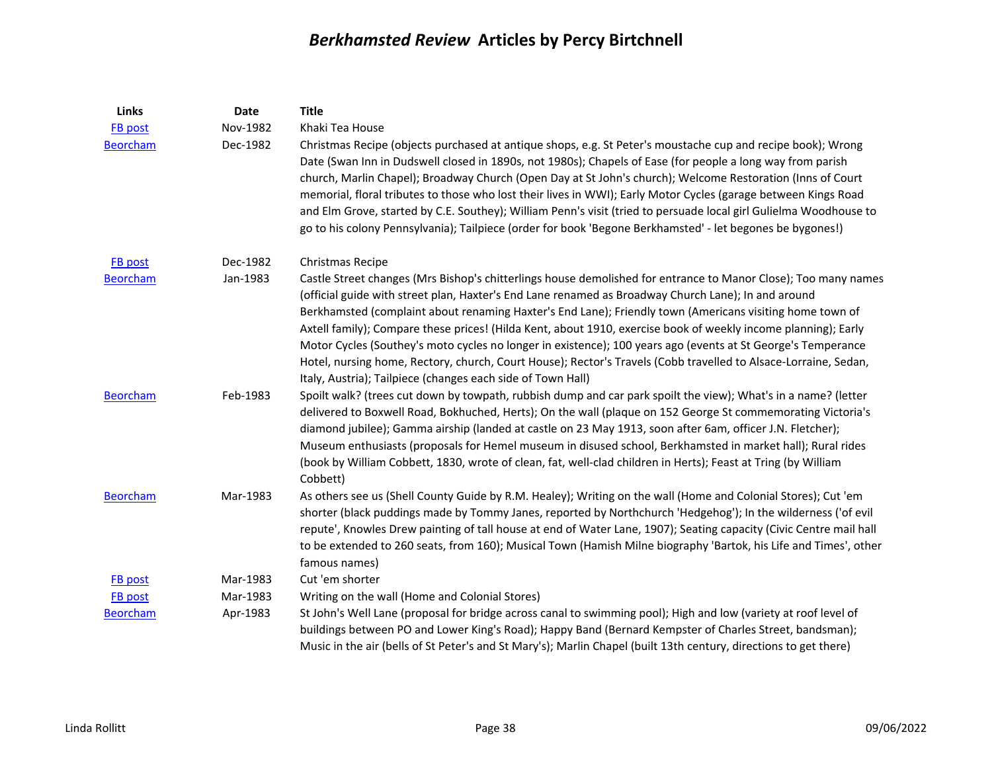| Links           | Date     | <b>Title</b>                                                                                                                                                                                                                                                                                                                                                                                                                                                                                                                                                                                                                                                                                                                                          |
|-----------------|----------|-------------------------------------------------------------------------------------------------------------------------------------------------------------------------------------------------------------------------------------------------------------------------------------------------------------------------------------------------------------------------------------------------------------------------------------------------------------------------------------------------------------------------------------------------------------------------------------------------------------------------------------------------------------------------------------------------------------------------------------------------------|
| <b>FB</b> post  | Nov-1982 | Khaki Tea House                                                                                                                                                                                                                                                                                                                                                                                                                                                                                                                                                                                                                                                                                                                                       |
| <b>Beorcham</b> | Dec-1982 | Christmas Recipe (objects purchased at antique shops, e.g. St Peter's moustache cup and recipe book); Wrong<br>Date (Swan Inn in Dudswell closed in 1890s, not 1980s); Chapels of Ease (for people a long way from parish<br>church, Marlin Chapel); Broadway Church (Open Day at St John's church); Welcome Restoration (Inns of Court<br>memorial, floral tributes to those who lost their lives in WWI); Early Motor Cycles (garage between Kings Road<br>and Elm Grove, started by C.E. Southey); William Penn's visit (tried to persuade local girl Gulielma Woodhouse to<br>go to his colony Pennsylvania); Tailpiece (order for book 'Begone Berkhamsted' - let begones be bygones!)                                                           |
| FB post         | Dec-1982 | Christmas Recipe                                                                                                                                                                                                                                                                                                                                                                                                                                                                                                                                                                                                                                                                                                                                      |
| <b>Beorcham</b> | Jan-1983 | Castle Street changes (Mrs Bishop's chitterlings house demolished for entrance to Manor Close); Too many names<br>(official guide with street plan, Haxter's End Lane renamed as Broadway Church Lane); In and around<br>Berkhamsted (complaint about renaming Haxter's End Lane); Friendly town (Americans visiting home town of<br>Axtell family); Compare these prices! (Hilda Kent, about 1910, exercise book of weekly income planning); Early<br>Motor Cycles (Southey's moto cycles no longer in existence); 100 years ago (events at St George's Temperance<br>Hotel, nursing home, Rectory, church, Court House); Rector's Travels (Cobb travelled to Alsace-Lorraine, Sedan,<br>Italy, Austria); Tailpiece (changes each side of Town Hall) |
| <b>Beorcham</b> | Feb-1983 | Spoilt walk? (trees cut down by towpath, rubbish dump and car park spoilt the view); What's in a name? (letter<br>delivered to Boxwell Road, Bokhuched, Herts); On the wall (plaque on 152 George St commemorating Victoria's<br>diamond jubilee); Gamma airship (landed at castle on 23 May 1913, soon after 6am, officer J.N. Fletcher);<br>Museum enthusiasts (proposals for Hemel museum in disused school, Berkhamsted in market hall); Rural rides<br>(book by William Cobbett, 1830, wrote of clean, fat, well-clad children in Herts); Feast at Tring (by William<br>Cobbett)                                                                                                                                                                 |
| <b>Beorcham</b> | Mar-1983 | As others see us (Shell County Guide by R.M. Healey); Writing on the wall (Home and Colonial Stores); Cut 'em<br>shorter (black puddings made by Tommy Janes, reported by Northchurch 'Hedgehog'); In the wilderness ('of evil<br>repute', Knowles Drew painting of tall house at end of Water Lane, 1907); Seating capacity (Civic Centre mail hall<br>to be extended to 260 seats, from 160); Musical Town (Hamish Milne biography 'Bartok, his Life and Times', other<br>famous names)                                                                                                                                                                                                                                                             |
| <b>FB</b> post  | Mar-1983 | Cut 'em shorter                                                                                                                                                                                                                                                                                                                                                                                                                                                                                                                                                                                                                                                                                                                                       |
| <b>FB</b> post  | Mar-1983 | Writing on the wall (Home and Colonial Stores)                                                                                                                                                                                                                                                                                                                                                                                                                                                                                                                                                                                                                                                                                                        |
| <b>Beorcham</b> | Apr-1983 | St John's Well Lane (proposal for bridge across canal to swimming pool); High and low (variety at roof level of<br>buildings between PO and Lower King's Road); Happy Band (Bernard Kempster of Charles Street, bandsman);<br>Music in the air (bells of St Peter's and St Mary's); Marlin Chapel (built 13th century, directions to get there)                                                                                                                                                                                                                                                                                                                                                                                                       |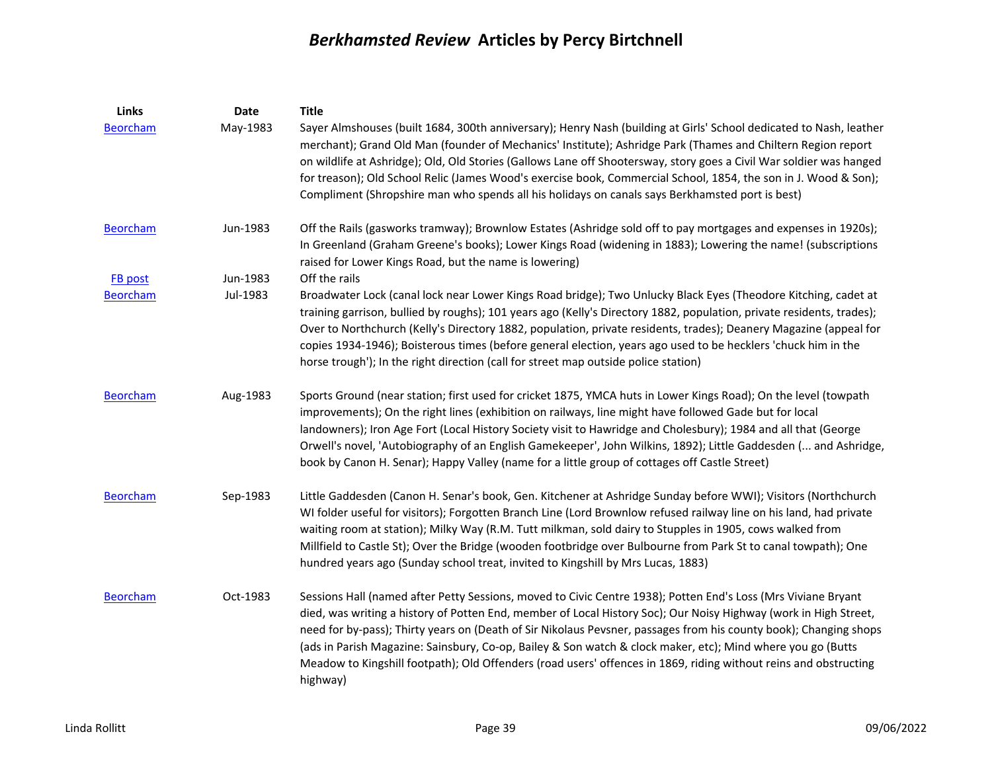| Links           | <b>Date</b> | <b>Title</b>                                                                                                                                                                                                                                                                                                                                                                                                                                                                                                                                                                                          |
|-----------------|-------------|-------------------------------------------------------------------------------------------------------------------------------------------------------------------------------------------------------------------------------------------------------------------------------------------------------------------------------------------------------------------------------------------------------------------------------------------------------------------------------------------------------------------------------------------------------------------------------------------------------|
| <b>Beorcham</b> | May-1983    | Sayer Almshouses (built 1684, 300th anniversary); Henry Nash (building at Girls' School dedicated to Nash, leather<br>merchant); Grand Old Man (founder of Mechanics' Institute); Ashridge Park (Thames and Chiltern Region report<br>on wildlife at Ashridge); Old, Old Stories (Gallows Lane off Shootersway, story goes a Civil War soldier was hanged<br>for treason); Old School Relic (James Wood's exercise book, Commercial School, 1854, the son in J. Wood & Son);<br>Compliment (Shropshire man who spends all his holidays on canals says Berkhamsted port is best)                       |
| <b>Beorcham</b> | Jun-1983    | Off the Rails (gasworks tramway); Brownlow Estates (Ashridge sold off to pay mortgages and expenses in 1920s);<br>In Greenland (Graham Greene's books); Lower Kings Road (widening in 1883); Lowering the name! (subscriptions<br>raised for Lower Kings Road, but the name is lowering)                                                                                                                                                                                                                                                                                                              |
| FB post         | Jun-1983    | Off the rails                                                                                                                                                                                                                                                                                                                                                                                                                                                                                                                                                                                         |
| <b>Beorcham</b> | Jul-1983    | Broadwater Lock (canal lock near Lower Kings Road bridge); Two Unlucky Black Eyes (Theodore Kitching, cadet at<br>training garrison, bullied by roughs); 101 years ago (Kelly's Directory 1882, population, private residents, trades);<br>Over to Northchurch (Kelly's Directory 1882, population, private residents, trades); Deanery Magazine (appeal for<br>copies 1934-1946); Boisterous times (before general election, years ago used to be hecklers 'chuck him in the<br>horse trough'); In the right direction (call for street map outside police station)                                  |
| <b>Beorcham</b> | Aug-1983    | Sports Ground (near station; first used for cricket 1875, YMCA huts in Lower Kings Road); On the level (towpath<br>improvements); On the right lines (exhibition on railways, line might have followed Gade but for local<br>landowners); Iron Age Fort (Local History Society visit to Hawridge and Cholesbury); 1984 and all that (George<br>Orwell's novel, 'Autobiography of an English Gamekeeper', John Wilkins, 1892); Little Gaddesden ( and Ashridge,<br>book by Canon H. Senar); Happy Valley (name for a little group of cottages off Castle Street)                                       |
| <b>Beorcham</b> | Sep-1983    | Little Gaddesden (Canon H. Senar's book, Gen. Kitchener at Ashridge Sunday before WWI); Visitors (Northchurch<br>WI folder useful for visitors); Forgotten Branch Line (Lord Brownlow refused railway line on his land, had private<br>waiting room at station); Milky Way (R.M. Tutt milkman, sold dairy to Stupples in 1905, cows walked from<br>Millfield to Castle St); Over the Bridge (wooden footbridge over Bulbourne from Park St to canal towpath); One<br>hundred years ago (Sunday school treat, invited to Kingshill by Mrs Lucas, 1883)                                                 |
| <b>Beorcham</b> | Oct-1983    | Sessions Hall (named after Petty Sessions, moved to Civic Centre 1938); Potten End's Loss (Mrs Viviane Bryant<br>died, was writing a history of Potten End, member of Local History Soc); Our Noisy Highway (work in High Street,<br>need for by-pass); Thirty years on (Death of Sir Nikolaus Pevsner, passages from his county book); Changing shops<br>(ads in Parish Magazine: Sainsbury, Co-op, Bailey & Son watch & clock maker, etc); Mind where you go (Butts<br>Meadow to Kingshill footpath); Old Offenders (road users' offences in 1869, riding without reins and obstructing<br>highway) |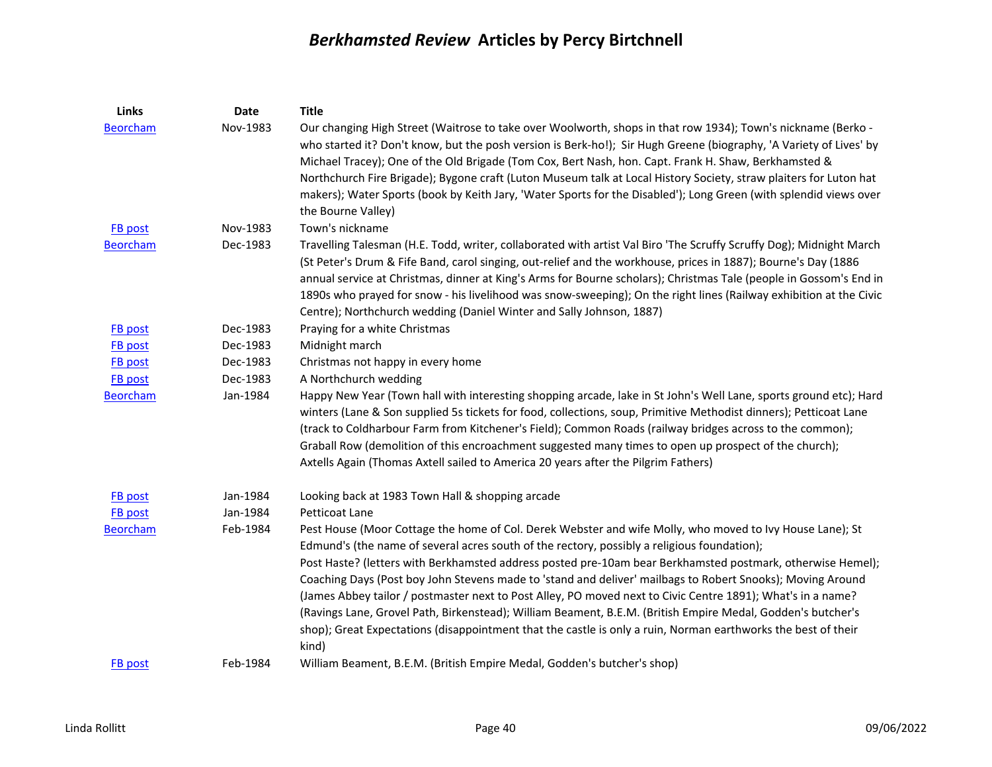| Links           | Date     | <b>Title</b>                                                                                                                                                                                                                                                                                                                                                                                                                                                                                                                                                                                                                                                      |
|-----------------|----------|-------------------------------------------------------------------------------------------------------------------------------------------------------------------------------------------------------------------------------------------------------------------------------------------------------------------------------------------------------------------------------------------------------------------------------------------------------------------------------------------------------------------------------------------------------------------------------------------------------------------------------------------------------------------|
| <b>Beorcham</b> | Nov-1983 | Our changing High Street (Waitrose to take over Woolworth, shops in that row 1934); Town's nickname (Berko -<br>who started it? Don't know, but the posh version is Berk-ho!); Sir Hugh Greene (biography, 'A Variety of Lives' by<br>Michael Tracey); One of the Old Brigade (Tom Cox, Bert Nash, hon. Capt. Frank H. Shaw, Berkhamsted &                                                                                                                                                                                                                                                                                                                        |
|                 |          | Northchurch Fire Brigade); Bygone craft (Luton Museum talk at Local History Society, straw plaiters for Luton hat<br>makers); Water Sports (book by Keith Jary, 'Water Sports for the Disabled'); Long Green (with splendid views over<br>the Bourne Valley)                                                                                                                                                                                                                                                                                                                                                                                                      |
| <b>FB</b> post  | Nov-1983 | Town's nickname                                                                                                                                                                                                                                                                                                                                                                                                                                                                                                                                                                                                                                                   |
| <b>Beorcham</b> | Dec-1983 | Travelling Talesman (H.E. Todd, writer, collaborated with artist Val Biro 'The Scruffy Scruffy Dog); Midnight March<br>(St Peter's Drum & Fife Band, carol singing, out-relief and the workhouse, prices in 1887); Bourne's Day (1886<br>annual service at Christmas, dinner at King's Arms for Bourne scholars); Christmas Tale (people in Gossom's End in<br>1890s who prayed for snow - his livelihood was snow-sweeping); On the right lines (Railway exhibition at the Civic<br>Centre); Northchurch wedding (Daniel Winter and Sally Johnson, 1887)                                                                                                         |
| <b>FB</b> post  | Dec-1983 | Praying for a white Christmas                                                                                                                                                                                                                                                                                                                                                                                                                                                                                                                                                                                                                                     |
| <b>FB</b> post  | Dec-1983 | Midnight march                                                                                                                                                                                                                                                                                                                                                                                                                                                                                                                                                                                                                                                    |
| FB post         | Dec-1983 | Christmas not happy in every home                                                                                                                                                                                                                                                                                                                                                                                                                                                                                                                                                                                                                                 |
| <b>FB</b> post  | Dec-1983 | A Northchurch wedding                                                                                                                                                                                                                                                                                                                                                                                                                                                                                                                                                                                                                                             |
| <b>Beorcham</b> | Jan-1984 | Happy New Year (Town hall with interesting shopping arcade, lake in St John's Well Lane, sports ground etc); Hard<br>winters (Lane & Son supplied 5s tickets for food, collections, soup, Primitive Methodist dinners); Petticoat Lane<br>(track to Coldharbour Farm from Kitchener's Field); Common Roads (railway bridges across to the common);<br>Graball Row (demolition of this encroachment suggested many times to open up prospect of the church);<br>Axtells Again (Thomas Axtell sailed to America 20 years after the Pilgrim Fathers)                                                                                                                 |
| FB post         | Jan-1984 | Looking back at 1983 Town Hall & shopping arcade                                                                                                                                                                                                                                                                                                                                                                                                                                                                                                                                                                                                                  |
| <b>FB</b> post  | Jan-1984 | Petticoat Lane                                                                                                                                                                                                                                                                                                                                                                                                                                                                                                                                                                                                                                                    |
| <b>Beorcham</b> | Feb-1984 | Pest House (Moor Cottage the home of Col. Derek Webster and wife Molly, who moved to Ivy House Lane); St<br>Edmund's (the name of several acres south of the rectory, possibly a religious foundation);<br>Post Haste? (letters with Berkhamsted address posted pre-10am bear Berkhamsted postmark, otherwise Hemel);<br>Coaching Days (Post boy John Stevens made to 'stand and deliver' mailbags to Robert Snooks); Moving Around<br>(James Abbey tailor / postmaster next to Post Alley, PO moved next to Civic Centre 1891); What's in a name?<br>(Ravings Lane, Grovel Path, Birkenstead); William Beament, B.E.M. (British Empire Medal, Godden's butcher's |
| FB post         | Feb-1984 | shop); Great Expectations (disappointment that the castle is only a ruin, Norman earthworks the best of their<br>kind)<br>William Beament, B.E.M. (British Empire Medal, Godden's butcher's shop)                                                                                                                                                                                                                                                                                                                                                                                                                                                                 |
|                 |          |                                                                                                                                                                                                                                                                                                                                                                                                                                                                                                                                                                                                                                                                   |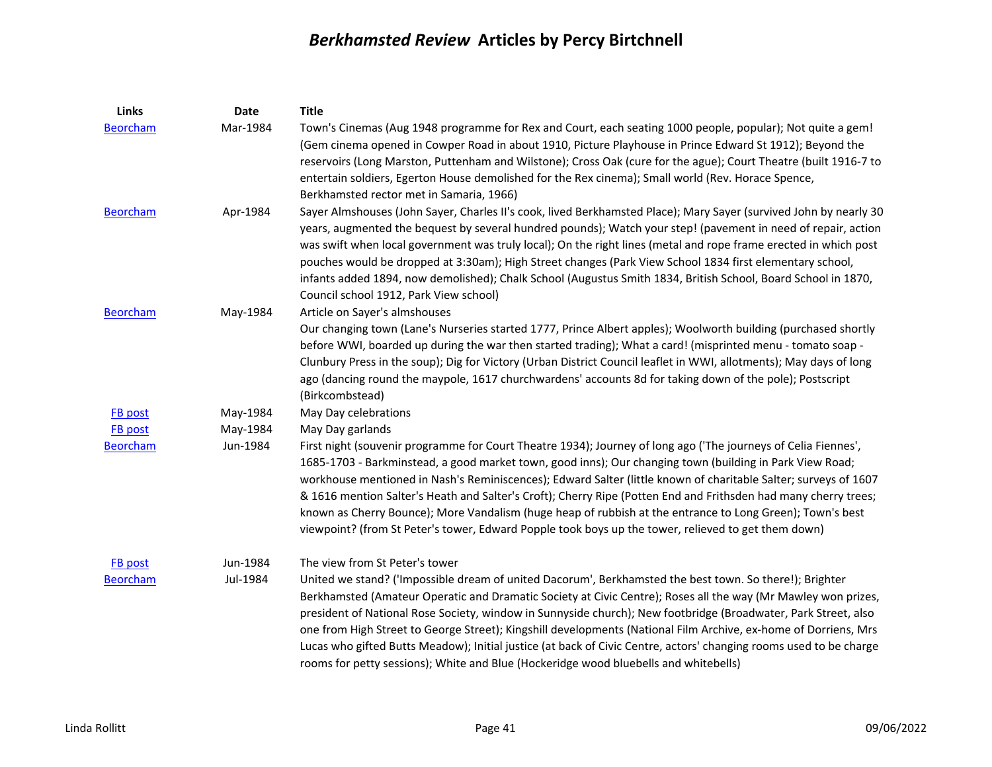| Links           | Date     | <b>Title</b>                                                                                                                                                                                                                                                                                                                                                                                                                                                                                                                                                                                                                                                                         |
|-----------------|----------|--------------------------------------------------------------------------------------------------------------------------------------------------------------------------------------------------------------------------------------------------------------------------------------------------------------------------------------------------------------------------------------------------------------------------------------------------------------------------------------------------------------------------------------------------------------------------------------------------------------------------------------------------------------------------------------|
| <b>Beorcham</b> | Mar-1984 | Town's Cinemas (Aug 1948 programme for Rex and Court, each seating 1000 people, popular); Not quite a gem!<br>(Gem cinema opened in Cowper Road in about 1910, Picture Playhouse in Prince Edward St 1912); Beyond the<br>reservoirs (Long Marston, Puttenham and Wilstone); Cross Oak (cure for the ague); Court Theatre (built 1916-7 to<br>entertain soldiers, Egerton House demolished for the Rex cinema); Small world (Rev. Horace Spence,<br>Berkhamsted rector met in Samaria, 1966)                                                                                                                                                                                         |
| <b>Beorcham</b> | Apr-1984 | Sayer Almshouses (John Sayer, Charles II's cook, lived Berkhamsted Place); Mary Sayer (survived John by nearly 30<br>years, augmented the bequest by several hundred pounds); Watch your step! (pavement in need of repair, action<br>was swift when local government was truly local); On the right lines (metal and rope frame erected in which post<br>pouches would be dropped at 3:30am); High Street changes (Park View School 1834 first elementary school,<br>infants added 1894, now demolished); Chalk School (Augustus Smith 1834, British School, Board School in 1870,<br>Council school 1912, Park View school)                                                        |
| <b>Beorcham</b> | May-1984 | Article on Sayer's almshouses<br>Our changing town (Lane's Nurseries started 1777, Prince Albert apples); Woolworth building (purchased shortly<br>before WWI, boarded up during the war then started trading); What a card! (misprinted menu - tomato soap -<br>Clunbury Press in the soup); Dig for Victory (Urban District Council leaflet in WWI, allotments); May days of long<br>ago (dancing round the maypole, 1617 churchwardens' accounts 8d for taking down of the pole); Postscript<br>(Birkcombstead)                                                                                                                                                                   |
| FB post         | May-1984 | May Day celebrations                                                                                                                                                                                                                                                                                                                                                                                                                                                                                                                                                                                                                                                                 |
| FB post         | May-1984 | May Day garlands                                                                                                                                                                                                                                                                                                                                                                                                                                                                                                                                                                                                                                                                     |
| <b>Beorcham</b> | Jun-1984 | First night (souvenir programme for Court Theatre 1934); Journey of long ago ('The journeys of Celia Fiennes',<br>1685-1703 - Barkminstead, a good market town, good inns); Our changing town (building in Park View Road;<br>workhouse mentioned in Nash's Reminiscences); Edward Salter (little known of charitable Salter; surveys of 1607<br>& 1616 mention Salter's Heath and Salter's Croft); Cherry Ripe (Potten End and Frithsden had many cherry trees;<br>known as Cherry Bounce); More Vandalism (huge heap of rubbish at the entrance to Long Green); Town's best<br>viewpoint? (from St Peter's tower, Edward Popple took boys up the tower, relieved to get them down) |
| FB post         | Jun-1984 | The view from St Peter's tower                                                                                                                                                                                                                                                                                                                                                                                                                                                                                                                                                                                                                                                       |
| <b>Beorcham</b> | Jul-1984 | United we stand? ('Impossible dream of united Dacorum', Berkhamsted the best town. So there!); Brighter<br>Berkhamsted (Amateur Operatic and Dramatic Society at Civic Centre); Roses all the way (Mr Mawley won prizes,<br>president of National Rose Society, window in Sunnyside church); New footbridge (Broadwater, Park Street, also<br>one from High Street to George Street); Kingshill developments (National Film Archive, ex-home of Dorriens, Mrs<br>Lucas who gifted Butts Meadow); Initial justice (at back of Civic Centre, actors' changing rooms used to be charge<br>rooms for petty sessions); White and Blue (Hockeridge wood bluebells and whitebells)          |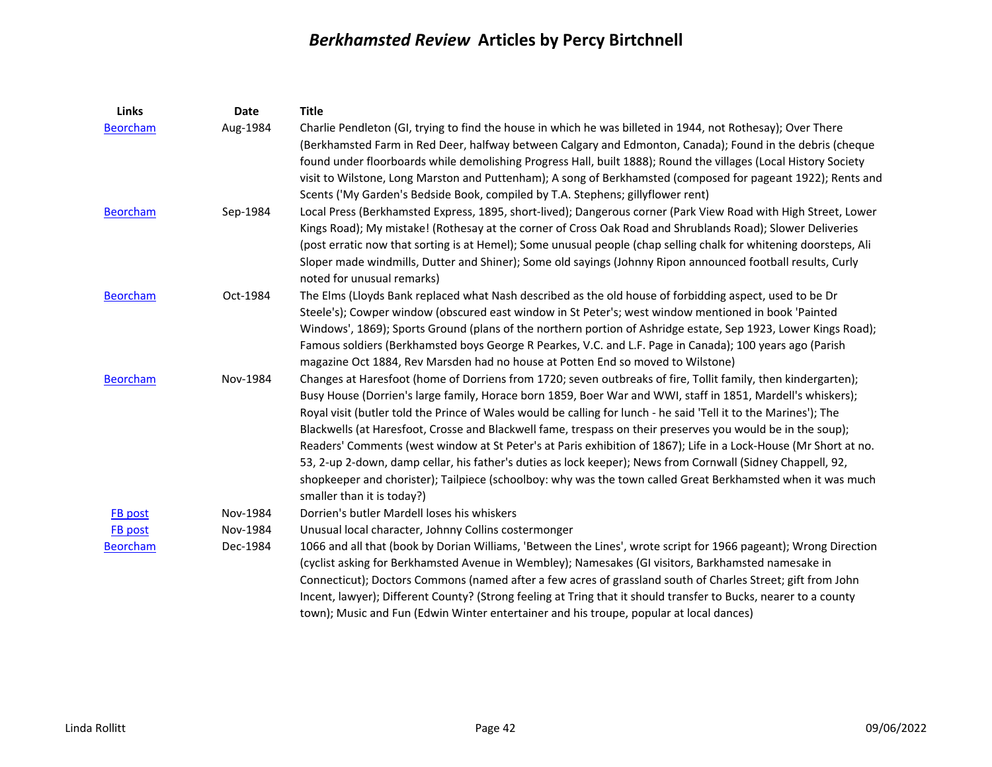| <b>Links</b>               | <b>Date</b>          | <b>Title</b>                                                                                                      |
|----------------------------|----------------------|-------------------------------------------------------------------------------------------------------------------|
| <b>Beorcham</b>            | Aug-1984             | Charlie Pendleton (GI, trying to find the house in which he was billeted in 1944, not Rothesay); Over There       |
|                            |                      | (Berkhamsted Farm in Red Deer, halfway between Calgary and Edmonton, Canada); Found in the debris (cheque         |
|                            |                      | found under floorboards while demolishing Progress Hall, built 1888); Round the villages (Local History Society   |
|                            |                      | visit to Wilstone, Long Marston and Puttenham); A song of Berkhamsted (composed for pageant 1922); Rents and      |
|                            |                      | Scents ('My Garden's Bedside Book, compiled by T.A. Stephens; gillyflower rent)                                   |
| <b>Beorcham</b>            | Sep-1984             | Local Press (Berkhamsted Express, 1895, short-lived); Dangerous corner (Park View Road with High Street, Lower    |
|                            |                      | Kings Road); My mistake! (Rothesay at the corner of Cross Oak Road and Shrublands Road); Slower Deliveries        |
|                            |                      | (post erratic now that sorting is at Hemel); Some unusual people (chap selling chalk for whitening doorsteps, Ali |
|                            |                      | Sloper made windmills, Dutter and Shiner); Some old sayings (Johnny Ripon announced football results, Curly       |
|                            |                      | noted for unusual remarks)                                                                                        |
| <b>Beorcham</b>            | Oct-1984             | The Elms (Lloyds Bank replaced what Nash described as the old house of forbidding aspect, used to be Dr           |
|                            |                      | Steele's); Cowper window (obscured east window in St Peter's; west window mentioned in book 'Painted              |
|                            |                      | Windows', 1869); Sports Ground (plans of the northern portion of Ashridge estate, Sep 1923, Lower Kings Road);    |
|                            |                      | Famous soldiers (Berkhamsted boys George R Pearkes, V.C. and L.F. Page in Canada); 100 years ago (Parish          |
|                            |                      | magazine Oct 1884, Rev Marsden had no house at Potten End so moved to Wilstone)                                   |
| <b>Beorcham</b>            | Nov-1984             | Changes at Haresfoot (home of Dorriens from 1720; seven outbreaks of fire, Tollit family, then kindergarten);     |
|                            |                      | Busy House (Dorrien's large family, Horace born 1859, Boer War and WWI, staff in 1851, Mardell's whiskers);       |
|                            |                      | Royal visit (butler told the Prince of Wales would be calling for lunch - he said 'Tell it to the Marines'); The  |
|                            |                      | Blackwells (at Haresfoot, Crosse and Blackwell fame, trespass on their preserves you would be in the soup);       |
|                            |                      | Readers' Comments (west window at St Peter's at Paris exhibition of 1867); Life in a Lock-House (Mr Short at no.  |
|                            |                      | 53, 2-up 2-down, damp cellar, his father's duties as lock keeper); News from Cornwall (Sidney Chappell, 92,       |
|                            |                      | shopkeeper and chorister); Tailpiece (schoolboy: why was the town called Great Berkhamsted when it was much       |
|                            |                      | smaller than it is today?)<br>Dorrien's butler Mardell loses his whiskers                                         |
| <b>FB</b> post             | Nov-1984<br>Nov-1984 | Unusual local character, Johnny Collins costermonger                                                              |
| FB post<br><b>Beorcham</b> | Dec-1984             | 1066 and all that (book by Dorian Williams, 'Between the Lines', wrote script for 1966 pageant); Wrong Direction  |
|                            |                      | (cyclist asking for Berkhamsted Avenue in Wembley); Namesakes (GI visitors, Barkhamsted namesake in               |
|                            |                      | Connecticut); Doctors Commons (named after a few acres of grassland south of Charles Street; gift from John       |
|                            |                      | Incent, lawyer); Different County? (Strong feeling at Tring that it should transfer to Bucks, nearer to a county  |
|                            |                      | town); Music and Fun (Edwin Winter entertainer and his troupe, popular at local dances)                           |
|                            |                      |                                                                                                                   |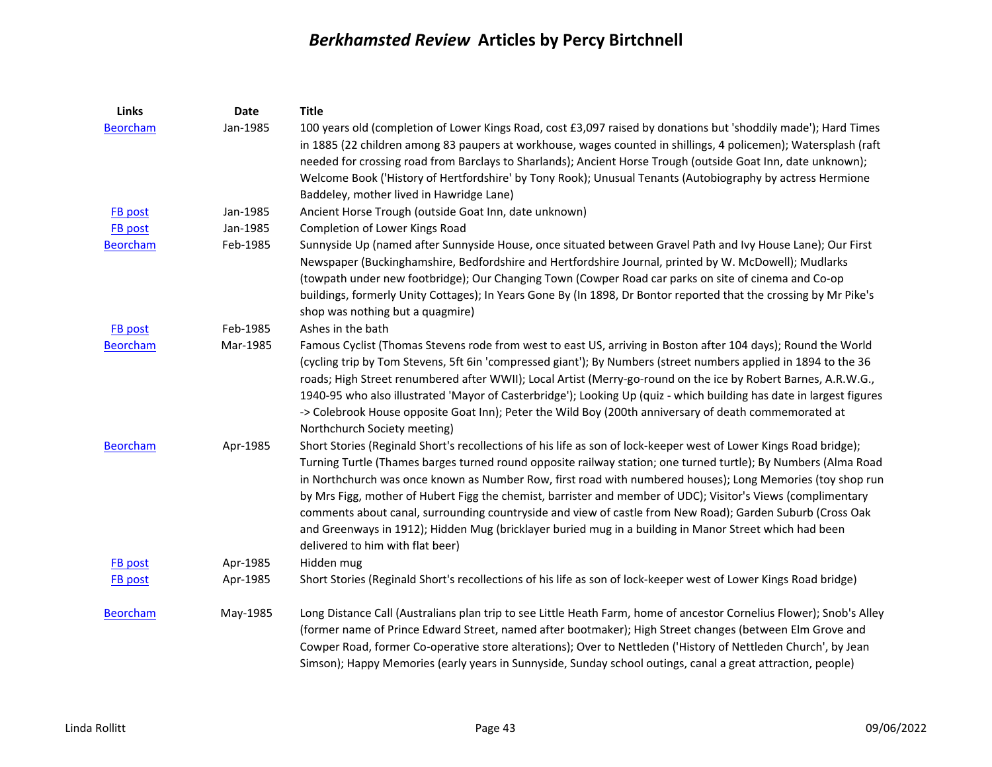| Links           | Date     | <b>Title</b>                                                                                                                                                                                                                       |
|-----------------|----------|------------------------------------------------------------------------------------------------------------------------------------------------------------------------------------------------------------------------------------|
| <b>Beorcham</b> | Jan-1985 | 100 years old (completion of Lower Kings Road, cost £3,097 raised by donations but 'shoddily made'); Hard Times<br>in 1885 (22 children among 83 paupers at workhouse, wages counted in shillings, 4 policemen); Watersplash (raft |
|                 |          | needed for crossing road from Barclays to Sharlands); Ancient Horse Trough (outside Goat Inn, date unknown);                                                                                                                       |
|                 |          | Welcome Book ('History of Hertfordshire' by Tony Rook); Unusual Tenants (Autobiography by actress Hermione                                                                                                                         |
|                 |          | Baddeley, mother lived in Hawridge Lane)                                                                                                                                                                                           |
| <b>FB</b> post  | Jan-1985 | Ancient Horse Trough (outside Goat Inn, date unknown)                                                                                                                                                                              |
| <b>FB</b> post  | Jan-1985 | Completion of Lower Kings Road                                                                                                                                                                                                     |
| <b>Beorcham</b> | Feb-1985 | Sunnyside Up (named after Sunnyside House, once situated between Gravel Path and Ivy House Lane); Our First                                                                                                                        |
|                 |          | Newspaper (Buckinghamshire, Bedfordshire and Hertfordshire Journal, printed by W. McDowell); Mudlarks                                                                                                                              |
|                 |          | (towpath under new footbridge); Our Changing Town (Cowper Road car parks on site of cinema and Co-op                                                                                                                               |
|                 |          | buildings, formerly Unity Cottages); In Years Gone By (In 1898, Dr Bontor reported that the crossing by Mr Pike's                                                                                                                  |
|                 |          | shop was nothing but a quagmire)                                                                                                                                                                                                   |
| <b>FB</b> post  | Feb-1985 | Ashes in the bath                                                                                                                                                                                                                  |
| <b>Beorcham</b> | Mar-1985 | Famous Cyclist (Thomas Stevens rode from west to east US, arriving in Boston after 104 days); Round the World                                                                                                                      |
|                 |          | (cycling trip by Tom Stevens, 5ft 6in 'compressed giant'); By Numbers (street numbers applied in 1894 to the 36                                                                                                                    |
|                 |          | roads; High Street renumbered after WWII); Local Artist (Merry-go-round on the ice by Robert Barnes, A.R.W.G.,                                                                                                                     |
|                 |          | 1940-95 who also illustrated 'Mayor of Casterbridge'); Looking Up (quiz - which building has date in largest figures                                                                                                               |
|                 |          | -> Colebrook House opposite Goat Inn); Peter the Wild Boy (200th anniversary of death commemorated at                                                                                                                              |
|                 |          | Northchurch Society meeting)                                                                                                                                                                                                       |
| Beorcham        | Apr-1985 | Short Stories (Reginald Short's recollections of his life as son of lock-keeper west of Lower Kings Road bridge);                                                                                                                  |
|                 |          | Turning Turtle (Thames barges turned round opposite railway station; one turned turtle); By Numbers (Alma Road                                                                                                                     |
|                 |          | in Northchurch was once known as Number Row, first road with numbered houses); Long Memories (toy shop run<br>by Mrs Figg, mother of Hubert Figg the chemist, barrister and member of UDC); Visitor's Views (complimentary         |
|                 |          | comments about canal, surrounding countryside and view of castle from New Road); Garden Suburb (Cross Oak                                                                                                                          |
|                 |          | and Greenways in 1912); Hidden Mug (bricklayer buried mug in a building in Manor Street which had been                                                                                                                             |
|                 |          | delivered to him with flat beer)                                                                                                                                                                                                   |
| <b>FB</b> post  | Apr-1985 | Hidden mug                                                                                                                                                                                                                         |
| <b>FB</b> post  | Apr-1985 | Short Stories (Reginald Short's recollections of his life as son of lock-keeper west of Lower Kings Road bridge)                                                                                                                   |
|                 |          |                                                                                                                                                                                                                                    |
| <b>Beorcham</b> | May-1985 | Long Distance Call (Australians plan trip to see Little Heath Farm, home of ancestor Cornelius Flower); Snob's Alley                                                                                                               |
|                 |          | (former name of Prince Edward Street, named after bootmaker); High Street changes (between Elm Grove and                                                                                                                           |
|                 |          | Cowper Road, former Co-operative store alterations); Over to Nettleden ('History of Nettleden Church', by Jean                                                                                                                     |
|                 |          | Simson); Happy Memories (early years in Sunnyside, Sunday school outings, canal a great attraction, people)                                                                                                                        |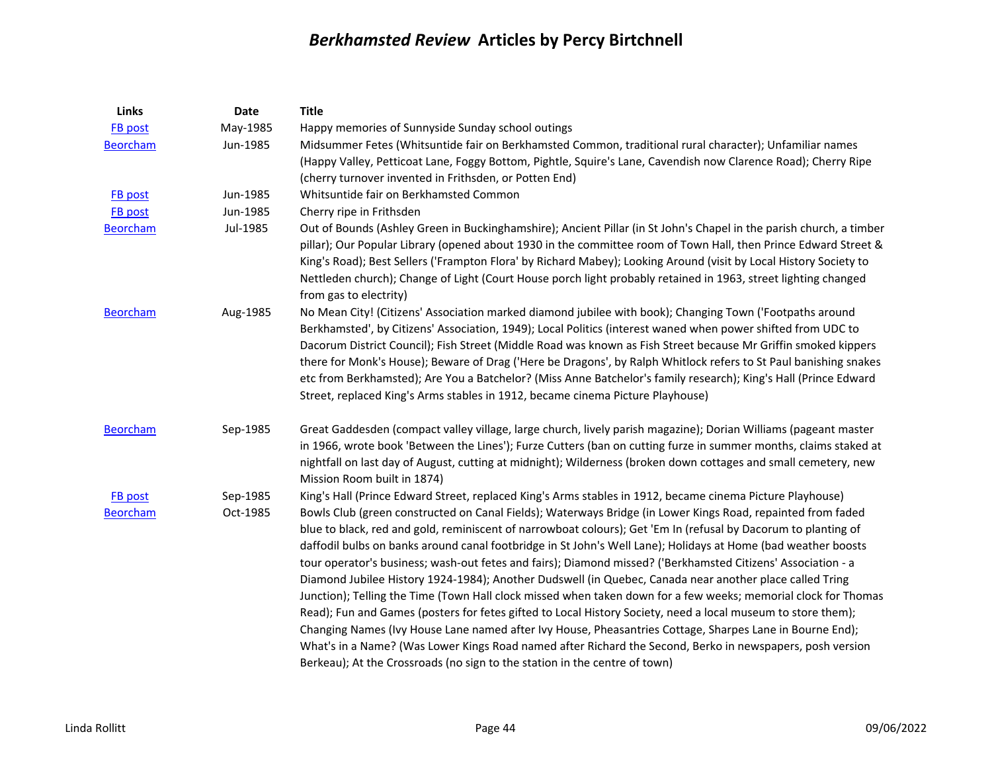| Links           | Date     | <b>Title</b>                                                                                                        |
|-----------------|----------|---------------------------------------------------------------------------------------------------------------------|
| FB post         | May-1985 | Happy memories of Sunnyside Sunday school outings                                                                   |
| <b>Beorcham</b> | Jun-1985 | Midsummer Fetes (Whitsuntide fair on Berkhamsted Common, traditional rural character); Unfamiliar names             |
|                 |          | (Happy Valley, Petticoat Lane, Foggy Bottom, Pightle, Squire's Lane, Cavendish now Clarence Road); Cherry Ripe      |
|                 |          | (cherry turnover invented in Frithsden, or Potten End)                                                              |
| <b>FB</b> post  | Jun-1985 | Whitsuntide fair on Berkhamsted Common                                                                              |
| <b>FB</b> post  | Jun-1985 | Cherry ripe in Frithsden                                                                                            |
| <b>Beorcham</b> | Jul-1985 | Out of Bounds (Ashley Green in Buckinghamshire); Ancient Pillar (in St John's Chapel in the parish church, a timber |
|                 |          | pillar); Our Popular Library (opened about 1930 in the committee room of Town Hall, then Prince Edward Street &     |
|                 |          | King's Road); Best Sellers ('Frampton Flora' by Richard Mabey); Looking Around (visit by Local History Society to   |
|                 |          | Nettleden church); Change of Light (Court House porch light probably retained in 1963, street lighting changed      |
|                 |          | from gas to electrity)                                                                                              |
| <b>Beorcham</b> | Aug-1985 | No Mean City! (Citizens' Association marked diamond jubilee with book); Changing Town ('Footpaths around            |
|                 |          | Berkhamsted', by Citizens' Association, 1949); Local Politics (interest waned when power shifted from UDC to        |
|                 |          | Dacorum District Council); Fish Street (Middle Road was known as Fish Street because Mr Griffin smoked kippers      |
|                 |          | there for Monk's House); Beware of Drag ('Here be Dragons', by Ralph Whitlock refers to St Paul banishing snakes    |
|                 |          | etc from Berkhamsted); Are You a Batchelor? (Miss Anne Batchelor's family research); King's Hall (Prince Edward     |
|                 |          | Street, replaced King's Arms stables in 1912, became cinema Picture Playhouse)                                      |
| <b>Beorcham</b> | Sep-1985 | Great Gaddesden (compact valley village, large church, lively parish magazine); Dorian Williams (pageant master     |
|                 |          | in 1966, wrote book 'Between the Lines'); Furze Cutters (ban on cutting furze in summer months, claims staked at    |
|                 |          | nightfall on last day of August, cutting at midnight); Wilderness (broken down cottages and small cemetery, new     |
|                 |          | Mission Room built in 1874)                                                                                         |
| <b>FB</b> post  | Sep-1985 | King's Hall (Prince Edward Street, replaced King's Arms stables in 1912, became cinema Picture Playhouse)           |
| <b>Beorcham</b> | Oct-1985 | Bowls Club (green constructed on Canal Fields); Waterways Bridge (in Lower Kings Road, repainted from faded         |
|                 |          | blue to black, red and gold, reminiscent of narrowboat colours); Get 'Em In (refusal by Dacorum to planting of      |
|                 |          | daffodil bulbs on banks around canal footbridge in St John's Well Lane); Holidays at Home (bad weather boosts       |
|                 |          | tour operator's business; wash-out fetes and fairs); Diamond missed? ('Berkhamsted Citizens' Association - a        |
|                 |          | Diamond Jubilee History 1924-1984); Another Dudswell (in Quebec, Canada near another place called Tring             |
|                 |          | Junction); Telling the Time (Town Hall clock missed when taken down for a few weeks; memorial clock for Thomas      |
|                 |          | Read); Fun and Games (posters for fetes gifted to Local History Society, need a local museum to store them);        |
|                 |          | Changing Names (Ivy House Lane named after Ivy House, Pheasantries Cottage, Sharpes Lane in Bourne End);            |
|                 |          | What's in a Name? (Was Lower Kings Road named after Richard the Second, Berko in newspapers, posh version           |
|                 |          | Berkeau); At the Crossroads (no sign to the station in the centre of town)                                          |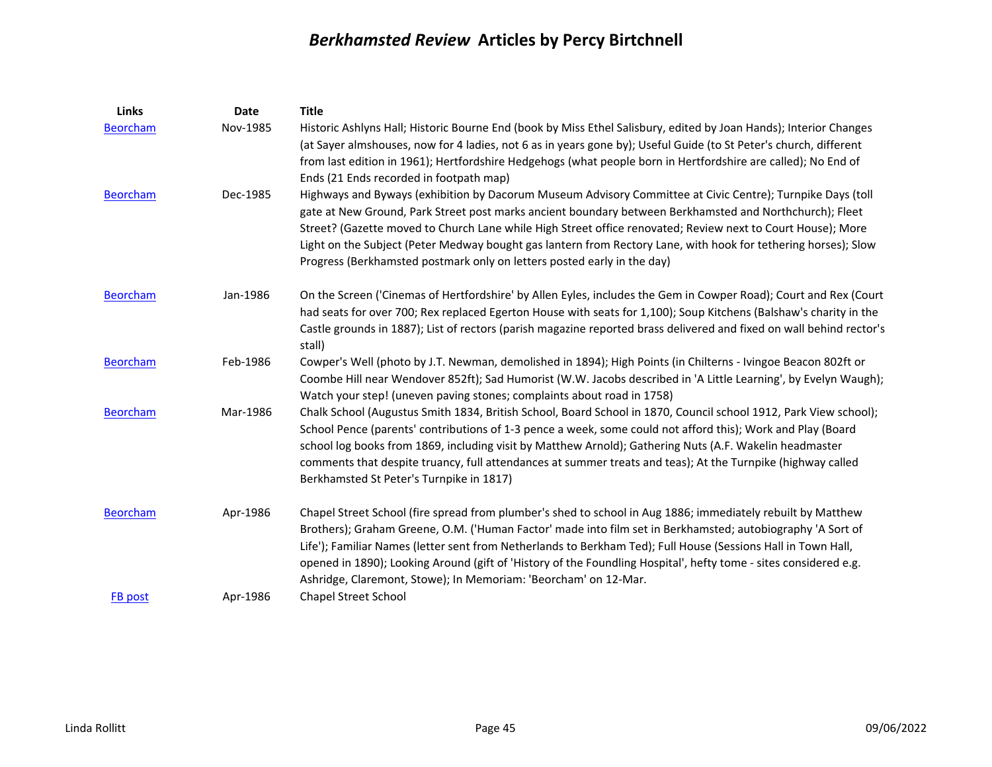| Links           | <b>Date</b> | <b>Title</b>                                                                                                                                                                                                                                                                                                                                                                                                                                                                                                                      |
|-----------------|-------------|-----------------------------------------------------------------------------------------------------------------------------------------------------------------------------------------------------------------------------------------------------------------------------------------------------------------------------------------------------------------------------------------------------------------------------------------------------------------------------------------------------------------------------------|
| <b>Beorcham</b> | Nov-1985    | Historic Ashlyns Hall; Historic Bourne End (book by Miss Ethel Salisbury, edited by Joan Hands); Interior Changes<br>(at Sayer almshouses, now for 4 ladies, not 6 as in years gone by); Useful Guide (to St Peter's church, different<br>from last edition in 1961); Hertfordshire Hedgehogs (what people born in Hertfordshire are called); No End of<br>Ends (21 Ends recorded in footpath map)                                                                                                                                |
| <b>Beorcham</b> | Dec-1985    | Highways and Byways (exhibition by Dacorum Museum Advisory Committee at Civic Centre); Turnpike Days (toll<br>gate at New Ground, Park Street post marks ancient boundary between Berkhamsted and Northchurch); Fleet<br>Street? (Gazette moved to Church Lane while High Street office renovated; Review next to Court House); More<br>Light on the Subject (Peter Medway bought gas lantern from Rectory Lane, with hook for tethering horses); Slow<br>Progress (Berkhamsted postmark only on letters posted early in the day) |
| <b>Beorcham</b> | Jan-1986    | On the Screen ('Cinemas of Hertfordshire' by Allen Eyles, includes the Gem in Cowper Road); Court and Rex (Court<br>had seats for over 700; Rex replaced Egerton House with seats for 1,100); Soup Kitchens (Balshaw's charity in the<br>Castle grounds in 1887); List of rectors (parish magazine reported brass delivered and fixed on wall behind rector's<br>stall)                                                                                                                                                           |
| <b>Beorcham</b> | Feb-1986    | Cowper's Well (photo by J.T. Newman, demolished in 1894); High Points (in Chilterns - Ivingoe Beacon 802ft or<br>Coombe Hill near Wendover 852ft); Sad Humorist (W.W. Jacobs described in 'A Little Learning', by Evelyn Waugh);<br>Watch your step! (uneven paving stones; complaints about road in 1758)                                                                                                                                                                                                                        |
| <b>Beorcham</b> | Mar-1986    | Chalk School (Augustus Smith 1834, British School, Board School in 1870, Council school 1912, Park View school);<br>School Pence (parents' contributions of 1-3 pence a week, some could not afford this); Work and Play (Board<br>school log books from 1869, including visit by Matthew Arnold); Gathering Nuts (A.F. Wakelin headmaster<br>comments that despite truancy, full attendances at summer treats and teas); At the Turnpike (highway called<br>Berkhamsted St Peter's Turnpike in 1817)                             |
| <b>Beorcham</b> | Apr-1986    | Chapel Street School (fire spread from plumber's shed to school in Aug 1886; immediately rebuilt by Matthew<br>Brothers); Graham Greene, O.M. ('Human Factor' made into film set in Berkhamsted; autobiography 'A Sort of<br>Life'); Familiar Names (letter sent from Netherlands to Berkham Ted); Full House (Sessions Hall in Town Hall,<br>opened in 1890); Looking Around (gift of 'History of the Foundling Hospital', hefty tome - sites considered e.g.<br>Ashridge, Claremont, Stowe); In Memoriam: 'Beorcham' on 12-Mar. |
| FB post         | Apr-1986    | <b>Chapel Street School</b>                                                                                                                                                                                                                                                                                                                                                                                                                                                                                                       |